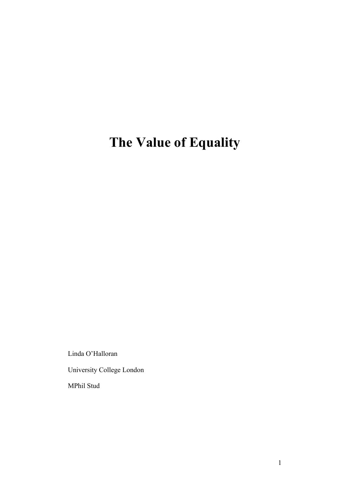# **The Value of Equality**

Linda O'Halloran

University College London

MPhil Stud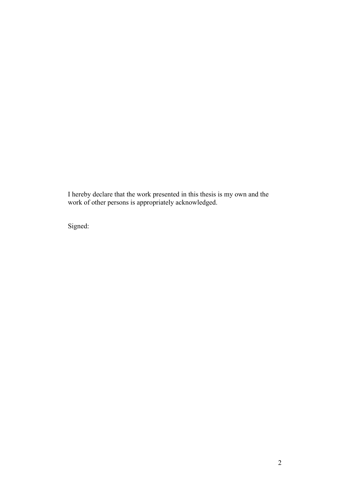I hereby declare that the work presented in this thesis is my own and the work of other persons is appropriately acknowledged.

Signed: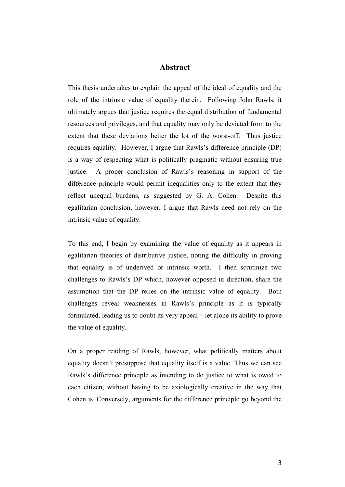# **Abstract**

This thesis undertakes to explain the appeal of the ideal of equality and the role of the intrinsic value of equality therein. Following John Rawls, it ultimately argues that justice requires the equal distribution of fundamental resources and privileges, and that equality may only be deviated from to the extent that these deviations better the lot of the worst-off. Thus justice requires equality. However, I argue that Rawls's difference principle (DP) is a way of respecting what is politically pragmatic without ensuring true justice. A proper conclusion of Rawls's reasoning in support of the difference principle would permit inequalities only to the extent that they reflect unequal burdens, as suggested by G. A. Cohen. Despite this egalitarian conclusion, however, I argue that Rawls need not rely on the intrinsic value of equality.

To this end, I begin by examining the value of equality as it appears in egalitarian theories of distributive justice, noting the difficulty in proving that equality is of underived or intrinsic worth. I then scrutinize two challenges to Rawls's DP which, however opposed in direction, share the assumption that the DP relies on the intrinsic value of equality. Both challenges reveal weaknesses in Rawls's principle as it is typically formulated, leading us to doubt its very appeal – let alone its ability to prove the value of equality.

On a proper reading of Rawls, however, what politically matters about equality doesn't presuppose that equality itself is a value. Thus we can see Rawls's difference principle as intending to do justice to what is owed to each citizen, without having to be axiologically creative in the way that Cohen is. Conversely, arguments for the difference principle go beyond the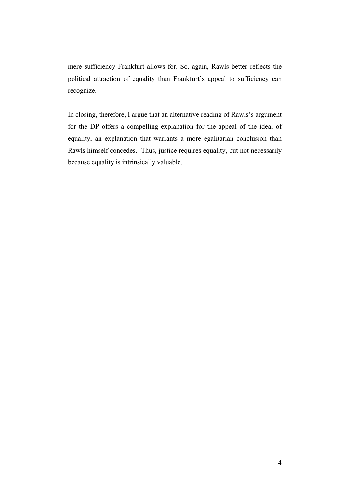mere sufficiency Frankfurt allows for. So, again, Rawls better reflects the political attraction of equality than Frankfurt's appeal to sufficiency can recognize.

In closing, therefore, I argue that an alternative reading of Rawls's argument for the DP offers a compelling explanation for the appeal of the ideal of equality, an explanation that warrants a more egalitarian conclusion than Rawls himself concedes. Thus, justice requires equality, but not necessarily because equality is intrinsically valuable.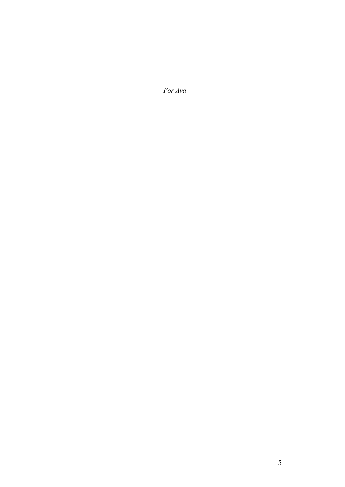*For Ava*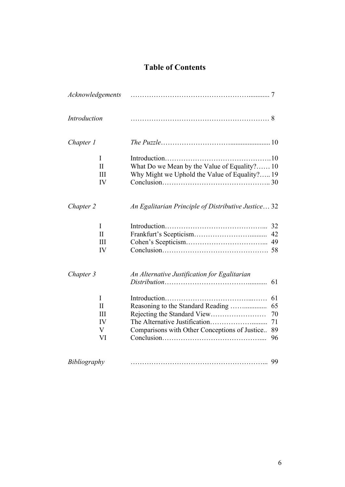# **Table of Contents**

|                                               | 42                                                                                                                                                                                                                                        |
|-----------------------------------------------|-------------------------------------------------------------------------------------------------------------------------------------------------------------------------------------------------------------------------------------------|
|                                               | 49                                                                                                                                                                                                                                        |
|                                               |                                                                                                                                                                                                                                           |
|                                               |                                                                                                                                                                                                                                           |
|                                               | 61                                                                                                                                                                                                                                        |
|                                               | 61                                                                                                                                                                                                                                        |
|                                               | 65                                                                                                                                                                                                                                        |
|                                               | 70                                                                                                                                                                                                                                        |
|                                               | 71                                                                                                                                                                                                                                        |
| Comparisons with Other Conceptions of Justice | 89                                                                                                                                                                                                                                        |
|                                               | 96                                                                                                                                                                                                                                        |
|                                               | 99                                                                                                                                                                                                                                        |
|                                               | What Do we Mean by the Value of Equality? 10<br>Why Might we Uphold the Value of Equality? 19<br>An Egalitarian Principle of Distributive Justice 32<br>An Alternative Justification for Egalitarian<br>Reasoning to the Standard Reading |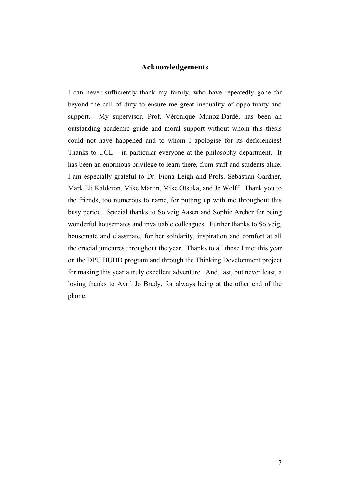## **Acknowledgements**

I can never sufficiently thank my family, who have repeatedly gone far beyond the call of duty to ensure me great inequality of opportunity and support. My supervisor, Prof. Véronique Munoz-Dardé, has been an outstanding academic guide and moral support without whom this thesis could not have happened and to whom I apologise for its deficiencies! Thanks to UCL – in particular everyone at the philosophy department. It has been an enormous privilege to learn there, from staff and students alike. I am especially grateful to Dr. Fiona Leigh and Profs. Sebastian Gardner, Mark Eli Kalderon, Mike Martin, Mike Otsuka, and Jo Wolff. Thank you to the friends, too numerous to name, for putting up with me throughout this busy period. Special thanks to Solveig Aasen and Sophie Archer for being wonderful housemates and invaluable colleagues. Further thanks to Solveig, housemate and classmate, for her solidarity, inspiration and comfort at all the crucial junctures throughout the year. Thanks to all those I met this year on the DPU BUDD program and through the Thinking Development project for making this year a truly excellent adventure. And, last, but never least, a loving thanks to Avril Jo Brady, for always being at the other end of the phone.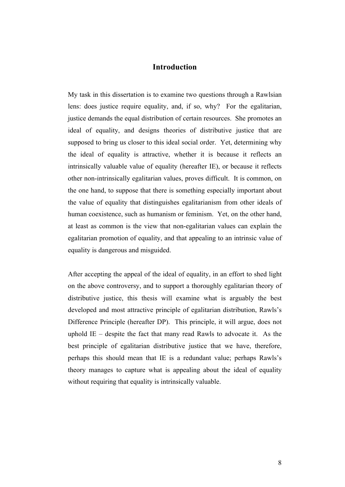# **Introduction**

My task in this dissertation is to examine two questions through a Rawlsian lens: does justice require equality, and, if so, why? For the egalitarian, justice demands the equal distribution of certain resources. She promotes an ideal of equality, and designs theories of distributive justice that are supposed to bring us closer to this ideal social order. Yet, determining why the ideal of equality is attractive, whether it is because it reflects an intrinsically valuable value of equality (hereafter IE), or because it reflects other non-intrinsically egalitarian values, proves difficult. It is common, on the one hand, to suppose that there is something especially important about the value of equality that distinguishes egalitarianism from other ideals of human coexistence, such as humanism or feminism. Yet, on the other hand, at least as common is the view that non-egalitarian values can explain the egalitarian promotion of equality, and that appealing to an intrinsic value of equality is dangerous and misguided.

After accepting the appeal of the ideal of equality, in an effort to shed light on the above controversy, and to support a thoroughly egalitarian theory of distributive justice, this thesis will examine what is arguably the best developed and most attractive principle of egalitarian distribution, Rawls's Difference Principle (hereafter DP). This principle, it will argue, does not uphold  $IE$  – despite the fact that many read Rawls to advocate it. As the best principle of egalitarian distributive justice that we have, therefore, perhaps this should mean that IE is a redundant value; perhaps Rawls's theory manages to capture what is appealing about the ideal of equality without requiring that equality is intrinsically valuable.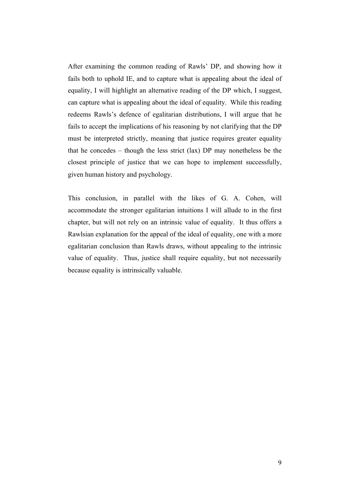After examining the common reading of Rawls' DP, and showing how it fails both to uphold IE, and to capture what is appealing about the ideal of equality, I will highlight an alternative reading of the DP which, I suggest, can capture what is appealing about the ideal of equality. While this reading redeems Rawls's defence of egalitarian distributions, I will argue that he fails to accept the implications of his reasoning by not clarifying that the DP must be interpreted strictly, meaning that justice requires greater equality that he concedes – though the less strict (lax) DP may nonetheless be the closest principle of justice that we can hope to implement successfully, given human history and psychology.

This conclusion, in parallel with the likes of G. A. Cohen, will accommodate the stronger egalitarian intuitions I will allude to in the first chapter, but will not rely on an intrinsic value of equality. It thus offers a Rawlsian explanation for the appeal of the ideal of equality, one with a more egalitarian conclusion than Rawls draws, without appealing to the intrinsic value of equality. Thus, justice shall require equality, but not necessarily because equality is intrinsically valuable.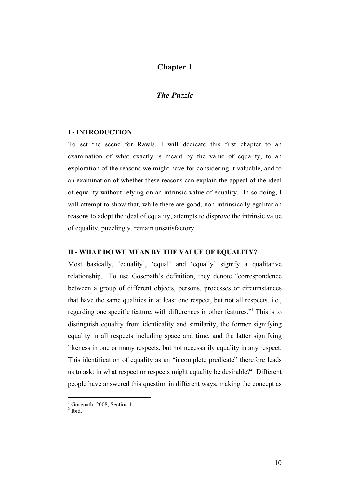# **Chapter 1**

# *The Puzzle*

#### **I - INTRODUCTION**

To set the scene for Rawls, I will dedicate this first chapter to an examination of what exactly is meant by the value of equality, to an exploration of the reasons we might have for considering it valuable, and to an examination of whether these reasons can explain the appeal of the ideal of equality without relying on an intrinsic value of equality. In so doing, I will attempt to show that, while there are good, non-intrinsically egalitarian reasons to adopt the ideal of equality, attempts to disprove the intrinsic value of equality, puzzlingly, remain unsatisfactory.

#### **II - WHAT DO WE MEAN BY THE VALUE OF EQUALITY?**

Most basically, 'equality', 'equal' and 'equally' signify a qualitative relationship. To use Gosepath's definition, they denote "correspondence between a group of different objects, persons, processes or circumstances that have the same qualities in at least one respect, but not all respects, i.e., regarding one specific feature, with differences in other features."<sup>1</sup> This is to distinguish equality from identicality and similarity, the former signifying equality in all respects including space and time, and the latter signifying likeness in one or many respects, but not necessarily equality in any respect. This identification of equality as an "incomplete predicate" therefore leads us to ask: in what respect or respects might equality be desirable?<sup>2</sup> Different people have answered this question in different ways, making the concept as

 $<sup>1</sup>$  Gosepath, 2008, Section 1.</sup>

 $2$  Ibid.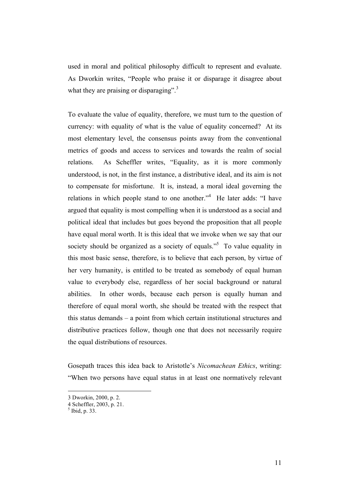used in moral and political philosophy difficult to represent and evaluate. As Dworkin writes, "People who praise it or disparage it disagree about what they are praising or disparaging".<sup>3</sup>

To evaluate the value of equality, therefore, we must turn to the question of currency: with equality of what is the value of equality concerned? At its most elementary level, the consensus points away from the conventional metrics of goods and access to services and towards the realm of social relations. As Scheffler writes, "Equality, as it is more commonly understood, is not, in the first instance, a distributive ideal, and its aim is not to compensate for misfortune. It is, instead, a moral ideal governing the relations in which people stand to one another.<sup>"4</sup> He later adds: "I have argued that equality is most compelling when it is understood as a social and political ideal that includes but goes beyond the proposition that all people have equal moral worth. It is this ideal that we invoke when we say that our society should be organized as a society of equals.<sup>55</sup> To value equality in this most basic sense, therefore, is to believe that each person, by virtue of her very humanity, is entitled to be treated as somebody of equal human value to everybody else, regardless of her social background or natural abilities. In other words, because each person is equally human and therefore of equal moral worth, she should be treated with the respect that this status demands – a point from which certain institutional structures and distributive practices follow, though one that does not necessarily require the equal distributions of resources.

Gosepath traces this idea back to Aristotle's *Nicomachean Ethics*, writing: "When two persons have equal status in at least one normatively relevant

 <sup>3</sup> Dworkin, 2000, p. 2.

<sup>4</sup> Scheffler, 2003, p. 21. <sup>5</sup>

 $<sup>5</sup>$  Ibid, p. 33.</sup>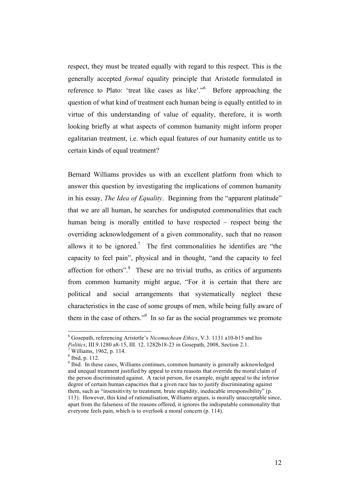respect, they must be treated equally with regard to this respect. This is the generally accepted *formal* equality principle that Aristotle formulated in reference to Plato: 'treat like cases as like'."<sup>6</sup> Before approaching the question of what kind of treatment each human being is equally entitled to in virtue of this understanding of value of equality, therefore, it is worth looking briefly at what aspects of common humanity might inform proper egalitarian treatment, i.e. which equal features of our humanity entitle us to certain kinds of equal treatment?

Bernard Williams provides us with an excellent platform from which to answer this question by investigating the implications of common humanity in his essay, *The Idea of Equality*. Beginning from the "apparent platitude" that we are all human, he searches for undisputed commonalities that each human being is morally entitled to have respected – respect being the overriding acknowledgement of a given commonality, such that no reason allows it to be ignored.<sup>7</sup> The first commonalities he identifies are "the capacity to feel pain", physical and in thought, "and the capacity to feel affection for others".<sup>8</sup> These are no trivial truths, as critics of arguments from common humanity might argue, "For it is certain that there are political and social arrangements that systematically neglect these characteristics in the case of some groups of men, while being fully aware of them in the case of others."<sup>9</sup> In so far as the social programmes we promote

 $\frac{1}{6}$  Gosepath, referencing Aristotle's *Nicomachean Ethics*, V.3. 1131 a10-b15 and his *Politics*, III.9.1280 a8-15, III. 12. 1282b18-23 in Gosepath, 2008, Section 2.1. <sup>7</sup>

 $^7$  Williams, 1962, p. 114.

<sup>8</sup> Ibid, p. 112.

<sup>&</sup>lt;sup>9</sup> Ibid. In these cases, Williams continues, common humanity is generally acknowledged and unequal treatment justified by appeal to extra reasons that override the moral claim of the person discriminated against. A racist person, for example, might appeal to the inferior degree of certain human capacities that a given race has to justify discriminating against them, such as "insensitivity to treatment, brute stupidity, ineducable irresponsibility" (p. 113). However, this kind of rationalisation, Williams argues, is morally unacceptable since, apart from the falseness of the reasons offered, it ignores the indisputable commonality that everyone feels pain, which is to overlook a moral concern (p. 114).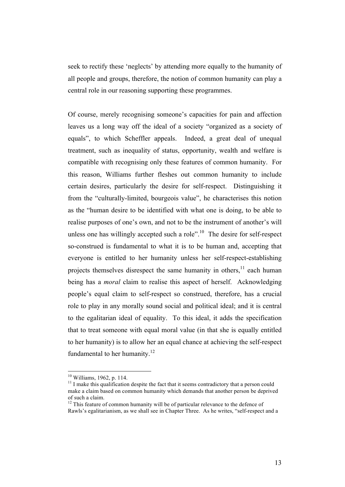seek to rectify these 'neglects' by attending more equally to the humanity of all people and groups, therefore, the notion of common humanity can play a central role in our reasoning supporting these programmes.

Of course, merely recognising someone's capacities for pain and affection leaves us a long way off the ideal of a society "organized as a society of equals", to which Scheffler appeals. Indeed, a great deal of unequal treatment, such as inequality of status, opportunity, wealth and welfare is compatible with recognising only these features of common humanity. For this reason, Williams further fleshes out common humanity to include certain desires, particularly the desire for self-respect. Distinguishing it from the "culturally-limited, bourgeois value", he characterises this notion as the "human desire to be identified with what one is doing, to be able to realise purposes of one's own, and not to be the instrument of another's will unless one has willingly accepted such a role".<sup>10</sup> The desire for self-respect so-construed is fundamental to what it is to be human and, accepting that everyone is entitled to her humanity unless her self-respect-establishing projects themselves disrespect the same humanity in others,<sup>11</sup> each human being has a *moral* claim to realise this aspect of herself. Acknowledging people's equal claim to self-respect so construed, therefore, has a crucial role to play in any morally sound social and political ideal; and it is central to the egalitarian ideal of equality. To this ideal, it adds the specification that to treat someone with equal moral value (in that she is equally entitled to her humanity) is to allow her an equal chance at achieving the self-respect fundamental to her humanity.<sup>12</sup>

<sup>&</sup>lt;sup>10</sup> Williams, 1962, p. 114.<br><sup>11</sup> I make this qualification despite the fact that it seems contradictory that a person could make a claim based on common humanity which demands that another person be deprived of such a claim.

 $12$  This feature of common humanity will be of particular relevance to the defence of Rawls's egalitarianism, as we shall see in Chapter Three. As he writes, "self-respect and a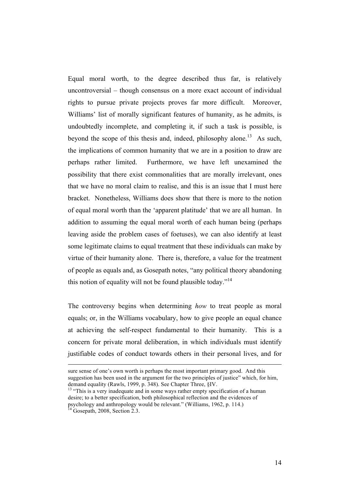Equal moral worth, to the degree described thus far, is relatively uncontroversial – though consensus on a more exact account of individual rights to pursue private projects proves far more difficult. Moreover, Williams' list of morally significant features of humanity, as he admits, is undoubtedly incomplete, and completing it, if such a task is possible, is beyond the scope of this thesis and, indeed, philosophy alone.<sup>13</sup> As such, the implications of common humanity that we are in a position to draw are perhaps rather limited. Furthermore, we have left unexamined the possibility that there exist commonalities that are morally irrelevant, ones that we have no moral claim to realise, and this is an issue that I must here bracket. Nonetheless, Williams does show that there is more to the notion of equal moral worth than the 'apparent platitude' that we are all human. In addition to assuming the equal moral worth of each human being (perhaps leaving aside the problem cases of foetuses), we can also identify at least some legitimate claims to equal treatment that these individuals can make by virtue of their humanity alone. There is, therefore, a value for the treatment of people as equals and, as Gosepath notes, "any political theory abandoning this notion of equality will not be found plausible today."<sup>14</sup>

The controversy begins when determining *how* to treat people as moral equals; or, in the Williams vocabulary, how to give people an equal chance at achieving the self-respect fundamental to their humanity. This is a concern for private moral deliberation, in which individuals must identify justifiable codes of conduct towards others in their personal lives, and for

sure sense of one's own worth is perhaps the most important primary good. And this suggestion has been used in the argument for the two principles of justice" which, for him, demand equality (Rawls, 1999, p. 348). See Chapter Three, §IV.<br><sup>13</sup> "This is a very inadequate and in some ways rather empty specification of a human

desire; to a better specification, both philosophical reflection and the evidences of psychology and anthropology would be relevant." (Williams, 1962, p. 114.) <sup>14</sup> Gosepath, 2008, Section 2.3.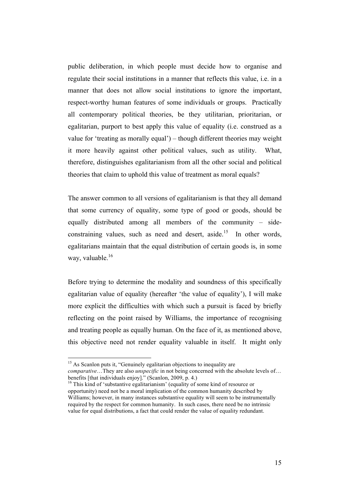public deliberation, in which people must decide how to organise and regulate their social institutions in a manner that reflects this value, i.e. in a manner that does not allow social institutions to ignore the important, respect-worthy human features of some individuals or groups. Practically all contemporary political theories, be they utilitarian, prioritarian, or egalitarian, purport to best apply this value of equality (i.e. construed as a value for 'treating as morally equal') – though different theories may weight it more heavily against other political values, such as utility. What, therefore, distinguishes egalitarianism from all the other social and political theories that claim to uphold this value of treatment as moral equals?

The answer common to all versions of egalitarianism is that they all demand that some currency of equality, some type of good or goods, should be equally distributed among all members of the community – sideconstraining values, such as need and desert, aside.<sup>15</sup> In other words, egalitarians maintain that the equal distribution of certain goods is, in some way, valuable  $16$ 

Before trying to determine the modality and soundness of this specifically egalitarian value of equality (hereafter 'the value of equality'), I will make more explicit the difficulties with which such a pursuit is faced by briefly reflecting on the point raised by Williams, the importance of recognising and treating people as equally human. On the face of it, as mentioned above, this objective need not render equality valuable in itself. It might only

<sup>&</sup>lt;sup>15</sup> As Scanlon puts it, "Genuinely egalitarian objections to inequality are *comparative*…They are also *unspecific* in not being concerned with the absolute levels of…<br>benefits [that individuals enjoy]." (Scanlon, 2009, p. 4.)

 $16$  This kind of 'substantive egalitarianism' (equality of some kind of resource or opportunity) need not be a moral implication of the common humanity described by Williams; however, in many instances substantive equality will seem to be instrumentally required by the respect for common humanity. In such cases, there need be no intrinsic value for equal distributions, a fact that could render the value of equality redundant.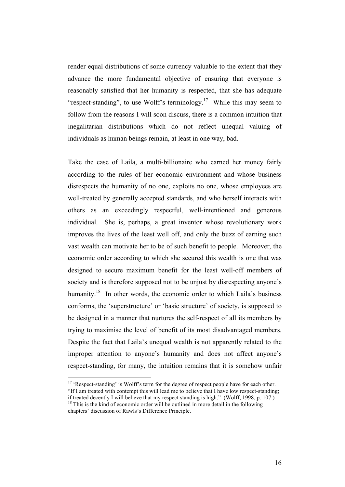render equal distributions of some currency valuable to the extent that they advance the more fundamental objective of ensuring that everyone is reasonably satisfied that her humanity is respected, that she has adequate "respect-standing", to use Wolff's terminology.<sup>17</sup> While this may seem to follow from the reasons I will soon discuss, there is a common intuition that inegalitarian distributions which do not reflect unequal valuing of individuals as human beings remain, at least in one way, bad.

Take the case of Laila, a multi-billionaire who earned her money fairly according to the rules of her economic environment and whose business disrespects the humanity of no one, exploits no one, whose employees are well-treated by generally accepted standards, and who herself interacts with others as an exceedingly respectful, well-intentioned and generous individual. She is, perhaps, a great inventor whose revolutionary work improves the lives of the least well off, and only the buzz of earning such vast wealth can motivate her to be of such benefit to people. Moreover, the economic order according to which she secured this wealth is one that was designed to secure maximum benefit for the least well-off members of society and is therefore supposed not to be unjust by disrespecting anyone's humanity.<sup>18</sup> In other words, the economic order to which Laila's business conforms, the 'superstructure' or 'basic structure' of society, is supposed to be designed in a manner that nurtures the self-respect of all its members by trying to maximise the level of benefit of its most disadvantaged members. Despite the fact that Laila's unequal wealth is not apparently related to the improper attention to anyone's humanity and does not affect anyone's respect-standing, for many, the intuition remains that it is somehow unfair

<sup>&</sup>lt;sup>17</sup> 'Respect-standing' is Wolff's term for the degree of respect people have for each other.

<sup>&</sup>quot;If I am treated with contempt this will lead me to believe that I have low respect-standing;<br>if treated decently I will believe that my respect standing is high." (Wolff, 1998, p. 107.)

 $18$  This is the kind of economic order will be outlined in more detail in the following chapters' discussion of Rawls's Difference Principle.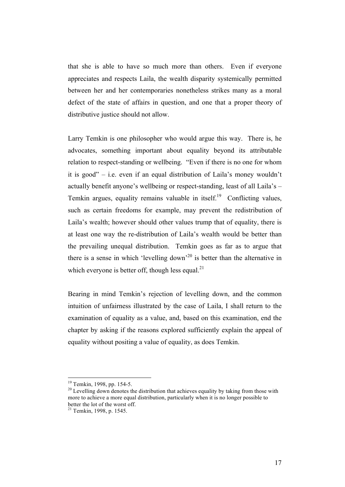that she is able to have so much more than others. Even if everyone appreciates and respects Laila, the wealth disparity systemically permitted between her and her contemporaries nonetheless strikes many as a moral defect of the state of affairs in question, and one that a proper theory of distributive justice should not allow.

Larry Temkin is one philosopher who would argue this way. There is, he advocates, something important about equality beyond its attributable relation to respect-standing or wellbeing. "Even if there is no one for whom it is good" – i.e. even if an equal distribution of Laila's money wouldn't actually benefit anyone's wellbeing or respect-standing, least of all Laila's – Temkin argues, equality remains valuable in itself.<sup>19</sup> Conflicting values, such as certain freedoms for example, may prevent the redistribution of Laila's wealth; however should other values trump that of equality, there is at least one way the re-distribution of Laila's wealth would be better than the prevailing unequal distribution. Temkin goes as far as to argue that there is a sense in which 'levelling down'<sup>20</sup> is better than the alternative in which everyone is better off, though less equal. $^{21}$ 

Bearing in mind Temkin's rejection of levelling down, and the common intuition of unfairness illustrated by the case of Laila, I shall return to the examination of equality as a value, and, based on this examination, end the chapter by asking if the reasons explored sufficiently explain the appeal of equality without positing a value of equality, as does Temkin.

<sup>&</sup>lt;sup>19</sup> Temkin, 1998, pp. 154-5.<br><sup>20</sup> Levelling down denotes the distribution that achieves equality by taking from those with more to achieve a more equal distribution, particularly when it is no longer possible to better the lot of the worst off.

 $^{21}$  Temkin, 1998, p. 1545.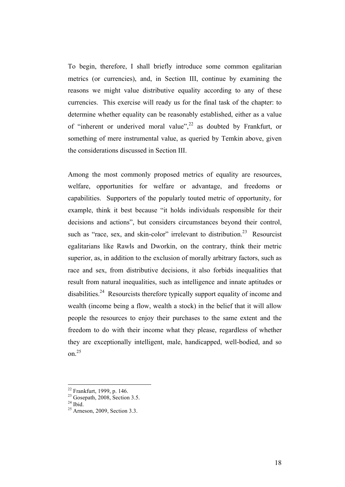To begin, therefore, I shall briefly introduce some common egalitarian metrics (or currencies), and, in Section III, continue by examining the reasons we might value distributive equality according to any of these currencies. This exercise will ready us for the final task of the chapter: to determine whether equality can be reasonably established, either as a value of "inherent or underived moral value",<sup>22</sup> as doubted by Frankfurt, or something of mere instrumental value, as queried by Temkin above, given the considerations discussed in Section III.

Among the most commonly proposed metrics of equality are resources, welfare, opportunities for welfare or advantage, and freedoms or capabilities. Supporters of the popularly touted metric of opportunity, for example, think it best because "it holds individuals responsible for their decisions and actions", but considers circumstances beyond their control, such as "race, sex, and skin-color" irrelevant to distribution.<sup>23</sup> Resourcist egalitarians like Rawls and Dworkin, on the contrary, think their metric superior, as, in addition to the exclusion of morally arbitrary factors, such as race and sex, from distributive decisions, it also forbids inequalities that result from natural inequalities, such as intelligence and innate aptitudes or disabilities.<sup>24</sup> Resourcists therefore typically support equality of income and wealth (income being a flow, wealth a stock) in the belief that it will allow people the resources to enjoy their purchases to the same extent and the freedom to do with their income what they please, regardless of whether they are exceptionally intelligent, male, handicapped, well-bodied, and so on $^{25}$ 

 $^{22}$  Frankfurt, 1999, p. 146.<br> $^{23}$  Gosenath 2008 Section 3.5

 $\frac{^{24}}{^{25}}$  Hoid.  $\frac{^{25}}{^{25}}$  Arneson, 2009, Section 3.3.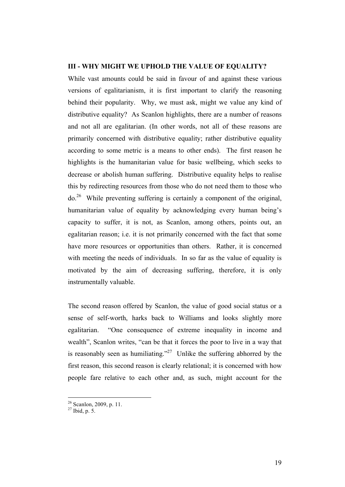#### **III - WHY MIGHT WE UPHOLD THE VALUE OF EQUALITY?**

While vast amounts could be said in favour of and against these various versions of egalitarianism, it is first important to clarify the reasoning behind their popularity. Why, we must ask, might we value any kind of distributive equality? As Scanlon highlights, there are a number of reasons and not all are egalitarian. (In other words, not all of these reasons are primarily concerned with distributive equality; rather distributive equality according to some metric is a means to other ends). The first reason he highlights is the humanitarian value for basic wellbeing, which seeks to decrease or abolish human suffering. Distributive equality helps to realise this by redirecting resources from those who do not need them to those who  $\mu$ <sup>26</sup> While preventing suffering is certainly a component of the original, humanitarian value of equality by acknowledging every human being's capacity to suffer, it is not, as Scanlon, among others, points out, an egalitarian reason; i.e. it is not primarily concerned with the fact that some have more resources or opportunities than others. Rather, it is concerned with meeting the needs of individuals. In so far as the value of equality is motivated by the aim of decreasing suffering, therefore, it is only instrumentally valuable.

The second reason offered by Scanlon, the value of good social status or a sense of self-worth, harks back to Williams and looks slightly more egalitarian. "One consequence of extreme inequality in income and wealth", Scanlon writes, "can be that it forces the poor to live in a way that is reasonably seen as humiliating."<sup>27</sup> Unlike the suffering abhorred by the first reason, this second reason is clearly relational; it is concerned with how people fare relative to each other and, as such, might account for the

 $\frac{26}{27}$  Scanlon, 2009, p. 11.<br><sup>27</sup> Ibid, p. 5.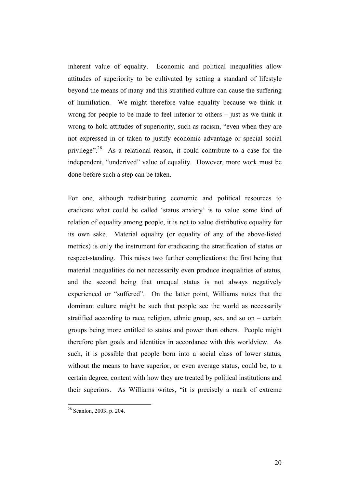inherent value of equality. Economic and political inequalities allow attitudes of superiority to be cultivated by setting a standard of lifestyle beyond the means of many and this stratified culture can cause the suffering of humiliation. We might therefore value equality because we think it wrong for people to be made to feel inferior to others – just as we think it wrong to hold attitudes of superiority, such as racism, "even when they are not expressed in or taken to justify economic advantage or special social privilege".<sup>28</sup> As a relational reason, it could contribute to a case for the independent, "underived" value of equality. However, more work must be done before such a step can be taken.

For one, although redistributing economic and political resources to eradicate what could be called 'status anxiety' is to value some kind of relation of equality among people, it is not to value distributive equality for its own sake. Material equality (or equality of any of the above-listed metrics) is only the instrument for eradicating the stratification of status or respect-standing. This raises two further complications: the first being that material inequalities do not necessarily even produce inequalities of status, and the second being that unequal status is not always negatively experienced or "suffered". On the latter point, Williams notes that the dominant culture might be such that people see the world as necessarily stratified according to race, religion, ethnic group, sex, and so on – certain groups being more entitled to status and power than others. People might therefore plan goals and identities in accordance with this worldview. As such, it is possible that people born into a social class of lower status, without the means to have superior, or even average status, could be, to a certain degree, content with how they are treated by political institutions and their superiors. As Williams writes, "it is precisely a mark of extreme

 $28$  Scanlon, 2003, p. 204.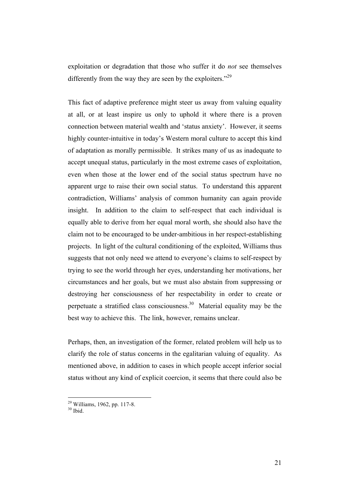exploitation or degradation that those who suffer it do *not* see themselves differently from the way they are seen by the exploiters."<sup>29</sup>

This fact of adaptive preference might steer us away from valuing equality at all, or at least inspire us only to uphold it where there is a proven connection between material wealth and 'status anxiety'. However, it seems highly counter-intuitive in today's Western moral culture to accept this kind of adaptation as morally permissible. It strikes many of us as inadequate to accept unequal status, particularly in the most extreme cases of exploitation, even when those at the lower end of the social status spectrum have no apparent urge to raise their own social status. To understand this apparent contradiction, Williams' analysis of common humanity can again provide insight. In addition to the claim to self-respect that each individual is equally able to derive from her equal moral worth, she should also have the claim not to be encouraged to be under-ambitious in her respect-establishing projects. In light of the cultural conditioning of the exploited, Williams thus suggests that not only need we attend to everyone's claims to self-respect by trying to see the world through her eyes, understanding her motivations, her circumstances and her goals, but we must also abstain from suppressing or destroying her consciousness of her respectability in order to create or perpetuate a stratified class consciousness.<sup>30</sup> Material equality may be the best way to achieve this. The link, however, remains unclear.

Perhaps, then, an investigation of the former, related problem will help us to clarify the role of status concerns in the egalitarian valuing of equality. As mentioned above, in addition to cases in which people accept inferior social status without any kind of explicit coercion, it seems that there could also be

 $^{29}$  Williams, 1962, pp. 117-8.<br> $^{30}$  Ibid.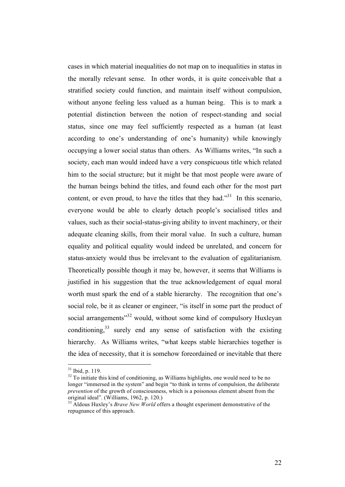cases in which material inequalities do not map on to inequalities in status in the morally relevant sense. In other words, it is quite conceivable that a stratified society could function, and maintain itself without compulsion, without anyone feeling less valued as a human being. This is to mark a potential distinction between the notion of respect-standing and social status, since one may feel sufficiently respected as a human (at least according to one's understanding of one's humanity) while knowingly occupying a lower social status than others. As Williams writes, "In such a society, each man would indeed have a very conspicuous title which related him to the social structure; but it might be that most people were aware of the human beings behind the titles, and found each other for the most part content, or even proud, to have the titles that they had."<sup>31</sup> In this scenario, everyone would be able to clearly detach people's socialised titles and values, such as their social-status-giving ability to invent machinery, or their adequate cleaning skills, from their moral value. In such a culture, human equality and political equality would indeed be unrelated, and concern for status-anxiety would thus be irrelevant to the evaluation of egalitarianism. Theoretically possible though it may be, however, it seems that Williams is justified in his suggestion that the true acknowledgement of equal moral worth must spark the end of a stable hierarchy. The recognition that one's social role, be it as cleaner or engineer, "is itself in some part the product of social arrangements<sup>32</sup> would, without some kind of compulsory Huxleyan conditioning, $33$  surely end any sense of satisfaction with the existing hierarchy. As Williams writes, "what keeps stable hierarchies together is the idea of necessity, that it is somehow foreordained or inevitable that there

 $31$  Ibid, p. 119.

 $32$  To initiate this kind of conditioning, as Williams highlights, one would need to be no longer "immersed in the system" and begin "to think in terms of compulsion, the deliberate *prevention* of the growth of consciousness, which is a poisonous element absent from the original ideal". (Williams, 1962, p. 120.)<br><sup>33</sup> Aldous Huxley's *Brave New World* offers a thought experiment demonstrative of the

repugnance of this approach.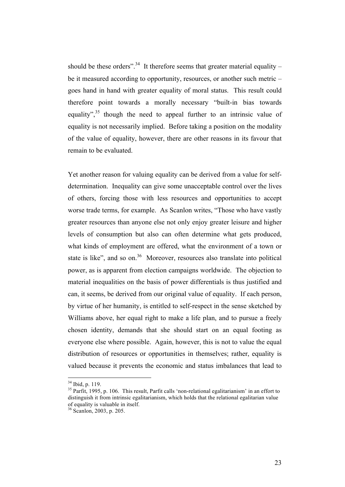should be these orders".<sup>34</sup> It therefore seems that greater material equality – be it measured according to opportunity, resources, or another such metric – goes hand in hand with greater equality of moral status. This result could therefore point towards a morally necessary "built-in bias towards equality",<sup>35</sup> though the need to appeal further to an intrinsic value of equality is not necessarily implied. Before taking a position on the modality of the value of equality, however, there are other reasons in its favour that remain to be evaluated.

Yet another reason for valuing equality can be derived from a value for selfdetermination. Inequality can give some unacceptable control over the lives of others, forcing those with less resources and opportunities to accept worse trade terms, for example. As Scanlon writes, "Those who have vastly greater resources than anyone else not only enjoy greater leisure and higher levels of consumption but also can often determine what gets produced, what kinds of employment are offered, what the environment of a town or state is like", and so on. $36$  Moreover, resources also translate into political power, as is apparent from election campaigns worldwide. The objection to material inequalities on the basis of power differentials is thus justified and can, it seems, be derived from our original value of equality. If each person, by virtue of her humanity, is entitled to self-respect in the sense sketched by Williams above, her equal right to make a life plan, and to pursue a freely chosen identity, demands that she should start on an equal footing as everyone else where possible. Again, however, this is not to value the equal distribution of resources or opportunities in themselves; rather, equality is valued because it prevents the economic and status imbalances that lead to

 <sup>34</sup> Ibid, p. 119.

<sup>&</sup>lt;sup>35</sup> Parfit, 1995, p. 106. This result, Parfit calls 'non-relational egalitarianism' in an effort to distinguish it from intrinsic egalitarianism, which holds that the relational egalitarian value of equality is valuable in itself.

 $36$  Scanlon, 2003, p. 205.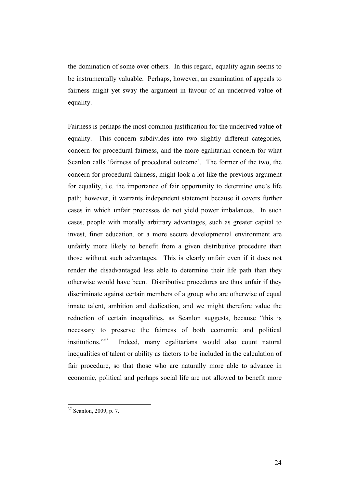the domination of some over others. In this regard, equality again seems to be instrumentally valuable. Perhaps, however, an examination of appeals to fairness might yet sway the argument in favour of an underived value of equality.

Fairness is perhaps the most common justification for the underived value of equality. This concern subdivides into two slightly different categories, concern for procedural fairness, and the more egalitarian concern for what Scanlon calls 'fairness of procedural outcome'. The former of the two, the concern for procedural fairness, might look a lot like the previous argument for equality, i.e. the importance of fair opportunity to determine one's life path; however, it warrants independent statement because it covers further cases in which unfair processes do not yield power imbalances. In such cases, people with morally arbitrary advantages, such as greater capital to invest, finer education, or a more secure developmental environment are unfairly more likely to benefit from a given distributive procedure than those without such advantages. This is clearly unfair even if it does not render the disadvantaged less able to determine their life path than they otherwise would have been. Distributive procedures are thus unfair if they discriminate against certain members of a group who are otherwise of equal innate talent, ambition and dedication, and we might therefore value the reduction of certain inequalities, as Scanlon suggests, because "this is necessary to preserve the fairness of both economic and political institutions."37 Indeed, many egalitarians would also count natural inequalities of talent or ability as factors to be included in the calculation of fair procedure, so that those who are naturally more able to advance in economic, political and perhaps social life are not allowed to benefit more

 <sup>37</sup> Scanlon, 2009, p. 7.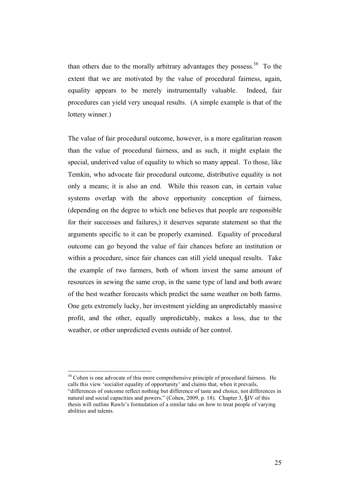than others due to the morally arbitrary advantages they possess.<sup>38</sup> To the extent that we are motivated by the value of procedural fairness, again, equality appears to be merely instrumentally valuable. Indeed, fair procedures can yield very unequal results. (A simple example is that of the lottery winner.)

The value of fair procedural outcome, however, is a more egalitarian reason than the value of procedural fairness, and as such, it might explain the special, underived value of equality to which so many appeal. To those, like Temkin, who advocate fair procedural outcome, distributive equality is not only a means; it is also an end. While this reason can, in certain value systems overlap with the above opportunity conception of fairness, (depending on the degree to which one believes that people are responsible for their successes and failures,) it deserves separate statement so that the arguments specific to it can be properly examined. Equality of procedural outcome can go beyond the value of fair chances before an institution or within a procedure, since fair chances can still yield unequal results. Take the example of two farmers, both of whom invest the same amount of resources in sewing the same crop, in the same type of land and both aware of the best weather forecasts which predict the same weather on both farms. One gets extremely lucky, her investment yielding an unpredictably massive profit, and the other, equally unpredictably, makes a loss, due to the weather, or other unpredicted events outside of her control.

<sup>&</sup>lt;sup>38</sup> Cohen is one advocate of this more comprehensive principle of procedural fairness. He calls this view 'socialist equality of opportunity' and claims that, when it prevails, "differences of outcome reflect nothing but difference of taste and choice, not differences in natural and social capacities and powers." (Cohen, 2009, p. 18). Chapter 3, §IV of this thesis will outline Rawls's formulation of a similar take on how to treat people of varying abilities and talents.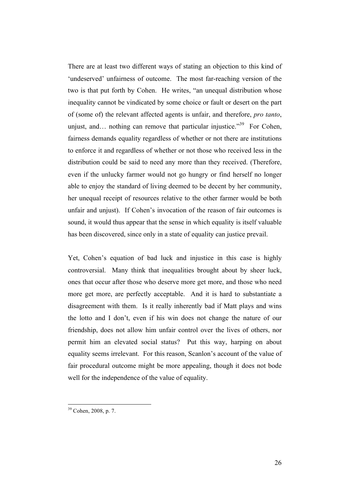There are at least two different ways of stating an objection to this kind of 'undeserved' unfairness of outcome. The most far-reaching version of the two is that put forth by Cohen. He writes, "an unequal distribution whose inequality cannot be vindicated by some choice or fault or desert on the part of (some of) the relevant affected agents is unfair, and therefore, *pro tanto*, unjust, and... nothing can remove that particular injustice.<sup>39</sup> For Cohen, fairness demands equality regardless of whether or not there are institutions to enforce it and regardless of whether or not those who received less in the distribution could be said to need any more than they received. (Therefore, even if the unlucky farmer would not go hungry or find herself no longer able to enjoy the standard of living deemed to be decent by her community, her unequal receipt of resources relative to the other farmer would be both unfair and unjust). If Cohen's invocation of the reason of fair outcomes is sound, it would thus appear that the sense in which equality is itself valuable has been discovered, since only in a state of equality can justice prevail.

Yet, Cohen's equation of bad luck and injustice in this case is highly controversial. Many think that inequalities brought about by sheer luck, ones that occur after those who deserve more get more, and those who need more get more, are perfectly acceptable. And it is hard to substantiate a disagreement with them. Is it really inherently bad if Matt plays and wins the lotto and I don't, even if his win does not change the nature of our friendship, does not allow him unfair control over the lives of others, nor permit him an elevated social status? Put this way, harping on about equality seems irrelevant. For this reason, Scanlon's account of the value of fair procedural outcome might be more appealing, though it does not bode well for the independence of the value of equality.

 <sup>39</sup> Cohen, 2008, p. 7.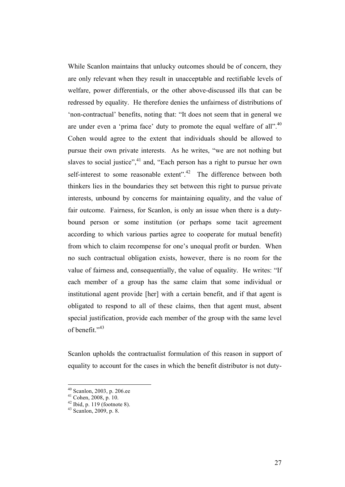While Scanlon maintains that unlucky outcomes should be of concern, they are only relevant when they result in unacceptable and rectifiable levels of welfare, power differentials, or the other above-discussed ills that can be redressed by equality. He therefore denies the unfairness of distributions of 'non-contractual' benefits, noting that: "It does not seem that in general we are under even a 'prima face' duty to promote the equal welfare of all".<sup>40</sup> Cohen would agree to the extent that individuals should be allowed to pursue their own private interests. As he writes, "we are not nothing but slaves to social justice",  $41$  and, "Each person has a right to pursue her own self-interest to some reasonable extent". $42$  The difference between both thinkers lies in the boundaries they set between this right to pursue private interests, unbound by concerns for maintaining equality, and the value of fair outcome. Fairness, for Scanlon, is only an issue when there is a dutybound person or some institution (or perhaps some tacit agreement according to which various parties agree to cooperate for mutual benefit) from which to claim recompense for one's unequal profit or burden. When no such contractual obligation exists, however, there is no room for the value of fairness and, consequentially, the value of equality. He writes: "If each member of a group has the same claim that some individual or institutional agent provide [her] with a certain benefit, and if that agent is obligated to respond to all of these claims, then that agent must, absent special justification, provide each member of the group with the same level of benefit." 43

Scanlon upholds the contractualist formulation of this reason in support of equality to account for the cases in which the benefit distributor is not duty-

<sup>&</sup>lt;sup>40</sup> Scanlon, 2003, p. 206.ee<br><sup>41</sup> Cohen, 2008, p. 10.<br><sup>42</sup> Ibid, p. 119 (footnote 8).

<sup>43</sup> Scanlon, 2009, p. 8.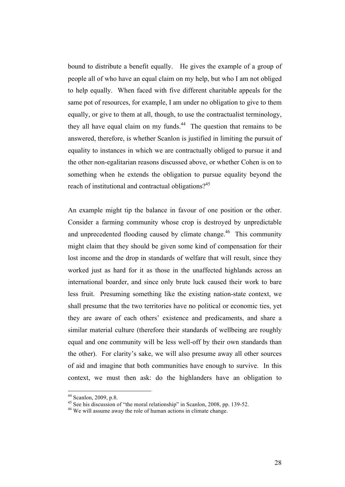bound to distribute a benefit equally. He gives the example of a group of people all of who have an equal claim on my help, but who I am not obliged to help equally. When faced with five different charitable appeals for the same pot of resources, for example, I am under no obligation to give to them equally, or give to them at all, though, to use the contractualist terminology, they all have equal claim on my funds.<sup>44</sup> The question that remains to be answered, therefore, is whether Scanlon is justified in limiting the pursuit of equality to instances in which we are contractually obliged to pursue it and the other non-egalitarian reasons discussed above, or whether Cohen is on to something when he extends the obligation to pursue equality beyond the reach of institutional and contractual obligations?<sup>45</sup>

An example might tip the balance in favour of one position or the other. Consider a farming community whose crop is destroyed by unpredictable and unprecedented flooding caused by climate change.<sup>46</sup> This community might claim that they should be given some kind of compensation for their lost income and the drop in standards of welfare that will result, since they worked just as hard for it as those in the unaffected highlands across an international boarder, and since only brute luck caused their work to bare less fruit. Presuming something like the existing nation-state context, we shall presume that the two territories have no political or economic ties, yet they are aware of each others' existence and predicaments, and share a similar material culture (therefore their standards of wellbeing are roughly equal and one community will be less well-off by their own standards than the other). For clarity's sake, we will also presume away all other sources of aid and imagine that both communities have enough to survive. In this context, we must then ask: do the highlanders have an obligation to

<sup>&</sup>lt;sup>44</sup> Scanlon, 2009, p.8.<br><sup>45</sup> See his discussion of "the moral relationship" in Scanlon, 2008, pp. 139-52.

<sup>&</sup>lt;sup>46</sup> We will assume away the role of human actions in climate change.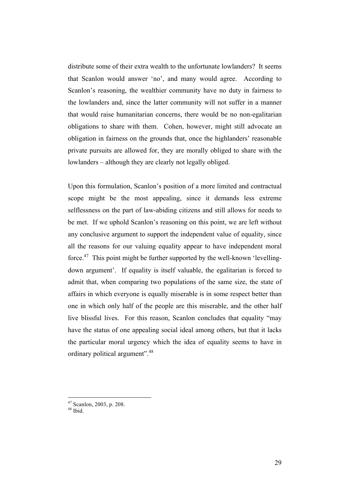distribute some of their extra wealth to the unfortunate lowlanders? It seems that Scanlon would answer 'no', and many would agree. According to Scanlon's reasoning, the wealthier community have no duty in fairness to the lowlanders and, since the latter community will not suffer in a manner that would raise humanitarian concerns, there would be no non-egalitarian obligations to share with them. Cohen, however, might still advocate an obligation in fairness on the grounds that, once the highlanders' reasonable private pursuits are allowed for, they are morally obliged to share with the lowlanders – although they are clearly not legally obliged.

Upon this formulation, Scanlon's position of a more limited and contractual scope might be the most appealing, since it demands less extreme selflessness on the part of law-abiding citizens and still allows for needs to be met. If we uphold Scanlon's reasoning on this point, we are left without any conclusive argument to support the independent value of equality, since all the reasons for our valuing equality appear to have independent moral force. $47$  This point might be further supported by the well-known 'levellingdown argument'. If equality is itself valuable, the egalitarian is forced to admit that, when comparing two populations of the same size, the state of affairs in which everyone is equally miserable is in some respect better than one in which only half of the people are this miserable, and the other half live blissful lives. For this reason, Scanlon concludes that equality "may have the status of one appealing social ideal among others, but that it lacks the particular moral urgency which the idea of equality seems to have in ordinary political argument".48

 <sup>47</sup> Scanlon, 2003, p. 208.

 $48$  Ibid.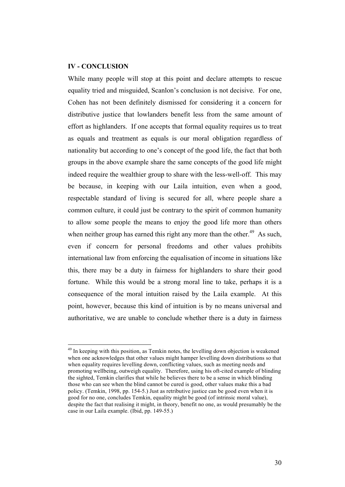#### **IV - CONCLUSION**

While many people will stop at this point and declare attempts to rescue equality tried and misguided, Scanlon's conclusion is not decisive. For one, Cohen has not been definitely dismissed for considering it a concern for distributive justice that lowlanders benefit less from the same amount of effort as highlanders. If one accepts that formal equality requires us to treat as equals and treatment as equals is our moral obligation regardless of nationality but according to one's concept of the good life, the fact that both groups in the above example share the same concepts of the good life might indeed require the wealthier group to share with the less-well-off. This may be because, in keeping with our Laila intuition, even when a good, respectable standard of living is secured for all, where people share a common culture, it could just be contrary to the spirit of common humanity to allow some people the means to enjoy the good life more than others when neither group has earned this right any more than the other.<sup>49</sup> As such, even if concern for personal freedoms and other values prohibits international law from enforcing the equalisation of income in situations like this, there may be a duty in fairness for highlanders to share their good fortune. While this would be a strong moral line to take, perhaps it is a consequence of the moral intuition raised by the Laila example. At this point, however, because this kind of intuition is by no means universal and authoritative, we are unable to conclude whether there is a duty in fairness

<sup>&</sup>lt;sup>49</sup> In keeping with this position, as Temkin notes, the levelling down objection is weakened when one acknowledges that other values might hamper levelling down distributions so that when equality requires levelling down, conflicting values, such as meeting needs and promoting wellbeing, outweigh equality. Therefore, using his oft-cited example of blinding the sighted, Temkin clarifies that while he believes there to be a sense in which blinding those who can see when the blind cannot be cured is good, other values make this a bad policy. (Temkin, 1998, pp. 154-5.) Just as retributive justice can be good even when it is good for no one, concludes Temkin, equality might be good (of intrinsic moral value), despite the fact that realising it might, in theory, benefit no one, as would presumably be the case in our Laila example. (Ibid, pp. 149-55.)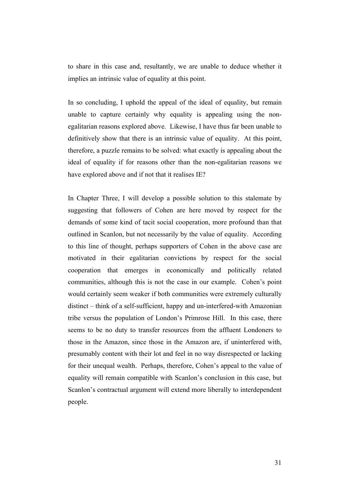to share in this case and, resultantly, we are unable to deduce whether it implies an intrinsic value of equality at this point.

In so concluding, I uphold the appeal of the ideal of equality, but remain unable to capture certainly why equality is appealing using the nonegalitarian reasons explored above. Likewise, I have thus far been unable to definitively show that there is an intrinsic value of equality. At this point, therefore, a puzzle remains to be solved: what exactly is appealing about the ideal of equality if for reasons other than the non-egalitarian reasons we have explored above and if not that it realises IE?

In Chapter Three, I will develop a possible solution to this stalemate by suggesting that followers of Cohen are here moved by respect for the demands of some kind of tacit social cooperation, more profound than that outlined in Scanlon, but not necessarily by the value of equality. According to this line of thought, perhaps supporters of Cohen in the above case are motivated in their egalitarian convictions by respect for the social cooperation that emerges in economically and politically related communities, although this is not the case in our example. Cohen's point would certainly seem weaker if both communities were extremely culturally distinct – think of a self-sufficient, happy and un-interfered-with Amazonian tribe versus the population of London's Primrose Hill. In this case, there seems to be no duty to transfer resources from the affluent Londoners to those in the Amazon, since those in the Amazon are, if uninterfered with, presumably content with their lot and feel in no way disrespected or lacking for their unequal wealth. Perhaps, therefore, Cohen's appeal to the value of equality will remain compatible with Scanlon's conclusion in this case, but Scanlon's contractual argument will extend more liberally to interdependent people.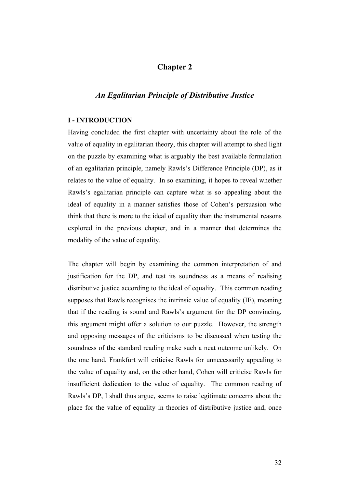# **Chapter 2**

## *An Egalitarian Principle of Distributive Justice*

#### **I - INTRODUCTION**

Having concluded the first chapter with uncertainty about the role of the value of equality in egalitarian theory, this chapter will attempt to shed light on the puzzle by examining what is arguably the best available formulation of an egalitarian principle, namely Rawls's Difference Principle (DP), as it relates to the value of equality. In so examining, it hopes to reveal whether Rawls's egalitarian principle can capture what is so appealing about the ideal of equality in a manner satisfies those of Cohen's persuasion who think that there is more to the ideal of equality than the instrumental reasons explored in the previous chapter, and in a manner that determines the modality of the value of equality.

The chapter will begin by examining the common interpretation of and justification for the DP, and test its soundness as a means of realising distributive justice according to the ideal of equality. This common reading supposes that Rawls recognises the intrinsic value of equality (IE), meaning that if the reading is sound and Rawls's argument for the DP convincing, this argument might offer a solution to our puzzle. However, the strength and opposing messages of the criticisms to be discussed when testing the soundness of the standard reading make such a neat outcome unlikely. On the one hand, Frankfurt will criticise Rawls for unnecessarily appealing to the value of equality and, on the other hand, Cohen will criticise Rawls for insufficient dedication to the value of equality. The common reading of Rawls's DP, I shall thus argue, seems to raise legitimate concerns about the place for the value of equality in theories of distributive justice and, once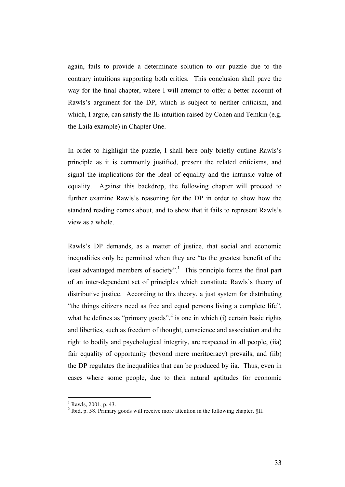again, fails to provide a determinate solution to our puzzle due to the contrary intuitions supporting both critics. This conclusion shall pave the way for the final chapter, where I will attempt to offer a better account of Rawls's argument for the DP, which is subject to neither criticism, and which, I argue, can satisfy the IE intuition raised by Cohen and Temkin (e.g. the Laila example) in Chapter One.

In order to highlight the puzzle, I shall here only briefly outline Rawls's principle as it is commonly justified, present the related criticisms, and signal the implications for the ideal of equality and the intrinsic value of equality. Against this backdrop, the following chapter will proceed to further examine Rawls's reasoning for the DP in order to show how the standard reading comes about, and to show that it fails to represent Rawls's view as a whole.

Rawls's DP demands, as a matter of justice, that social and economic inequalities only be permitted when they are "to the greatest benefit of the least advantaged members of society".<sup>1</sup> This principle forms the final part of an inter-dependent set of principles which constitute Rawls's theory of distributive justice. According to this theory, a just system for distributing "the things citizens need as free and equal persons living a complete life", what he defines as "primary goods", $2$  is one in which (i) certain basic rights and liberties, such as freedom of thought, conscience and association and the right to bodily and psychological integrity, are respected in all people, (iia) fair equality of opportunity (beyond mere meritocracy) prevails, and (iib) the DP regulates the inequalities that can be produced by iia. Thus, even in cases where some people, due to their natural aptitudes for economic

 $\frac{1}{1}$  $<sup>1</sup>$  Rawls, 2001, p. 43.</sup>

<sup>&</sup>lt;sup>2</sup> Ibid. p. 58. Primary goods will receive more attention in the following chapter, §II.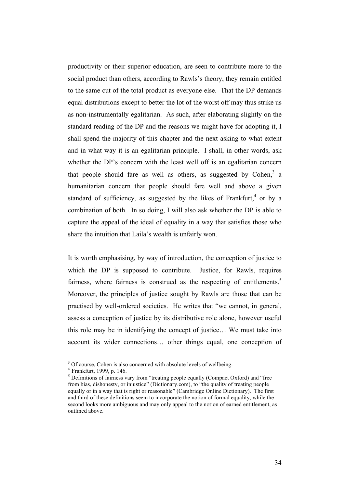productivity or their superior education, are seen to contribute more to the social product than others, according to Rawls's theory, they remain entitled to the same cut of the total product as everyone else. That the DP demands equal distributions except to better the lot of the worst off may thus strike us as non-instrumentally egalitarian. As such, after elaborating slightly on the standard reading of the DP and the reasons we might have for adopting it, I shall spend the majority of this chapter and the next asking to what extent and in what way it is an egalitarian principle. I shall, in other words, ask whether the DP's concern with the least well off is an egalitarian concern that people should fare as well as others, as suggested by Cohen, $3$  a humanitarian concern that people should fare well and above a given standard of sufficiency, as suggested by the likes of Frankfurt,<sup>4</sup> or by a combination of both. In so doing, I will also ask whether the DP is able to capture the appeal of the ideal of equality in a way that satisfies those who share the intuition that Laila's wealth is unfairly won.

It is worth emphasising, by way of introduction, the conception of justice to which the DP is supposed to contribute. Justice, for Rawls, requires fairness, where fairness is construed as the respecting of entitlements. $5$ Moreover, the principles of justice sought by Rawls are those that can be practised by well-ordered societies. He writes that "we cannot, in general, assess a conception of justice by its distributive role alone, however useful this role may be in identifying the concept of justice… We must take into account its wider connections… other things equal, one conception of

<sup>&</sup>lt;sup>2</sup><br>3  $3$  Of course, Cohen is also concerned with absolute levels of wellbeing.<br> $4$  Frankfurt, 1999, p. 146.

 $<sup>5</sup>$  Definitions of fairness vary from "treating people equally (Compact Oxford) and "free</sup> from bias, dishonesty, or injustice" (Dictionary.com), to "the quality of treating people equally or in a way that is right or reasonable" (Cambridge Online Dictionary). The first and third of these definitions seem to incorporate the notion of formal equality, while the second looks more ambiguous and may only appeal to the notion of earned entitlement, as outlined above.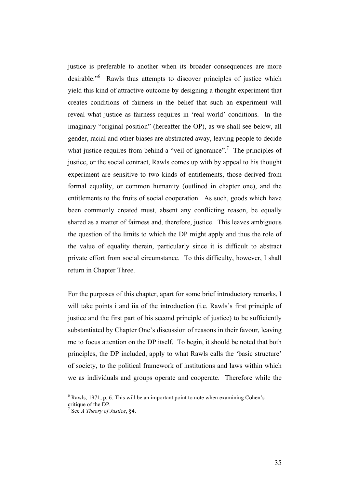justice is preferable to another when its broader consequences are more desirable."<sup>6</sup> Rawls thus attempts to discover principles of justice which yield this kind of attractive outcome by designing a thought experiment that creates conditions of fairness in the belief that such an experiment will reveal what justice as fairness requires in 'real world' conditions. In the imaginary "original position" (hereafter the OP), as we shall see below, all gender, racial and other biases are abstracted away, leaving people to decide what justice requires from behind a "veil of ignorance".<sup>7</sup> The principles of justice, or the social contract. Rawls comes up with by appeal to his thought experiment are sensitive to two kinds of entitlements, those derived from formal equality, or common humanity (outlined in chapter one), and the entitlements to the fruits of social cooperation. As such, goods which have been commonly created must, absent any conflicting reason, be equally shared as a matter of fairness and, therefore, justice. This leaves ambiguous the question of the limits to which the DP might apply and thus the role of the value of equality therein, particularly since it is difficult to abstract private effort from social circumstance. To this difficulty, however, I shall return in Chapter Three.

For the purposes of this chapter, apart for some brief introductory remarks, I will take points i and iia of the introduction (i.e. Rawls's first principle of justice and the first part of his second principle of justice) to be sufficiently substantiated by Chapter One's discussion of reasons in their favour, leaving me to focus attention on the DP itself. To begin, it should be noted that both principles, the DP included, apply to what Rawls calls the 'basic structure' of society, to the political framework of institutions and laws within which we as individuals and groups operate and cooperate. Therefore while the

 $\frac{1}{6}$  $6$  Rawls, 1971, p. 6. This will be an important point to note when examining Cohen's critique of the DP.

<sup>7</sup> See *A Theory of Justice*, §4.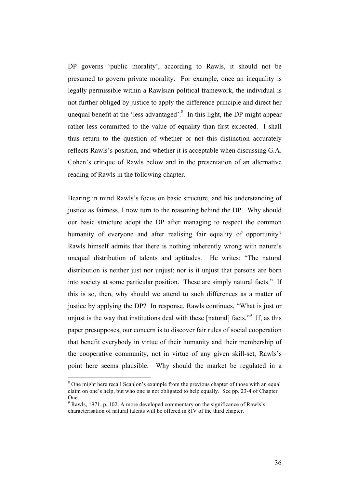DP governs 'public morality', according to Rawls, it should not be presumed to govern private morality. For example, once an inequality is legally permissible within a Rawlsian political framework, the individual is not further obliged by justice to apply the difference principle and direct her unequal benefit at the 'less advantaged'. $8\,$  In this light, the DP might appear rather less committed to the value of equality than first expected. I shall thus return to the question of whether or not this distinction accurately reflects Rawls's position, and whether it is acceptable when discussing G.A. Cohen's critique of Rawls below and in the presentation of an alternative reading of Rawls in the following chapter.

Bearing in mind Rawls's focus on basic structure, and his understanding of justice as fairness, I now turn to the reasoning behind the DP. Why should our basic structure adopt the DP after managing to respect the common humanity of everyone and after realising fair equality of opportunity? Rawls himself admits that there is nothing inherently wrong with nature's unequal distribution of talents and aptitudes. He writes: "The natural distribution is neither just nor unjust; nor is it unjust that persons are born into society at some particular position. These are simply natural facts." If this is so, then, why should we attend to such differences as a matter of justice by applying the DP? In response, Rawls continues, "What is just or unjust is the way that institutions deal with these [natural] facts.<sup> $\cdot$ 9</sup> If, as this paper presupposes, our concern is to discover fair rules of social cooperation that benefit everybody in virtue of their humanity and their membership of the cooperative community, not in virtue of any given skill-set, Rawls's point here seems plausible. Why should the market be regulated in a

 <sup>8</sup> <sup>8</sup> One might here recall Scanlon's example from the previous chapter of those with an equal claim on one's help, but who one is not obligated to help equally. See pp. 23-4 of Chapter One.

 $9$  Rawls, 1971, p. 102. A more developed commentary on the significance of Rawls's characterisation of natural talents will be offered in §IV of the third chapter.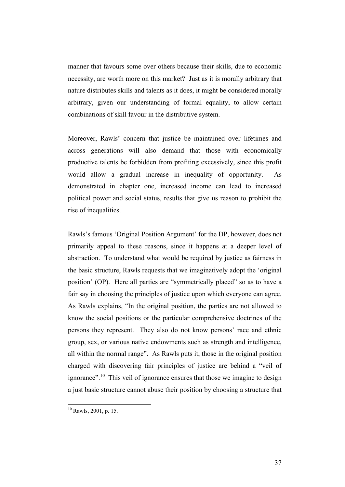manner that favours some over others because their skills, due to economic necessity, are worth more on this market? Just as it is morally arbitrary that nature distributes skills and talents as it does, it might be considered morally arbitrary, given our understanding of formal equality, to allow certain combinations of skill favour in the distributive system.

Moreover, Rawls' concern that justice be maintained over lifetimes and across generations will also demand that those with economically productive talents be forbidden from profiting excessively, since this profit would allow a gradual increase in inequality of opportunity. As demonstrated in chapter one, increased income can lead to increased political power and social status, results that give us reason to prohibit the rise of inequalities.

Rawls's famous 'Original Position Argument' for the DP, however, does not primarily appeal to these reasons, since it happens at a deeper level of abstraction. To understand what would be required by justice as fairness in the basic structure, Rawls requests that we imaginatively adopt the 'original position' (OP). Here all parties are "symmetrically placed" so as to have a fair say in choosing the principles of justice upon which everyone can agree. As Rawls explains, "In the original position, the parties are not allowed to know the social positions or the particular comprehensive doctrines of the persons they represent. They also do not know persons' race and ethnic group, sex, or various native endowments such as strength and intelligence, all within the normal range". As Rawls puts it, those in the original position charged with discovering fair principles of justice are behind a "veil of ignorance".10 This veil of ignorance ensures that those we imagine to design a just basic structure cannot abuse their position by choosing a structure that

 $10$  Rawls, 2001, p. 15.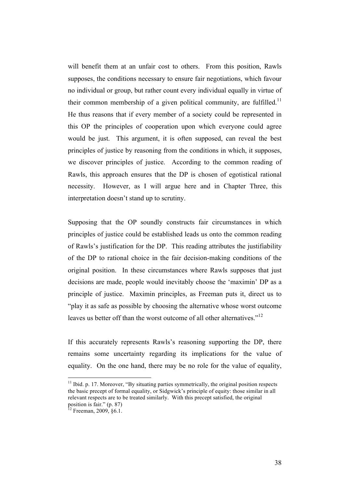will benefit them at an unfair cost to others. From this position, Rawls supposes, the conditions necessary to ensure fair negotiations, which favour no individual or group, but rather count every individual equally in virtue of their common membership of a given political community, are fulfilled.<sup>11</sup> He thus reasons that if every member of a society could be represented in this OP the principles of cooperation upon which everyone could agree would be just. This argument, it is often supposed, can reveal the best principles of justice by reasoning from the conditions in which, it supposes, we discover principles of justice. According to the common reading of Rawls, this approach ensures that the DP is chosen of egotistical rational necessity. However, as I will argue here and in Chapter Three, this interpretation doesn't stand up to scrutiny.

Supposing that the OP soundly constructs fair circumstances in which principles of justice could be established leads us onto the common reading of Rawls's justification for the DP. This reading attributes the justifiability of the DP to rational choice in the fair decision-making conditions of the original position. In these circumstances where Rawls supposes that just decisions are made, people would inevitably choose the 'maximin' DP as a principle of justice. Maximin principles, as Freeman puts it, direct us to "play it as safe as possible by choosing the alternative whose worst outcome leaves us better off than the worst outcome of all other alternatives."<sup>12</sup>

If this accurately represents Rawls's reasoning supporting the DP, there remains some uncertainty regarding its implications for the value of equality. On the one hand, there may be no role for the value of equality,

 $11$  Ibid. p. 17. Moreover, "By situating parties symmetrically, the original position respects the basic precept of formal equality, or Sidgwick's principle of equity: those similar in all relevant respects are to be treated similarly. With this precept satisfied, the original position is fair." (p. 87)

 $12$  Freeman, 2009, §6.1.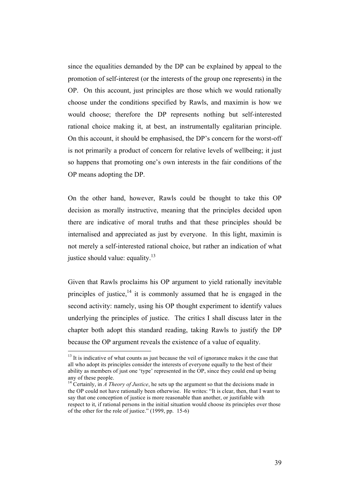since the equalities demanded by the DP can be explained by appeal to the promotion of self-interest (or the interests of the group one represents) in the OP. On this account, just principles are those which we would rationally choose under the conditions specified by Rawls, and maximin is how we would choose; therefore the DP represents nothing but self-interested rational choice making it, at best, an instrumentally egalitarian principle. On this account, it should be emphasised, the DP's concern for the worst-off is not primarily a product of concern for relative levels of wellbeing; it just so happens that promoting one's own interests in the fair conditions of the OP means adopting the DP.

On the other hand, however, Rawls could be thought to take this OP decision as morally instructive, meaning that the principles decided upon there are indicative of moral truths and that these principles should be internalised and appreciated as just by everyone. In this light, maximin is not merely a self-interested rational choice, but rather an indication of what justice should value: equality. $13$ 

Given that Rawls proclaims his OP argument to yield rationally inevitable principles of justice,  $14$  it is commonly assumed that he is engaged in the second activity: namely, using his OP thought experiment to identify values underlying the principles of justice. The critics I shall discuss later in the chapter both adopt this standard reading, taking Rawls to justify the DP because the OP argument reveals the existence of a value of equality.

 $13$  It is indicative of what counts as just because the veil of ignorance makes it the case that all who adopt its principles consider the interests of everyone equally to the best of their ability as members of just one 'type' represented in the OP, since they could end up being any of these people.

<sup>&</sup>lt;sup>14</sup> Certainly, in  $\hat{A}$  Theory of Justice, he sets up the argument so that the decisions made in the OP could not have rationally been otherwise. He writes: "It is clear, then, that I want to say that one conception of justice is more reasonable than another, or justifiable with respect to it, if rational persons in the initial situation would choose its principles over those of the other for the role of justice." (1999, pp. 15-6)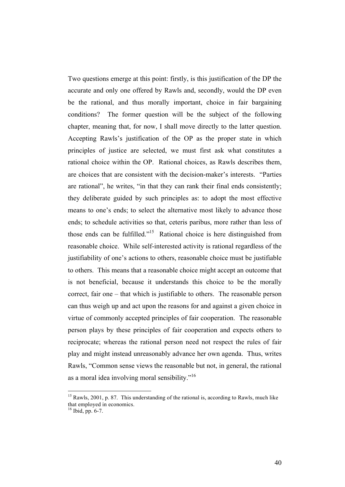Two questions emerge at this point: firstly, is this justification of the DP the accurate and only one offered by Rawls and, secondly, would the DP even be the rational, and thus morally important, choice in fair bargaining conditions? The former question will be the subject of the following chapter, meaning that, for now, I shall move directly to the latter question. Accepting Rawls's justification of the OP as the proper state in which principles of justice are selected, we must first ask what constitutes a rational choice within the OP. Rational choices, as Rawls describes them, are choices that are consistent with the decision-maker's interests. "Parties are rational", he writes, "in that they can rank their final ends consistently; they deliberate guided by such principles as: to adopt the most effective means to one's ends; to select the alternative most likely to advance those ends; to schedule activities so that, ceteris paribus, more rather than less of those ends can be fulfilled."15 Rational choice is here distinguished from reasonable choice. While self-interested activity is rational regardless of the justifiability of one's actions to others, reasonable choice must be justifiable to others. This means that a reasonable choice might accept an outcome that is not beneficial, because it understands this choice to be the morally correct, fair one – that which is justifiable to others. The reasonable person can thus weigh up and act upon the reasons for and against a given choice in virtue of commonly accepted principles of fair cooperation. The reasonable person plays by these principles of fair cooperation and expects others to reciprocate; whereas the rational person need not respect the rules of fair play and might instead unreasonably advance her own agenda. Thus, writes Rawls, "Common sense views the reasonable but not, in general, the rational as a moral idea involving moral sensibility."16

 $15$  Rawls, 2001, p. 87. This understanding of the rational is, according to Rawls, much like that employed in economics.

<sup>16</sup> Ibid, pp. 6-7.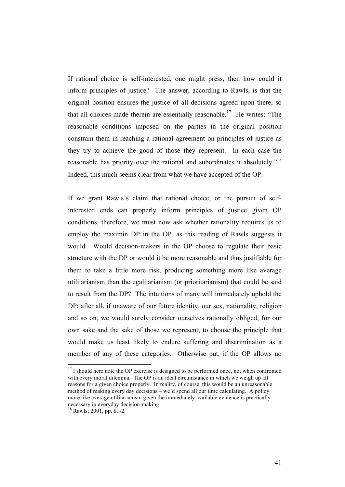If rational choice is self-interested, one might press, then how could it inform principles of justice? The answer, according to Rawls, is that the original position ensures the justice of all decisions agreed upon there, so that all choices made therein are essentially reasonable.<sup>17</sup> He writes: "The reasonable conditions imposed on the parties in the original position constrain them in reaching a rational agreement on principles of justice as they try to achieve the good of those they represent. In each case the reasonable has priority over the rational and subordinates it absolutely."18 Indeed, this much seems clear from what we have accepted of the OP.

If we grant Rawls's claim that rational choice, or the pursuit of selfinterested ends can properly inform principles of justice given OP conditions, therefore, we must now ask whether rationality requires us to employ the maximin DP in the OP, as this reading of Rawls suggests it would. Would decision-makers in the OP choose to regulate their basic structure with the DP or would it be more reasonable and thus justifiable for them to take a little more risk, producing something more like average utilitarianism than the egalitarianism (or prioritarianism) that could be said to result from the DP? The intuitions of many will immediately uphold the DP; after all, if unaware of our future identity, our sex, nationality, religion and so on, we would surely consider ourselves rationally obliged, for our own sake and the sake of those we represent, to choose the principle that would make us least likely to endure suffering and discrimination as a member of any of these categories. Otherwise put, if the OP allows no

 $17$  I should here note the OP exercise is designed to be performed once, not when confronted with every moral dilemma. The OP is an ideal circumstance in which we weigh up all reasons for a given choice properly. In reality, of course, this would be an unreasonable method of making every day decisions – we'd spend all our time calculating. A policy more like average utilitarianism given the immediately available evidence is practically necessary in everyday decision-making. 18 Rawls, 2001, pp. 81-2.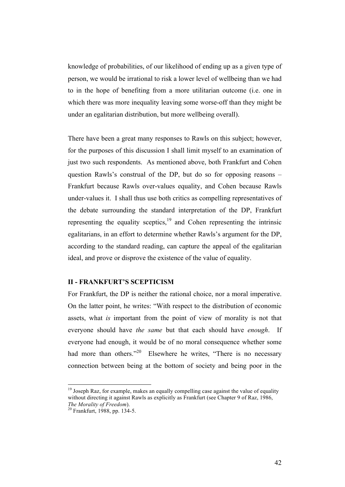knowledge of probabilities, of our likelihood of ending up as a given type of person, we would be irrational to risk a lower level of wellbeing than we had to in the hope of benefiting from a more utilitarian outcome (i.e. one in which there was more inequality leaving some worse-off than they might be under an egalitarian distribution, but more wellbeing overall).

There have been a great many responses to Rawls on this subject; however, for the purposes of this discussion I shall limit myself to an examination of just two such respondents. As mentioned above, both Frankfurt and Cohen question Rawls's construal of the DP, but do so for opposing reasons – Frankfurt because Rawls over-values equality, and Cohen because Rawls under-values it. I shall thus use both critics as compelling representatives of the debate surrounding the standard interpretation of the DP, Frankfurt representing the equality sceptics, $19$  and Cohen representing the intrinsic egalitarians, in an effort to determine whether Rawls's argument for the DP, according to the standard reading, can capture the appeal of the egalitarian ideal, and prove or disprove the existence of the value of equality.

# **II - FRANKFURT'S SCEPTICISM**

For Frankfurt, the DP is neither the rational choice, nor a moral imperative. On the latter point, he writes: "With respect to the distribution of economic assets, what *is* important from the point of view of morality is not that everyone should have *the same* but that each should have *enough*. If everyone had enough, it would be of no moral consequence whether some had more than others."<sup>20</sup> Elsewhere he writes, "There is no necessary connection between being at the bottom of society and being poor in the

 $19$  Joseph Raz, for example, makes an equally compelling case against the value of equality without directing it against Rawls as explicitly as Frankfurt (see Chapter 9 of Raz, 1986, *The Morality of Freedom*). 20 Frankfurt, 1988, pp. 134-5.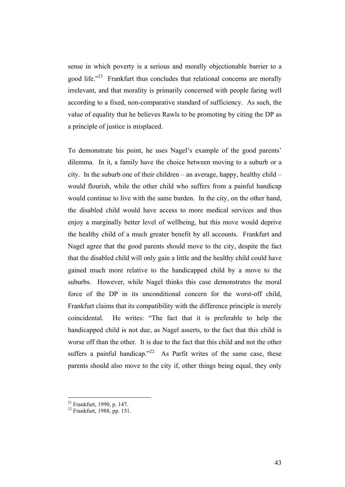sense in which poverty is a serious and morally objectionable barrier to a good life."<sup>21</sup> Frankfurt thus concludes that relational concerns are morally irrelevant, and that morality is primarily concerned with people faring well according to a fixed, non-comparative standard of sufficiency. As such, the value of equality that he believes Rawls to be promoting by citing the DP as a principle of justice is misplaced.

To demonstrate his point, he uses Nagel's example of the good parents' dilemma. In it, a family have the choice between moving to a suburb or a city. In the suburb one of their children – an average, happy, healthy child – would flourish, while the other child who suffers from a painful handicap would continue to live with the same burden. In the city, on the other hand, the disabled child would have access to more medical services and thus enjoy a marginally better level of wellbeing, but this move would deprive the healthy child of a much greater benefit by all accounts. Frankfurt and Nagel agree that the good parents should move to the city, despite the fact that the disabled child will only gain a little and the healthy child could have gained much more relative to the handicapped child by a move to the suburbs. However, while Nagel thinks this case demonstrates the moral force of the DP in its unconditional concern for the worst-off child, Frankfurt claims that its compatibility with the difference principle is merely coincidental. He writes: "The fact that it is preferable to help the handicapped child is not due, as Nagel asserts, to the fact that this child is worse off than the other. It is due to the fact that this child and not the other suffers a painful handicap."<sup>22</sup> As Parfit writes of the same case, these parents should also move to the city if, other things being equal, they only

 $^{21}$  Frankfurt, 1990, p. 147.

<sup>22</sup> Frankfurt, 1988, pp. 151.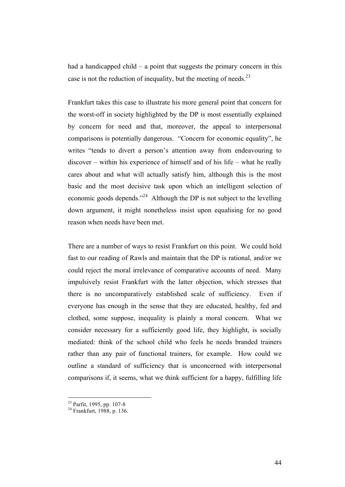had a handicapped child  $-$  a point that suggests the primary concern in this case is not the reduction of inequality, but the meeting of needs.<sup>23</sup>

Frankfurt takes this case to illustrate his more general point that concern for the worst-off in society highlighted by the DP is most essentially explained by concern for need and that, moreover, the appeal to interpersonal comparisons is potentially dangerous. "Concern for economic equality", he writes "tends to divert a person's attention away from endeavouring to discover – within his experience of himself and of his life – what he really cares about and what will actually satisfy him, although this is the most basic and the most decisive task upon which an intelligent selection of economic goods depends."24 Although the DP is not subject to the levelling down argument, it might nonetheless insist upon equalising for no good reason when needs have been met.

There are a number of ways to resist Frankfurt on this point. We could hold fast to our reading of Rawls and maintain that the DP is rational, and/or we could reject the moral irrelevance of comparative accounts of need. Many impulsively resist Frankfurt with the latter objection, which stresses that there is no uncomparatively established scale of sufficiency. Even if everyone has enough in the sense that they are educated, healthy, fed and clothed, some suppose, inequality is plainly a moral concern. What we consider necessary for a sufficiently good life, they highlight, is socially mediated: think of the school child who feels he needs branded trainers rather than any pair of functional trainers, for example. How could we outline a standard of sufficiency that is unconcerned with interpersonal comparisons if, it seems, what we think sufficient for a happy, fulfilling life

 <sup>23</sup> Parfit, 1995, pp. 107-8 24 Frankfurt, 1988, p. 136.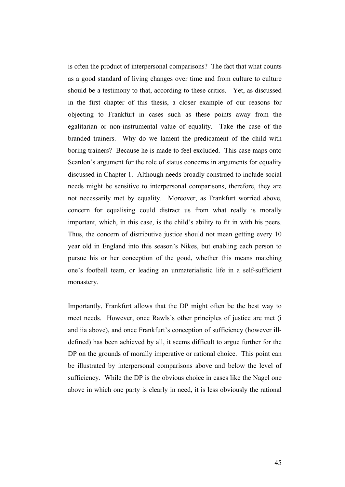is often the product of interpersonal comparisons? The fact that what counts as a good standard of living changes over time and from culture to culture should be a testimony to that, according to these critics. Yet, as discussed in the first chapter of this thesis, a closer example of our reasons for objecting to Frankfurt in cases such as these points away from the egalitarian or non-instrumental value of equality. Take the case of the branded trainers. Why do we lament the predicament of the child with boring trainers? Because he is made to feel excluded. This case maps onto Scanlon's argument for the role of status concerns in arguments for equality discussed in Chapter 1. Although needs broadly construed to include social needs might be sensitive to interpersonal comparisons, therefore, they are not necessarily met by equality. Moreover, as Frankfurt worried above, concern for equalising could distract us from what really is morally important, which, in this case, is the child's ability to fit in with his peers. Thus, the concern of distributive justice should not mean getting every 10 year old in England into this season's Nikes, but enabling each person to pursue his or her conception of the good, whether this means matching one's football team, or leading an unmaterialistic life in a self-sufficient monastery.

Importantly, Frankfurt allows that the DP might often be the best way to meet needs. However, once Rawls's other principles of justice are met (i and iia above), and once Frankfurt's conception of sufficiency (however illdefined) has been achieved by all, it seems difficult to argue further for the DP on the grounds of morally imperative or rational choice. This point can be illustrated by interpersonal comparisons above and below the level of sufficiency. While the DP is the obvious choice in cases like the Nagel one above in which one party is clearly in need, it is less obviously the rational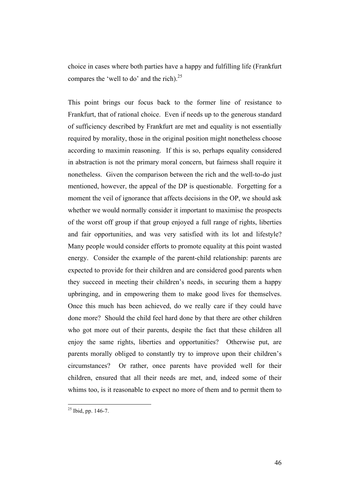choice in cases where both parties have a happy and fulfilling life (Frankfurt compares the 'well to do' and the rich). $^{25}$ 

This point brings our focus back to the former line of resistance to Frankfurt, that of rational choice. Even if needs up to the generous standard of sufficiency described by Frankfurt are met and equality is not essentially required by morality, those in the original position might nonetheless choose according to maximin reasoning. If this is so, perhaps equality considered in abstraction is not the primary moral concern, but fairness shall require it nonetheless. Given the comparison between the rich and the well-to-do just mentioned, however, the appeal of the DP is questionable. Forgetting for a moment the veil of ignorance that affects decisions in the OP, we should ask whether we would normally consider it important to maximise the prospects of the worst off group if that group enjoyed a full range of rights, liberties and fair opportunities, and was very satisfied with its lot and lifestyle? Many people would consider efforts to promote equality at this point wasted energy. Consider the example of the parent-child relationship: parents are expected to provide for their children and are considered good parents when they succeed in meeting their children's needs, in securing them a happy upbringing, and in empowering them to make good lives for themselves. Once this much has been achieved, do we really care if they could have done more? Should the child feel hard done by that there are other children who got more out of their parents, despite the fact that these children all enjoy the same rights, liberties and opportunities? Otherwise put, are parents morally obliged to constantly try to improve upon their children's circumstances? Or rather, once parents have provided well for their children, ensured that all their needs are met, and, indeed some of their whims too, is it reasonable to expect no more of them and to permit them to

 $25$  Ibid, pp. 146-7.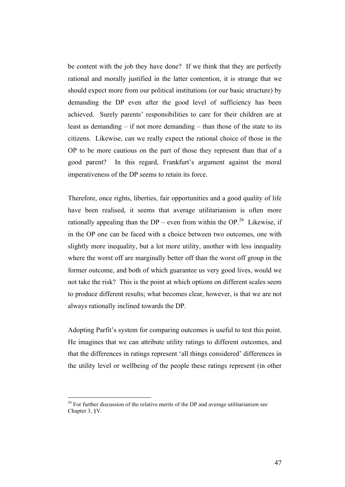be content with the job they have done? If we think that they are perfectly rational and morally justified in the latter contention, it is strange that we should expect more from our political institutions (or our basic structure) by demanding the DP even after the good level of sufficiency has been achieved. Surely parents' responsibilities to care for their children are at least as demanding  $-$  if not more demanding  $-$  than those of the state to its citizens. Likewise, can we really expect the rational choice of those in the OP to be more cautious on the part of those they represent than that of a good parent? In this regard, Frankfurt's argument against the moral imperativeness of the DP seems to retain its force.

Therefore, once rights, liberties, fair opportunities and a good quality of life have been realised, it seems that average utilitarianism is often more rationally appealing than the DP – even from within the OP.<sup>26</sup> Likewise, if in the OP one can be faced with a choice between two outcomes, one with slightly more inequality, but a lot more utility, another with less inequality where the worst off are marginally better off than the worst off group in the former outcome, and both of which guarantee us very good lives, would we not take the risk? This is the point at which options on different scales seem to produce different results; what becomes clear, however, is that we are not always rationally inclined towards the DP.

Adopting Parfit's system for comparing outcomes is useful to test this point. He imagines that we can attribute utility ratings to different outcomes, and that the differences in ratings represent 'all things considered' differences in the utility level or wellbeing of the people these ratings represent (in other

 $26$  For further discussion of the relative merits of the DP and average utilitarianism see Chapter 3, §V.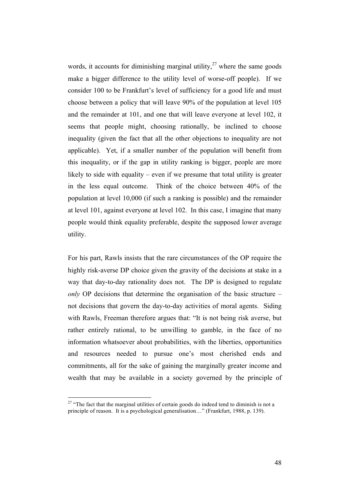words, it accounts for diminishing marginal utility,  $27$  where the same goods make a bigger difference to the utility level of worse-off people). If we consider 100 to be Frankfurt's level of sufficiency for a good life and must choose between a policy that will leave 90% of the population at level 105 and the remainder at 101, and one that will leave everyone at level 102, it seems that people might, choosing rationally, be inclined to choose inequality (given the fact that all the other objections to inequality are not applicable). Yet, if a smaller number of the population will benefit from this inequality, or if the gap in utility ranking is bigger, people are more likely to side with equality – even if we presume that total utility is greater in the less equal outcome. Think of the choice between 40% of the population at level 10,000 (if such a ranking is possible) and the remainder at level 101, against everyone at level 102. In this case, I imagine that many people would think equality preferable, despite the supposed lower average utility.

For his part, Rawls insists that the rare circumstances of the OP require the highly risk-averse DP choice given the gravity of the decisions at stake in a way that day-to-day rationality does not. The DP is designed to regulate *only* OP decisions that determine the organisation of the basic structure – not decisions that govern the day-to-day activities of moral agents. Siding with Rawls, Freeman therefore argues that: "It is not being risk averse, but rather entirely rational, to be unwilling to gamble, in the face of no information whatsoever about probabilities, with the liberties, opportunities and resources needed to pursue one's most cherished ends and commitments, all for the sake of gaining the marginally greater income and wealth that may be available in a society governed by the principle of

 $27$  "The fact that the marginal utilities of certain goods do indeed tend to diminish is not a principle of reason. It is a psychological generalisation…" (Frankfurt, 1988, p. 139).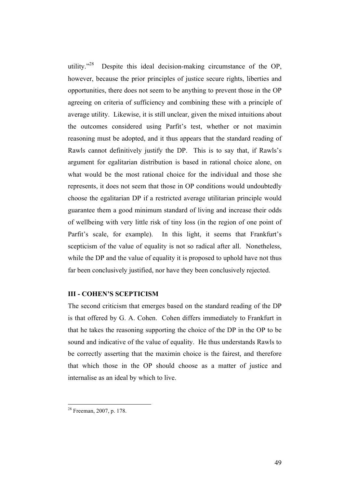utility."<sup>28</sup> Despite this ideal decision-making circumstance of the OP, however, because the prior principles of justice secure rights, liberties and opportunities, there does not seem to be anything to prevent those in the OP agreeing on criteria of sufficiency and combining these with a principle of average utility. Likewise, it is still unclear, given the mixed intuitions about the outcomes considered using Parfit's test, whether or not maximin reasoning must be adopted, and it thus appears that the standard reading of Rawls cannot definitively justify the DP. This is to say that, if Rawls's argument for egalitarian distribution is based in rational choice alone, on what would be the most rational choice for the individual and those she represents, it does not seem that those in OP conditions would undoubtedly choose the egalitarian DP if a restricted average utilitarian principle would guarantee them a good minimum standard of living and increase their odds of wellbeing with very little risk of tiny loss (in the region of one point of Parfit's scale, for example). In this light, it seems that Frankfurt's scepticism of the value of equality is not so radical after all. Nonetheless, while the DP and the value of equality it is proposed to uphold have not thus far been conclusively justified, nor have they been conclusively rejected.

### **III - COHEN'S SCEPTICISM**

The second criticism that emerges based on the standard reading of the DP is that offered by G. A. Cohen. Cohen differs immediately to Frankfurt in that he takes the reasoning supporting the choice of the DP in the OP to be sound and indicative of the value of equality. He thus understands Rawls to be correctly asserting that the maximin choice is the fairest, and therefore that which those in the OP should choose as a matter of justice and internalise as an ideal by which to live.

 <sup>28</sup> Freeman, 2007, p. 178.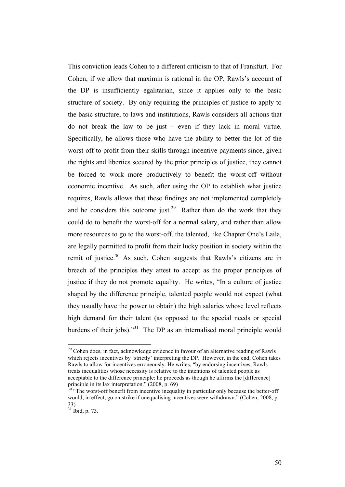This conviction leads Cohen to a different criticism to that of Frankfurt. For Cohen, if we allow that maximin is rational in the OP, Rawls's account of the DP is insufficiently egalitarian, since it applies only to the basic structure of society. By only requiring the principles of justice to apply to the basic structure, to laws and institutions, Rawls considers all actions that do not break the law to be just – even if they lack in moral virtue. Specifically, he allows those who have the ability to better the lot of the worst-off to profit from their skills through incentive payments since, given the rights and liberties secured by the prior principles of justice, they cannot be forced to work more productively to benefit the worst-off without economic incentive. As such, after using the OP to establish what justice requires, Rawls allows that these findings are not implemented completely and he considers this outcome just.<sup>29</sup> Rather than do the work that they could do to benefit the worst-off for a normal salary, and rather than allow more resources to go to the worst-off, the talented, like Chapter One's Laila, are legally permitted to profit from their lucky position in society within the remit of justice.<sup>30</sup> As such, Cohen suggests that Rawls's citizens are in breach of the principles they attest to accept as the proper principles of justice if they do not promote equality. He writes, "In a culture of justice shaped by the difference principle, talented people would not expect (what they usually have the power to obtain) the high salaries whose level reflects high demand for their talent (as opposed to the special needs or special burdens of their jobs)."<sup>31</sup> The DP as an internalised moral principle would

 $29$  Cohen does, in fact, acknowledge evidence in favour of an alternative reading of Rawls which rejects incentives by 'strictly' interpreting the DP. However, in the end, Cohen takes Rawls to allow for incentives erroneously. He writes, "by endorsing incentives, Rawls treats inequalities whose necessity is relative to the intentions of talented people as acceptable to the difference principle: he proceeds as though he affirms the [difference] principle in its lax interpretation." (2008, p. 69)

 $30$  "The worst-off benefit from incentive inequality in particular only because the better-off would, in effect, go on strike if unequalising incentives were withdrawn." (Cohen, 2008, p. 33)

 $31$  Ibid, p. 73.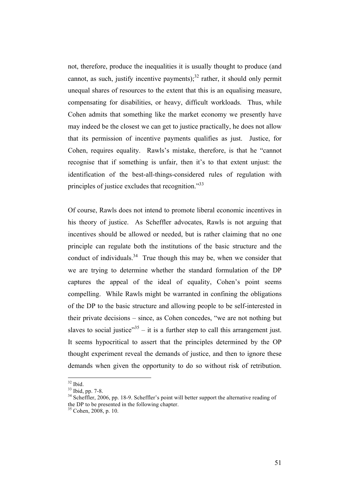not, therefore, produce the inequalities it is usually thought to produce (and cannot, as such, justify incentive payments); $32$  rather, it should only permit unequal shares of resources to the extent that this is an equalising measure, compensating for disabilities, or heavy, difficult workloads. Thus, while Cohen admits that something like the market economy we presently have may indeed be the closest we can get to justice practically, he does not allow that its permission of incentive payments qualifies as just. Justice, for Cohen, requires equality. Rawls's mistake, therefore, is that he "cannot recognise that if something is unfair, then it's to that extent unjust: the identification of the best-all-things-considered rules of regulation with principles of justice excludes that recognition.<sup>33</sup>

Of course, Rawls does not intend to promote liberal economic incentives in his theory of justice. As Scheffler advocates, Rawls is not arguing that incentives should be allowed or needed, but is rather claiming that no one principle can regulate both the institutions of the basic structure and the conduct of individuals.<sup>34</sup> True though this may be, when we consider that we are trying to determine whether the standard formulation of the DP captures the appeal of the ideal of equality, Cohen's point seems compelling. While Rawls might be warranted in confining the obligations of the DP to the basic structure and allowing people to be self-interested in their private decisions – since, as Cohen concedes, "we are not nothing but slaves to social justice" $35$  – it is a further step to call this arrangement just. It seems hypocritical to assert that the principles determined by the OP thought experiment reveal the demands of justice, and then to ignore these demands when given the opportunity to do so without risk of retribution.

 $\frac{32}{33}$  Ibid. pp. 7-8.

 $34$  Scheffler, 2006, pp. 18-9. Scheffler's point will better support the alternative reading of the DP to be presented in the following chapter.

 $35$  Cohen, 2008, p. 10.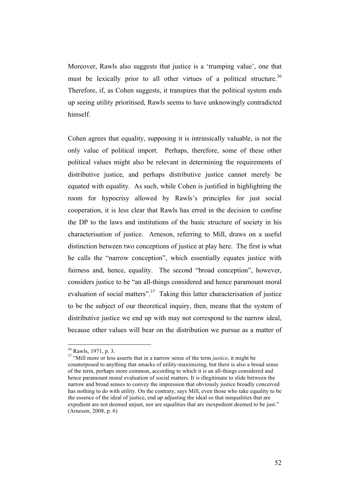Moreover, Rawls also suggests that justice is a 'trumping value', one that must be lexically prior to all other virtues of a political structure.<sup>36</sup> Therefore, if, as Cohen suggests, it transpires that the political system ends up seeing utility prioritised, Rawls seems to have unknowingly contradicted himself.

Cohen agrees that equality, supposing it is intrinsically valuable, is not the only value of political import. Perhaps, therefore, some of these other political values might also be relevant in determining the requirements of distributive justice, and perhaps distributive justice cannot merely be equated with equality. As such, while Cohen is justified in highlighting the room for hypocrisy allowed by Rawls's principles for just social cooperation, it is less clear that Rawls has erred in the decision to confine the DP to the laws and institutions of the basic structure of society in his characterisation of justice. Arneson, referring to Mill, draws on a useful distinction between two conceptions of justice at play here. The first is what he calls the "narrow conception", which essentially equates justice with fairness and, hence, equality. The second "broad conception", however, considers justice to be "an all-things considered and hence paramount moral evaluation of social matters".<sup>37</sup> Taking this latter characterisation of justice to be the subject of our theoretical inquiry, then, means that the system of distributive justice we end up with may not correspond to the narrow ideal, because other values will bear on the distribution we pursue as a matter of

 <sup>36</sup> Rawls, 1971, p. 3.

<sup>&</sup>lt;sup>37</sup> "Mill more or less asserts that in a narrow sense of the term *justice*, it might be counterposed to anything that smacks of utility-maximizing, but there is also a broad sense of the term, perhaps more common, according to which it is an all-things considered and hence paramount moral evaluation of social matters. It is illegitimate to slide between the narrow and broad senses to convey the impression that obviously justice broadly conceived has nothing to do with utility. On the contrary, says Mill, even those who take equality to be the essence of the ideal of justice, end up adjusting the ideal so that inequalities that are expedient are not deemed unjust, nor are equalities that are inexpedient deemed to be just." (Arneson, 2008, p. 6)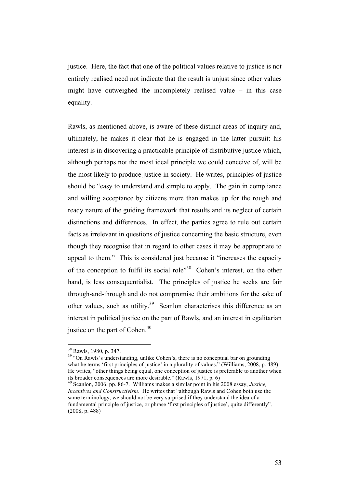justice. Here, the fact that one of the political values relative to justice is not entirely realised need not indicate that the result is unjust since other values might have outweighed the incompletely realised value – in this case equality.

Rawls, as mentioned above, is aware of these distinct areas of inquiry and, ultimately, he makes it clear that he is engaged in the latter pursuit: his interest is in discovering a practicable principle of distributive justice which, although perhaps not the most ideal principle we could conceive of, will be the most likely to produce justice in society. He writes, principles of justice should be "easy to understand and simple to apply. The gain in compliance and willing acceptance by citizens more than makes up for the rough and ready nature of the guiding framework that results and its neglect of certain distinctions and differences. In effect, the parties agree to rule out certain facts as irrelevant in questions of justice concerning the basic structure, even though they recognise that in regard to other cases it may be appropriate to appeal to them." This is considered just because it "increases the capacity of the conception to fulfil its social role<sup>"38</sup> Cohen's interest, on the other hand, is less consequentialist. The principles of justice he seeks are fair through-and-through and do not compromise their ambitions for the sake of other values, such as utility.<sup>39</sup> Scanlon characterises this difference as an interest in political justice on the part of Rawls, and an interest in egalitarian justice on the part of Cohen.<sup>40</sup>

 $38$  Rawls, 1980, p. 347.<br> $39$  "On Rawls's understanding, unlike Cohen's, there is no conceptual bar on grounding what he terms 'first principles of justice' in a plurality of values." (Williams, 2008, p. 489) He writes, "other things being equal, one conception of justice is preferable to another when its broader consequences are more desirable." (Rawls, 1971, p. 6)

<sup>40</sup> Scanlon, 2006, pp. 86-7. Williams makes a similar point in his 2008 essay, *Justice, Incentives and Constructivism*. He writes that "although Rawls and Cohen both use the same terminology, we should not be very surprised if they understand the idea of a fundamental principle of justice, or phrase 'first principles of justice', quite differently". (2008, p. 488)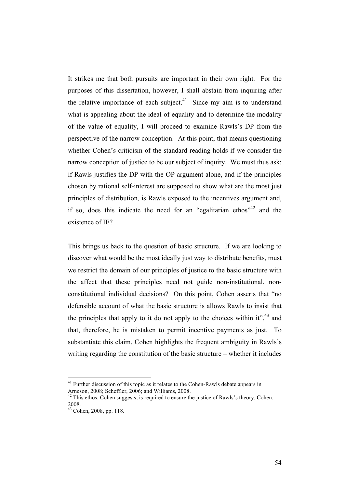It strikes me that both pursuits are important in their own right. For the purposes of this dissertation, however, I shall abstain from inquiring after the relative importance of each subject. $41$  Since my aim is to understand what is appealing about the ideal of equality and to determine the modality of the value of equality, I will proceed to examine Rawls's DP from the perspective of the narrow conception. At this point, that means questioning whether Cohen's criticism of the standard reading holds if we consider the narrow conception of justice to be our subject of inquiry. We must thus ask: if Rawls justifies the DP with the OP argument alone, and if the principles chosen by rational self-interest are supposed to show what are the most just principles of distribution, is Rawls exposed to the incentives argument and, if so, does this indicate the need for an "egalitarian ethos"<sup>42</sup> and the existence of IE?

This brings us back to the question of basic structure. If we are looking to discover what would be the most ideally just way to distribute benefits, must we restrict the domain of our principles of justice to the basic structure with the affect that these principles need not guide non-institutional, nonconstitutional individual decisions? On this point, Cohen asserts that "no defensible account of what the basic structure is allows Rawls to insist that the principles that apply to it do not apply to the choices within it",  $43$  and that, therefore, he is mistaken to permit incentive payments as just. To substantiate this claim, Cohen highlights the frequent ambiguity in Rawls's writing regarding the constitution of the basic structure – whether it includes

<sup>&</sup>lt;sup>41</sup> Further discussion of this topic as it relates to the Cohen-Rawls debate appears in Arneson, 2008; Scheffler, 2006; and Williams, 2008.<br><sup>42</sup> This ethos, Cohen suggests, is required to ensure the justice of Rawls's theory. Cohen,

<sup>2008.</sup>

<sup>43</sup> Cohen, 2008, pp. 118.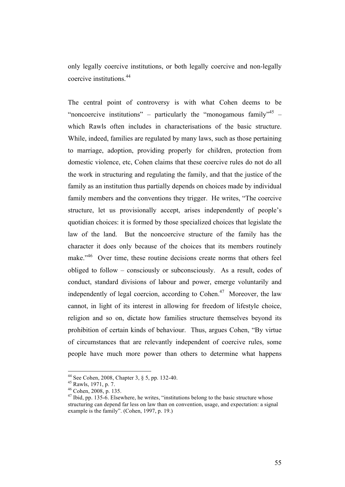only legally coercive institutions, or both legally coercive and non-legally coercive institutions.44

The central point of controversy is with what Cohen deems to be "noncoercive institutions" – particularly the "monogamous family"<sup>45</sup> – which Rawls often includes in characterisations of the basic structure. While, indeed, families are regulated by many laws, such as those pertaining to marriage, adoption, providing properly for children, protection from domestic violence, etc, Cohen claims that these coercive rules do not do all the work in structuring and regulating the family, and that the justice of the family as an institution thus partially depends on choices made by individual family members and the conventions they trigger. He writes, "The coercive structure, let us provisionally accept, arises independently of people's quotidian choices: it is formed by those specialized choices that legislate the law of the land. But the noncoercive structure of the family has the character it does only because of the choices that its members routinely make."<sup>46</sup> Over time, these routine decisions create norms that others feel obliged to follow – consciously or subconsciously. As a result, codes of conduct, standard divisions of labour and power, emerge voluntarily and independently of legal coercion, according to Cohen.<sup>47</sup> Moreover, the law cannot, in light of its interest in allowing for freedom of lifestyle choice, religion and so on, dictate how families structure themselves beyond its prohibition of certain kinds of behaviour. Thus, argues Cohen, "By virtue of circumstances that are relevantly independent of coercive rules, some people have much more power than others to determine what happens

<sup>&</sup>lt;sup>44</sup> See Cohen, 2008, Chapter 3, § 5, pp. 132-40.<br><sup>45</sup> Rawls, 1971, p. 7.<br><sup>46</sup> Cohen, 2008, p. 135.<br><sup>47</sup> Ibid, pp. 135-6. Elsewhere, he writes, "institutions belong to the basic structure whose structuring can depend far less on law than on convention, usage, and expectation: a signal example is the family". (Cohen, 1997, p. 19.)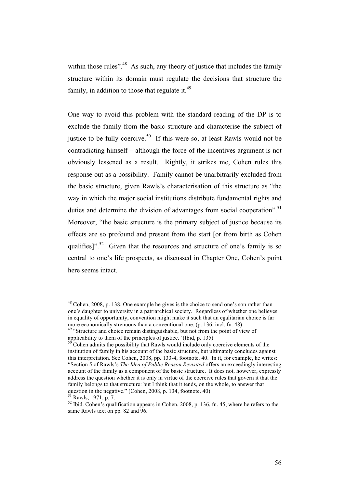within those rules".<sup>48</sup> As such, any theory of justice that includes the family structure within its domain must regulate the decisions that structure the family, in addition to those that regulate it. $49$ 

One way to avoid this problem with the standard reading of the DP is to exclude the family from the basic structure and characterise the subject of justice to be fully coercive.<sup>50</sup> If this were so, at least Rawls would not be contradicting himself – although the force of the incentives argument is not obviously lessened as a result. Rightly, it strikes me, Cohen rules this response out as a possibility. Family cannot be unarbitrarily excluded from the basic structure, given Rawls's characterisation of this structure as "the way in which the major social institutions distribute fundamental rights and duties and determine the division of advantages from social cooperation".<sup>51</sup> Moreover, "the basic structure is the primary subject of justice because its effects are so profound and present from the start [or from birth as Cohen qualifies]".<sup>52</sup> Given that the resources and structure of one's family is so central to one's life prospects, as discussed in Chapter One, Cohen's point here seems intact.

<sup>&</sup>lt;sup>48</sup> Cohen, 2008, p. 138. One example he gives is the choice to send one's son rather than one's daughter to university in a patriarchical society. Regardless of whether one believes in equality of opportunity, convention might make it such that an egalitarian choice is far more economically strenuous than a conventional one. (p. 136, incl. fn. 48)

<sup>&</sup>lt;sup>49</sup> "Structure and choice remain distinguishable, but not from the point of view of applicability to them of the principles of justice." (Ibid,  $p$ . 135)

 $50$  Cohen admits the possibility that Rawls would include only coercive elements of the institution of family in his account of the basic structure, but ultimately concludes against this interpretation. See Cohen, 2008, pp. 133-4, footnote. 40. In it, for example, he writes: "Section 5 of Rawls's *The Idea of Public Reason Revisited* offers an exceedingly interesting account of the family as a component of the basic structure. It does not, however, expressly address the question whether it is only in virtue of the coercive rules that govern it that the family belongs to that structure: but I think that it tends, on the whole, to answer that question in the negative." (Cohen, 2008, p. 134, footnote. 40)

<sup>&</sup>lt;sup>51</sup> Rawls, 1971, p. 7.<br><sup>52</sup> Ibid. Cohen's qualification appears in Cohen, 2008, p. 136, fn. 45, where he refers to the same Rawls text on pp. 82 and 96.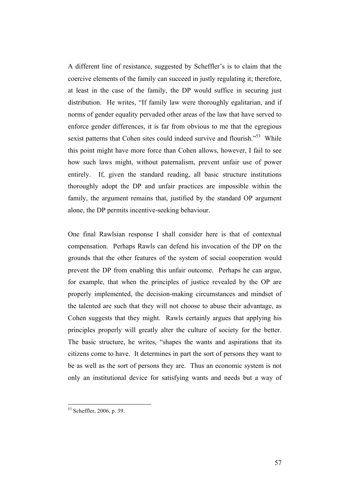A different line of resistance, suggested by Scheffler's is to claim that the coercive elements of the family can succeed in justly regulating it; therefore, at least in the case of the family, the DP would suffice in securing just distribution. He writes, "If family law were thoroughly egalitarian, and if norms of gender equality pervaded other areas of the law that have served to enforce gender differences, it is far from obvious to me that the egregious sexist patterns that Cohen sites could indeed survive and flourish.<sup>553</sup> While this point might have more force than Cohen allows, however, I fail to see how such laws might, without paternalism, prevent unfair use of power entirely. If, given the standard reading, all basic structure institutions thoroughly adopt the DP and unfair practices are impossible within the family, the argument remains that, justified by the standard OP argument alone, the DP permits incentive-seeking behaviour.

One final Rawlsian response I shall consider here is that of contextual compensation. Perhaps Rawls can defend his invocation of the DP on the grounds that the other features of the system of social cooperation would prevent the DP from enabling this unfair outcome. Perhaps he can argue, for example, that when the principles of justice revealed by the OP are properly implemented, the decision-making circumstances and mindset of the talented are such that they will not choose to abuse their advantage, as Cohen suggests that they might. Rawls certainly argues that applying his principles properly will greatly alter the culture of society for the better. The basic structure, he writes, "shapes the wants and aspirations that its citizens come to have. It determines in part the sort of persons they want to be as well as the sort of persons they are. Thus an economic system is not only an institutional device for satisfying wants and needs but a way of

 <sup>53</sup> Scheffler, 2006, p. 39.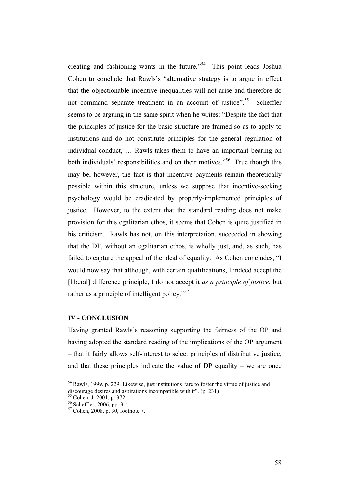creating and fashioning wants in the future.<sup> $54$ </sup> This point leads Joshua Cohen to conclude that Rawls's "alternative strategy is to argue in effect that the objectionable incentive inequalities will not arise and therefore do not command separate treatment in an account of justice".<sup>55</sup> Scheffler seems to be arguing in the same spirit when he writes: "Despite the fact that the principles of justice for the basic structure are framed so as to apply to institutions and do not constitute principles for the general regulation of individual conduct, … Rawls takes them to have an important bearing on both individuals' responsibilities and on their motives."<sup>56</sup> True though this may be, however, the fact is that incentive payments remain theoretically possible within this structure, unless we suppose that incentive-seeking psychology would be eradicated by properly-implemented principles of justice. However, to the extent that the standard reading does not make provision for this egalitarian ethos, it seems that Cohen is quite justified in his criticism. Rawls has not, on this interpretation, succeeded in showing that the DP, without an egalitarian ethos, is wholly just, and, as such, has failed to capture the appeal of the ideal of equality. As Cohen concludes, "I would now say that although, with certain qualifications, I indeed accept the [liberal] difference principle, I do not accept it *as a principle of justice*, but rather as a principle of intelligent policy."<sup>57</sup>

## **IV - CONCLUSION**

Having granted Rawls's reasoning supporting the fairness of the OP and having adopted the standard reading of the implications of the OP argument – that it fairly allows self-interest to select principles of distributive justice, and that these principles indicate the value of  $DP$  equality – we are once

 <sup>54</sup> Rawls, 1999, p. 229. Likewise, just institutions "are to foster the virtue of justice and discourage desires and aspirations incompatible with it". (p. 231)<br><sup>55</sup> Cohen, J. 2001, p. 372.<br><sup>56</sup> Scheffler, 2006, pp. 3-4.

 $57$  Cohen, 2008, p. 30, footnote 7.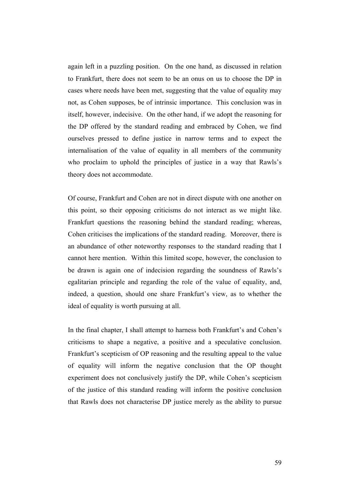again left in a puzzling position. On the one hand, as discussed in relation to Frankfurt, there does not seem to be an onus on us to choose the DP in cases where needs have been met, suggesting that the value of equality may not, as Cohen supposes, be of intrinsic importance. This conclusion was in itself, however, indecisive. On the other hand, if we adopt the reasoning for the DP offered by the standard reading and embraced by Cohen, we find ourselves pressed to define justice in narrow terms and to expect the internalisation of the value of equality in all members of the community who proclaim to uphold the principles of justice in a way that Rawls's theory does not accommodate.

Of course, Frankfurt and Cohen are not in direct dispute with one another on this point, so their opposing criticisms do not interact as we might like. Frankfurt questions the reasoning behind the standard reading; whereas, Cohen criticises the implications of the standard reading. Moreover, there is an abundance of other noteworthy responses to the standard reading that I cannot here mention. Within this limited scope, however, the conclusion to be drawn is again one of indecision regarding the soundness of Rawls's egalitarian principle and regarding the role of the value of equality, and, indeed, a question, should one share Frankfurt's view, as to whether the ideal of equality is worth pursuing at all.

In the final chapter, I shall attempt to harness both Frankfurt's and Cohen's criticisms to shape a negative, a positive and a speculative conclusion. Frankfurt's scepticism of OP reasoning and the resulting appeal to the value of equality will inform the negative conclusion that the OP thought experiment does not conclusively justify the DP, while Cohen's scepticism of the justice of this standard reading will inform the positive conclusion that Rawls does not characterise DP justice merely as the ability to pursue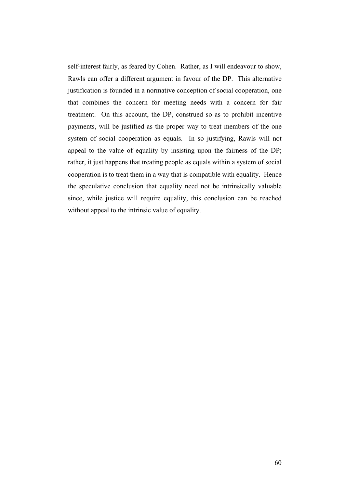self-interest fairly, as feared by Cohen. Rather, as I will endeavour to show, Rawls can offer a different argument in favour of the DP. This alternative justification is founded in a normative conception of social cooperation, one that combines the concern for meeting needs with a concern for fair treatment. On this account, the DP, construed so as to prohibit incentive payments, will be justified as the proper way to treat members of the one system of social cooperation as equals. In so justifying, Rawls will not appeal to the value of equality by insisting upon the fairness of the DP; rather, it just happens that treating people as equals within a system of social cooperation is to treat them in a way that is compatible with equality. Hence the speculative conclusion that equality need not be intrinsically valuable since, while justice will require equality, this conclusion can be reached without appeal to the intrinsic value of equality.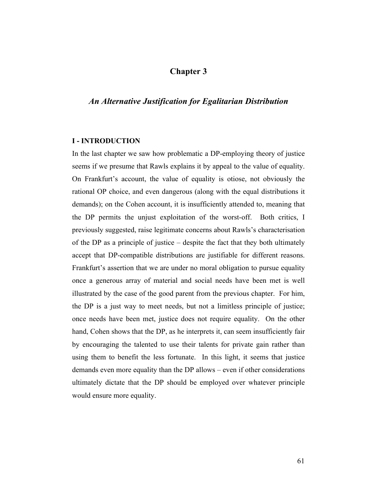# **Chapter 3**

# *An Alternative Justification for Egalitarian Distribution*

#### **I - INTRODUCTION**

In the last chapter we saw how problematic a DP-employing theory of justice seems if we presume that Rawls explains it by appeal to the value of equality. On Frankfurt's account, the value of equality is otiose, not obviously the rational OP choice, and even dangerous (along with the equal distributions it demands); on the Cohen account, it is insufficiently attended to, meaning that the DP permits the unjust exploitation of the worst-off. Both critics, I previously suggested, raise legitimate concerns about Rawls's characterisation of the DP as a principle of justice – despite the fact that they both ultimately accept that DP-compatible distributions are justifiable for different reasons. Frankfurt's assertion that we are under no moral obligation to pursue equality once a generous array of material and social needs have been met is well illustrated by the case of the good parent from the previous chapter. For him, the DP is a just way to meet needs, but not a limitless principle of justice; once needs have been met, justice does not require equality. On the other hand, Cohen shows that the DP, as he interprets it, can seem insufficiently fair by encouraging the talented to use their talents for private gain rather than using them to benefit the less fortunate. In this light, it seems that justice demands even more equality than the DP allows – even if other considerations ultimately dictate that the DP should be employed over whatever principle would ensure more equality.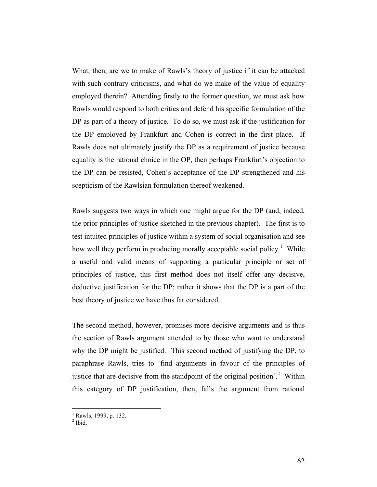What, then, are we to make of Rawls's theory of justice if it can be attacked with such contrary criticisms, and what do we make of the value of equality employed therein? Attending firstly to the former question, we must ask how Rawls would respond to both critics and defend his specific formulation of the DP as part of a theory of justice. To do so, we must ask if the justification for the DP employed by Frankfurt and Cohen is correct in the first place. If Rawls does not ultimately justify the DP as a requirement of justice because equality is the rational choice in the OP, then perhaps Frankfurt's objection to the DP can be resisted, Cohen's acceptance of the DP strengthened and his scepticism of the Rawlsian formulation thereof weakened.

Rawls suggests two ways in which one might argue for the DP (and, indeed, the prior principles of justice sketched in the previous chapter). The first is to test intuited principles of justice within a system of social organisation and see how well they perform in producing morally acceptable social policy.<sup>1</sup> While a useful and valid means of supporting a particular principle or set of principles of justice, this first method does not itself offer any decisive, deductive justification for the DP; rather it shows that the DP is a part of the best theory of justice we have thus far considered.

The second method, however, promises more decisive arguments and is thus the section of Rawls argument attended to by those who want to understand why the DP might be justified. This second method of justifying the DP, to paraphrase Rawls, tries to 'find arguments in favour of the principles of justice that are decisive from the standpoint of the original position'.<sup>2</sup> Within this category of DP justification, then, falls the argument from rational

 $\frac{1}{1}$ <sup>1</sup> Rawls, 1999, p. 132.<br><sup>2</sup> Ibid.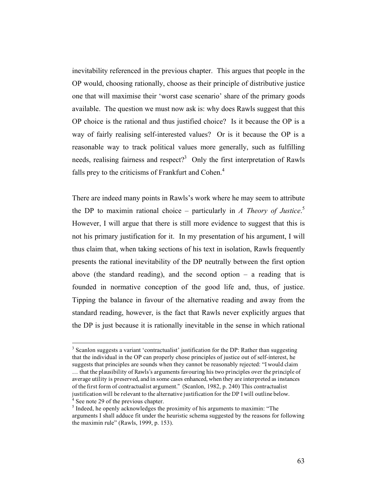inevitability referenced in the previous chapter. This argues that people in the OP would, choosing rationally, choose as their principle of distributive justice one that will maximise their 'worst case scenario' share of the primary goods available. The question we must now ask is: why does Rawls suggest that this OP choice is the rational and thus justified choice? Is it because the OP is a way of fairly realising self-interested values? Or is it because the OP is a reasonable way to track political values more generally, such as fulfilling needs, realising fairness and respect?<sup>3</sup> Only the first interpretation of Rawls falls prey to the criticisms of Frankfurt and Cohen.<sup>4</sup>

There are indeed many points in Rawls's work where he may seem to attribute the DP to maximin rational choice – particularly in *A Theory of Justice*. 5 However, I will argue that there is still more evidence to suggest that this is not his primary justification for it. In my presentation of his argument, I will thus claim that, when taking sections of his text in isolation, Rawls frequently presents the rational inevitability of the DP neutrally between the first option above (the standard reading), and the second option  $-$  a reading that is founded in normative conception of the good life and, thus, of justice. Tipping the balance in favour of the alternative reading and away from the standard reading, however, is the fact that Rawls never explicitly argues that the DP is just because it is rationally inevitable in the sense in which rational

 $\frac{1}{3}$  $3$  Scanlon suggests a variant 'contractualist' justification for the DP: Rather than suggesting that the individual in the OP can properly chose principles of justice out of self-interest, he suggests that principles are sounds when they cannot be reasonably rejected: "I would claim … that the plausibility of Rawls's arguments favouring his two principles over the principle of average utility is preserved, and in some cases enhanced, when they are interpreted as instances of the first form of contractualist argument." (Scanlon, 1982, p. 240) This contractualist justification will be relevant to the alternative justification for the DP I will outline below.  $^4$  See note 29 of the previous chapter.

 $<sup>5</sup>$  Indeed, he openly acknowledges the proximity of his arguments to maximin: "The</sup> arguments I shall adduce fit under the heuristic schema suggested by the reasons for following the maximin rule" (Rawls, 1999, p. 153).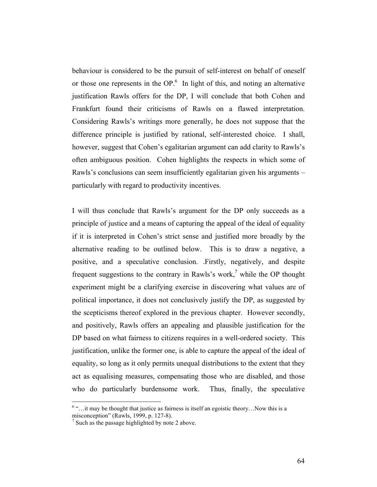behaviour is considered to be the pursuit of self-interest on behalf of oneself or those one represents in the  $OP<sup>6</sup>$ . In light of this, and noting an alternative justification Rawls offers for the DP, I will conclude that both Cohen and Frankfurt found their criticisms of Rawls on a flawed interpretation. Considering Rawls's writings more generally, he does not suppose that the difference principle is justified by rational, self-interested choice. I shall, however, suggest that Cohen's egalitarian argument can add clarity to Rawls's often ambiguous position. Cohen highlights the respects in which some of Rawls's conclusions can seem insufficiently egalitarian given his arguments – particularly with regard to productivity incentives.

I will thus conclude that Rawls's argument for the DP only succeeds as a principle of justice and a means of capturing the appeal of the ideal of equality if it is interpreted in Cohen's strict sense and justified more broadly by the alternative reading to be outlined below. This is to draw a negative, a positive, and a speculative conclusion. .Firstly, negatively, and despite frequent suggestions to the contrary in Rawls's work,<sup>7</sup> while the OP thought experiment might be a clarifying exercise in discovering what values are of political importance, it does not conclusively justify the DP, as suggested by the scepticisms thereof explored in the previous chapter. However secondly, and positively, Rawls offers an appealing and plausible justification for the DP based on what fairness to citizens requires in a well-ordered society. This justification, unlike the former one, is able to capture the appeal of the ideal of equality, so long as it only permits unequal distributions to the extent that they act as equalising measures, compensating those who are disabled, and those who do particularly burdensome work. Thus, finally, the speculative

 $\frac{1}{6}$  $6 \ldots$  it may be thought that justice as fairness is itself an egoistic theory... Now this is a misconception" (Rawls, 1999, p. 127-8).

 $\frac{1}{2}$  Such as the passage highlighted by note 2 above.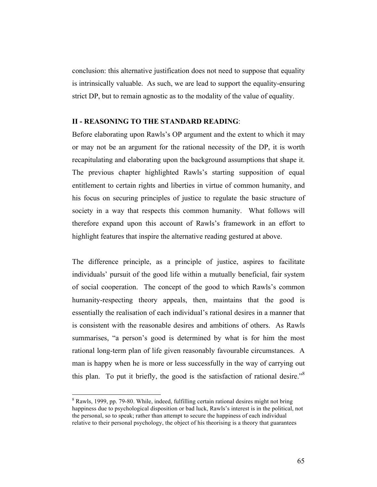conclusion: this alternative justification does not need to suppose that equality is intrinsically valuable. As such, we are lead to support the equality-ensuring strict DP, but to remain agnostic as to the modality of the value of equality.

# **II - REASONING TO THE STANDARD READING**:

Before elaborating upon Rawls's OP argument and the extent to which it may or may not be an argument for the rational necessity of the DP, it is worth recapitulating and elaborating upon the background assumptions that shape it. The previous chapter highlighted Rawls's starting supposition of equal entitlement to certain rights and liberties in virtue of common humanity, and his focus on securing principles of justice to regulate the basic structure of society in a way that respects this common humanity. What follows will therefore expand upon this account of Rawls's framework in an effort to highlight features that inspire the alternative reading gestured at above.

The difference principle, as a principle of justice, aspires to facilitate individuals' pursuit of the good life within a mutually beneficial, fair system of social cooperation. The concept of the good to which Rawls's common humanity-respecting theory appeals, then, maintains that the good is essentially the realisation of each individual's rational desires in a manner that is consistent with the reasonable desires and ambitions of others. As Rawls summarises, "a person's good is determined by what is for him the most rational long-term plan of life given reasonably favourable circumstances. A man is happy when he is more or less successfully in the way of carrying out this plan. To put it briefly, the good is the satisfaction of rational desire."<sup>8</sup>

 $\frac{1}{8}$ <sup>8</sup> Rawls, 1999, pp. 79-80. While, indeed, fulfilling certain rational desires might not bring happiness due to psychological disposition or bad luck, Rawls's interest is in the political, not the personal, so to speak; rather than attempt to secure the happiness of each individual relative to their personal psychology, the object of his theorising is a theory that guarantees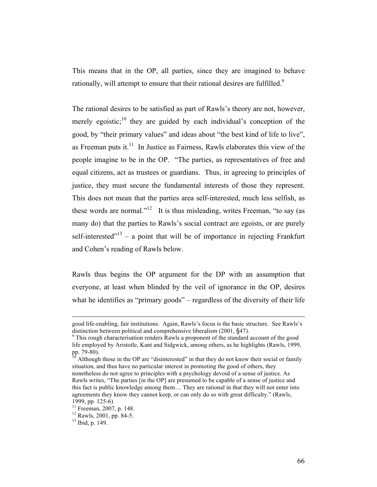This means that in the OP, all parties, since they are imagined to behave rationally, will attempt to ensure that their rational desires are fulfilled.<sup>9</sup>

The rational desires to be satisfied as part of Rawls's theory are not, however, merely egoistic;  $\frac{10}{10}$  they are guided by each individual's conception of the good, by "their primary values" and ideas about "the best kind of life to live", as Freeman puts it.<sup>11</sup> In Justice as Fairness, Rawls elaborates this view of the people imagine to be in the OP. "The parties, as representatives of free and equal citizens, act as trustees or guardians. Thus, in agreeing to principles of justice, they must secure the fundamental interests of those they represent. This does not mean that the parties area self-interested, much less selfish, as these words are normal."<sup>12</sup> It is thus misleading, writes Freeman, "to say (as many do) that the parties to Rawls's social contract are egoists, or are purely self-interested<sup> $13$ </sup> – a point that will be of importance in rejecting Frankfurt and Cohen's reading of Rawls below.

Rawls thus begins the OP argument for the DP with an assumption that everyone, at least when blinded by the veil of ignorance in the OP, desires what he identifies as "primary goods" – regardless of the diversity of their life

good life-enabling, fair institutions. Again, Rawls's focus is the basic structure. See Rawls's distinction between political and comprehensive liberalism  $(2001, §47)$ .

 $\degree$ This rough characterisation renders Rawls a proponent of the standard account of the good life employed by Aristotle, Kant and Sidgwick, among others, as he highlights (Rawls, 1999, pp. 79-80).

Although those in the OP are "disinterested" in that they do not know their social or family situation, and thus have no particular interest in promoting the good of others, they nonetheless do not agree to principles with a psychology devoid of a sense of justice. As Rawls writes, "The parties [in the OP] are presumed to be capable of a sense of justice and this fact is public knowledge among them… They are rational in that they will not enter into agreements they know they cannot keep, or can only do so with great difficulty." (Rawls,

<sup>1999,</sup> pp. 125-6)<br><sup>11</sup> Freeman, 2007, p. 148.<br><sup>12</sup> Rawls, 2001, pp. 84-5.<br><sup>13</sup> Ibid, p. 149.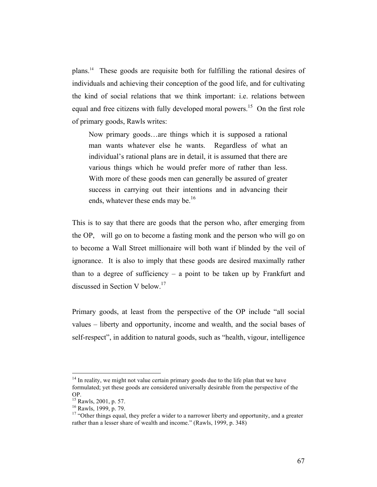plans.14 These goods are requisite both for fulfilling the rational desires of individuals and achieving their conception of the good life, and for cultivating the kind of social relations that we think important: i.e. relations between equal and free citizens with fully developed moral powers.<sup>15</sup> On the first role of primary goods, Rawls writes:

Now primary goods…are things which it is supposed a rational man wants whatever else he wants. Regardless of what an individual's rational plans are in detail, it is assumed that there are various things which he would prefer more of rather than less. With more of these goods men can generally be assured of greater success in carrying out their intentions and in advancing their ends, whatever these ends may be.<sup>16</sup>

This is to say that there are goods that the person who, after emerging from the OP, will go on to become a fasting monk and the person who will go on to become a Wall Street millionaire will both want if blinded by the veil of ignorance. It is also to imply that these goods are desired maximally rather than to a degree of sufficiency  $-$  a point to be taken up by Frankfurt and discussed in Section V below.<sup>17</sup>

Primary goods, at least from the perspective of the OP include "all social values – liberty and opportunity, income and wealth, and the social bases of self-respect", in addition to natural goods, such as "health, vigour, intelligence

 $14$  In reality, we might not value certain primary goods due to the life plan that we have formulated; yet these goods are considered universally desirable from the perspective of the OP.

<sup>15</sup> Rawls, 2001, p. 57.

<sup>16</sup> Rawls, 1999, p. 79.

<sup>&</sup>lt;sup>17</sup> "Other things equal, they prefer a wider to a narrower liberty and opportunity, and a greater rather than a lesser share of wealth and income." (Rawls, 1999, p. 348)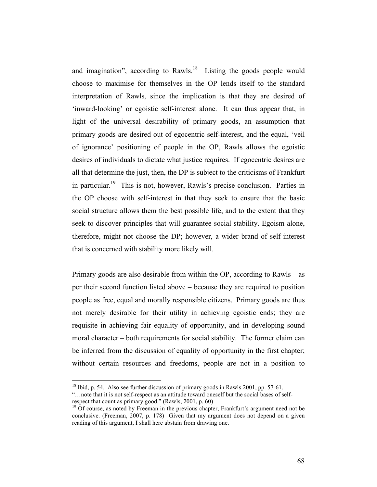and imagination", according to Rawls. $18$  Listing the goods people would choose to maximise for themselves in the OP lends itself to the standard interpretation of Rawls, since the implication is that they are desired of 'inward-looking' or egoistic self-interest alone. It can thus appear that, in light of the universal desirability of primary goods, an assumption that primary goods are desired out of egocentric self-interest, and the equal, 'veil of ignorance' positioning of people in the OP, Rawls allows the egoistic desires of individuals to dictate what justice requires. If egocentric desires are all that determine the just, then, the DP is subject to the criticisms of Frankfurt in particular.19 This is not, however, Rawls's precise conclusion. Parties in the OP choose with self-interest in that they seek to ensure that the basic social structure allows them the best possible life, and to the extent that they seek to discover principles that will guarantee social stability. Egoism alone, therefore, might not choose the DP; however, a wider brand of self-interest that is concerned with stability more likely will.

Primary goods are also desirable from within the OP, according to Rawls – as per their second function listed above – because they are required to position people as free, equal and morally responsible citizens. Primary goods are thus not merely desirable for their utility in achieving egoistic ends; they are requisite in achieving fair equality of opportunity, and in developing sound moral character – both requirements for social stability. The former claim can be inferred from the discussion of equality of opportunity in the first chapter; without certain resources and freedoms, people are not in a position to

 $18$  Ibid, p. 54. Also see further discussion of primary goods in Rawls 2001, pp. 57-61.

<sup>&</sup>quot;...note that it is not self-respect as an attitude toward oneself but the social bases of self-respect that count as primary good." (Rawls, 2001, p. 60)

 $19$  Of course, as noted by Freeman in the previous chapter, Frankfurt's argument need not be conclusive. (Freeman, 2007, p. 178) Given that my argument does not depend on a given reading of this argument, I shall here abstain from drawing one.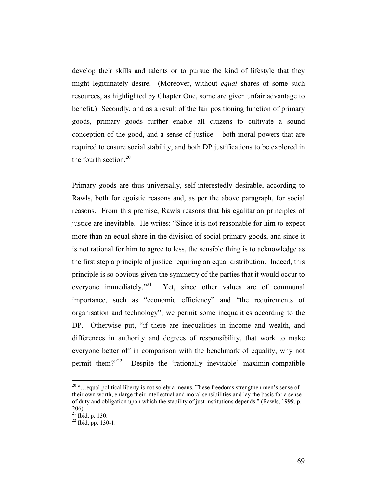develop their skills and talents or to pursue the kind of lifestyle that they might legitimately desire. (Moreover, without *equal* shares of some such resources, as highlighted by Chapter One, some are given unfair advantage to benefit.) Secondly, and as a result of the fair positioning function of primary goods, primary goods further enable all citizens to cultivate a sound conception of the good, and a sense of justice – both moral powers that are required to ensure social stability, and both DP justifications to be explored in the fourth section. $20$ 

Primary goods are thus universally, self-interestedly desirable, according to Rawls, both for egoistic reasons and, as per the above paragraph, for social reasons. From this premise, Rawls reasons that his egalitarian principles of justice are inevitable. He writes: "Since it is not reasonable for him to expect more than an equal share in the division of social primary goods, and since it is not rational for him to agree to less, the sensible thing is to acknowledge as the first step a principle of justice requiring an equal distribution. Indeed, this principle is so obvious given the symmetry of the parties that it would occur to everyone immediately."<sup>21</sup> Yet, since other values are of communal importance, such as "economic efficiency" and "the requirements of organisation and technology", we permit some inequalities according to the DP. Otherwise put, "if there are inequalities in income and wealth, and differences in authority and degrees of responsibility, that work to make everyone better off in comparison with the benchmark of equality, why not permit them?"22 Despite the 'rationally inevitable' maximin-compatible

<sup>&</sup>lt;sup>20</sup> "... equal political liberty is not solely a means. These freedoms strengthen men's sense of their own worth, enlarge their intellectual and moral sensibilities and lay the basis for a sense of duty and obligation upon which the stability of just institutions depends." (Rawls, 1999, p. 206)

 $^{21}$  Ibid, p. 130.

<sup>22</sup> Ibid, pp. 130-1.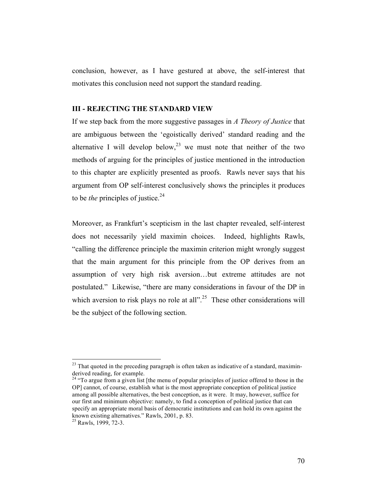conclusion, however, as I have gestured at above, the self-interest that motivates this conclusion need not support the standard reading.

## **III - REJECTING THE STANDARD VIEW**

If we step back from the more suggestive passages in *A Theory of Justice* that are ambiguous between the 'egoistically derived' standard reading and the alternative I will develop below,<sup>23</sup> we must note that neither of the two methods of arguing for the principles of justice mentioned in the introduction to this chapter are explicitly presented as proofs. Rawls never says that his argument from OP self-interest conclusively shows the principles it produces to be *the* principles of justice.<sup>24</sup>

Moreover, as Frankfurt's scepticism in the last chapter revealed, self-interest does not necessarily yield maximin choices. Indeed, highlights Rawls, "calling the difference principle the maximin criterion might wrongly suggest that the main argument for this principle from the OP derives from an assumption of very high risk aversion…but extreme attitudes are not postulated." Likewise, "there are many considerations in favour of the DP in which aversion to risk plays no role at all"<sup>25</sup>. These other considerations will be the subject of the following section.

 $^{23}$  That quoted in the preceding paragraph is often taken as indicative of a standard, maximinderived reading, for example.

<sup>&</sup>lt;sup>24</sup> "To argue from a given list [the menu of popular principles of justice offered to those in the OP] cannot, of course, establish what is the most appropriate conception of political justice among all possible alternatives, the best conception, as it were. It may, however, suffice for our first and minimum objective: namely, to find a conception of political justice that can specify an appropriate moral basis of democratic institutions and can hold its own against the known existing alternatives." Rawls, 2001, p. 83. 25 Rawls, 1999, 72-3.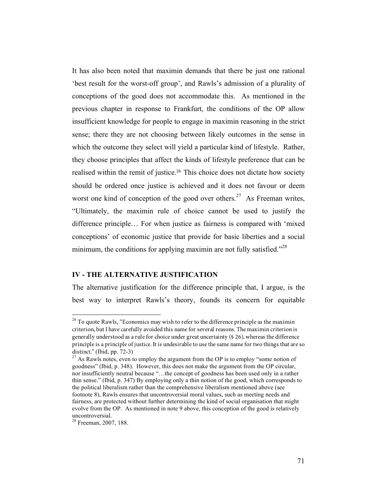It has also been noted that maximin demands that there be just one rational 'best result for the worst-off group', and Rawls's admission of a plurality of conceptions of the good does not accommodate this. As mentioned in the previous chapter in response to Frankfurt, the conditions of the OP allow insufficient knowledge for people to engage in maximin reasoning in the strict sense; there they are not choosing between likely outcomes in the sense in which the outcome they select will yield a particular kind of lifestyle. Rather, they choose principles that affect the kinds of lifestyle preference that can be realised within the remit of justice.<sup>26</sup> This choice does not dictate how society should be ordered once justice is achieved and it does not favour or deem worst one kind of conception of the good over others.<sup>27</sup> As Freeman writes, "Ultimately, the maximin rule of choice cannot be used to justify the difference principle… For when justice as fairness is compared with 'mixed conceptions' of economic justice that provide for basic liberties and a social minimum, the conditions for applying maximin are not fully satisfied."<sup>28</sup>

#### **IV - THE ALTERNATIVE JUSTIFICATION**

The alternative justification for the difference principle that, I argue, is the best way to interpret Rawls's theory, founds its concern for equitable

 $^{26}$  To quote Rawls, "Economics may wish to refer to the difference principle as the maximin criterion, but I have carefully avoided this name for several reasons. The maximin criterion is generally understood as a rule for choice under great uncertainty (§ 26), whereas the difference principle is a principle of justice. It is undesirable to use the same name for two things that are so distinct." (Ibid, pp. 72-3)

 $27$  As Rawls notes, even to employ the argument from the OP is to employ "some notion of goodness" (Ibid, p. 348). However, this does not make the argument from the OP circular, nor insufficiently neutral because "…the concept of goodness has been used only in a rather thin sense." (Ibid, p. 347) By employing only a thin notion of the good, which corresponds to the political liberalism rather than the comprehensive liberalism mentioned above (see footnote 8), Rawls ensures that uncontroversial moral values, such as meeting needs and fairness, are protected without further determining the kind of social organisation that might evolve from the OP. As mentioned in note 9 above, this conception of the good is relatively uncontroversial.

<sup>&</sup>lt;sup>28</sup> Freeman, 2007, 188.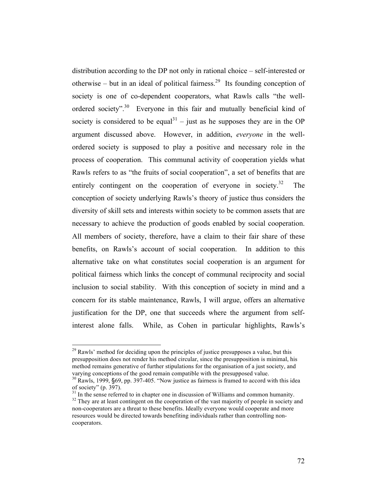distribution according to the DP not only in rational choice – self-interested or otherwise – but in an ideal of political fairness.<sup>29</sup> Its founding conception of society is one of co-dependent cooperators, what Rawls calls "the wellordered society".<sup>30</sup> Everyone in this fair and mutually beneficial kind of society is considered to be equal<sup>31</sup> – just as he supposes they are in the OP argument discussed above. However, in addition, *everyone* in the wellordered society is supposed to play a positive and necessary role in the process of cooperation. This communal activity of cooperation yields what Rawls refers to as "the fruits of social cooperation", a set of benefits that are entirely contingent on the cooperation of everyone in society.<sup>32</sup> The conception of society underlying Rawls's theory of justice thus considers the diversity of skill sets and interests within society to be common assets that are necessary to achieve the production of goods enabled by social cooperation. All members of society, therefore, have a claim to their fair share of these benefits, on Rawls's account of social cooperation. In addition to this alternative take on what constitutes social cooperation is an argument for political fairness which links the concept of communal reciprocity and social inclusion to social stability. With this conception of society in mind and a concern for its stable maintenance, Rawls, I will argue, offers an alternative justification for the DP, one that succeeds where the argument from selfinterest alone falls. While, as Cohen in particular highlights, Rawls's

 $^{29}$  Rawls' method for deciding upon the principles of justice presupposes a value, but this presupposition does not render his method circular, since the presupposition is minimal, his method remains generative of further stipulations for the organisation of a just society, and varying conceptions of the good remain compatible with the presupposed value.

<sup>&</sup>lt;sup>30</sup> Rawls, 1999, §69, pp. 397-405. "Now justice as fairness is framed to accord with this idea of society" (p. 397).

<sup>&</sup>lt;sup>31</sup> In the sense referred to in chapter one in discussion of Williams and common humanity. <sup>32</sup> They are at least contingent on the cooperation of the vast majority of people in society and non-cooperators are a threat to these benefits. Ideally everyone would cooperate and more resources would be directed towards benefiting individuals rather than controlling noncooperators.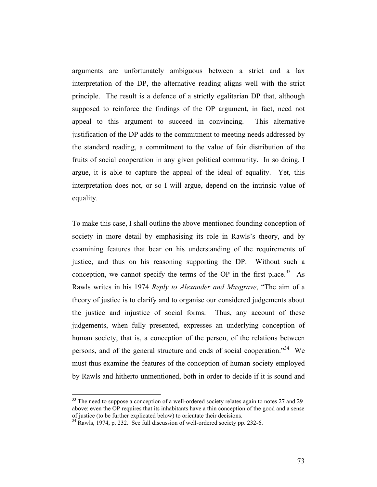arguments are unfortunately ambiguous between a strict and a lax interpretation of the DP, the alternative reading aligns well with the strict principle. The result is a defence of a strictly egalitarian DP that, although supposed to reinforce the findings of the OP argument, in fact, need not appeal to this argument to succeed in convincing. This alternative justification of the DP adds to the commitment to meeting needs addressed by the standard reading, a commitment to the value of fair distribution of the fruits of social cooperation in any given political community. In so doing, I argue, it is able to capture the appeal of the ideal of equality. Yet, this interpretation does not, or so I will argue, depend on the intrinsic value of equality.

To make this case, I shall outline the above-mentioned founding conception of society in more detail by emphasising its role in Rawls's theory, and by examining features that bear on his understanding of the requirements of justice, and thus on his reasoning supporting the DP. Without such a conception, we cannot specify the terms of the OP in the first place.<sup>33</sup> As Rawls writes in his 1974 *Reply to Alexander and Musgrave*, "The aim of a theory of justice is to clarify and to organise our considered judgements about the justice and injustice of social forms. Thus, any account of these judgements, when fully presented, expresses an underlying conception of human society, that is, a conception of the person, of the relations between persons, and of the general structure and ends of social cooperation."<sup>34</sup> We must thus examine the features of the conception of human society employed by Rawls and hitherto unmentioned, both in order to decide if it is sound and

 $33$  The need to suppose a conception of a well-ordered society relates again to notes 27 and 29 above: even the OP requires that its inhabitants have a thin conception of the good and a sense of justice (to be further explicated below) to orientate their decisions.

 $34$  Rawls, 1974, p. 232. See full discussion of well-ordered society pp. 232-6.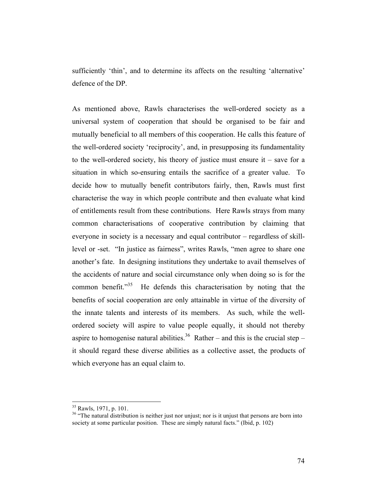sufficiently 'thin', and to determine its affects on the resulting 'alternative' defence of the DP.

As mentioned above, Rawls characterises the well-ordered society as a universal system of cooperation that should be organised to be fair and mutually beneficial to all members of this cooperation. He calls this feature of the well-ordered society 'reciprocity', and, in presupposing its fundamentality to the well-ordered society, his theory of justice must ensure it – save for a situation in which so-ensuring entails the sacrifice of a greater value. To decide how to mutually benefit contributors fairly, then, Rawls must first characterise the way in which people contribute and then evaluate what kind of entitlements result from these contributions. Here Rawls strays from many common characterisations of cooperative contribution by claiming that everyone in society is a necessary and equal contributor – regardless of skilllevel or -set. "In justice as fairness", writes Rawls, "men agree to share one another's fate. In designing institutions they undertake to avail themselves of the accidents of nature and social circumstance only when doing so is for the common benefit."<sup>35</sup> He defends this characterisation by noting that the benefits of social cooperation are only attainable in virtue of the diversity of the innate talents and interests of its members. As such, while the wellordered society will aspire to value people equally, it should not thereby aspire to homogenise natural abilities.<sup>36</sup> Rather – and this is the crucial step – it should regard these diverse abilities as a collective asset, the products of which everyone has an equal claim to.

 <sup>35</sup> Rawls, 1971, p. 101.

<sup>&</sup>lt;sup>36</sup> "The natural distribution is neither just nor unjust; nor is it unjust that persons are born into society at some particular position. These are simply natural facts." (Ibid, p. 102)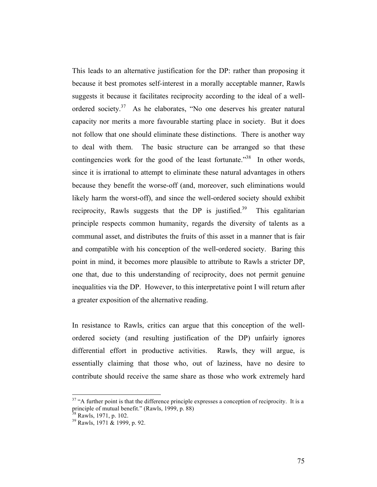This leads to an alternative justification for the DP: rather than proposing it because it best promotes self-interest in a morally acceptable manner, Rawls suggests it because it facilitates reciprocity according to the ideal of a wellordered society.<sup>37</sup> As he elaborates, "No one deserves his greater natural capacity nor merits a more favourable starting place in society. But it does not follow that one should eliminate these distinctions. There is another way to deal with them. The basic structure can be arranged so that these contingencies work for the good of the least fortunate."<sup>38</sup> In other words, since it is irrational to attempt to eliminate these natural advantages in others because they benefit the worse-off (and, moreover, such eliminations would likely harm the worst-off), and since the well-ordered society should exhibit reciprocity, Rawls suggests that the DP is justified.<sup>39</sup> This egalitarian principle respects common humanity, regards the diversity of talents as a communal asset, and distributes the fruits of this asset in a manner that is fair and compatible with his conception of the well-ordered society. Baring this point in mind, it becomes more plausible to attribute to Rawls a stricter DP, one that, due to this understanding of reciprocity, does not permit genuine inequalities via the DP. However, to this interpretative point I will return after a greater exposition of the alternative reading.

In resistance to Rawls, critics can argue that this conception of the wellordered society (and resulting justification of the DP) unfairly ignores differential effort in productive activities. Rawls, they will argue, is essentially claiming that those who, out of laziness, have no desire to contribute should receive the same share as those who work extremely hard

<sup>&</sup>lt;sup>37</sup> "A further point is that the difference principle expresses a conception of reciprocity. It is a principle of mutual benefit." (Rawls, 1999, p. 88)<br><sup>38</sup> Rawls, 1971, p. 102.<br><sup>39</sup> Rawls, 1971 & 1999, p. 92.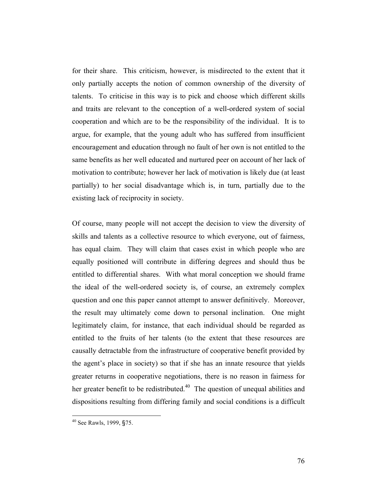for their share. This criticism, however, is misdirected to the extent that it only partially accepts the notion of common ownership of the diversity of talents. To criticise in this way is to pick and choose which different skills and traits are relevant to the conception of a well-ordered system of social cooperation and which are to be the responsibility of the individual. It is to argue, for example, that the young adult who has suffered from insufficient encouragement and education through no fault of her own is not entitled to the same benefits as her well educated and nurtured peer on account of her lack of motivation to contribute; however her lack of motivation is likely due (at least partially) to her social disadvantage which is, in turn, partially due to the existing lack of reciprocity in society.

Of course, many people will not accept the decision to view the diversity of skills and talents as a collective resource to which everyone, out of fairness, has equal claim. They will claim that cases exist in which people who are equally positioned will contribute in differing degrees and should thus be entitled to differential shares. With what moral conception we should frame the ideal of the well-ordered society is, of course, an extremely complex question and one this paper cannot attempt to answer definitively. Moreover, the result may ultimately come down to personal inclination. One might legitimately claim, for instance, that each individual should be regarded as entitled to the fruits of her talents (to the extent that these resources are causally detractable from the infrastructure of cooperative benefit provided by the agent's place in society) so that if she has an innate resource that yields greater returns in cooperative negotiations, there is no reason in fairness for her greater benefit to be redistributed.<sup>40</sup> The question of unequal abilities and dispositions resulting from differing family and social conditions is a difficult

 <sup>40</sup> See Rawls, 1999, §75.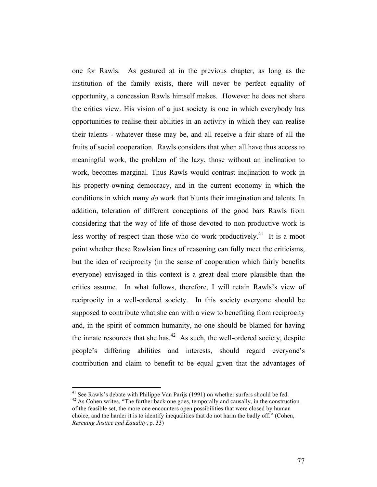one for Rawls. As gestured at in the previous chapter, as long as the institution of the family exists, there will never be perfect equality of opportunity, a concession Rawls himself makes. However he does not share the critics view. His vision of a just society is one in which everybody has opportunities to realise their abilities in an activity in which they can realise their talents - whatever these may be, and all receive a fair share of all the fruits of social cooperation. Rawls considers that when all have thus access to meaningful work, the problem of the lazy, those without an inclination to work, becomes marginal. Thus Rawls would contrast inclination to work in his property-owning democracy, and in the current economy in which the conditions in which many *do* work that blunts their imagination and talents. In addition, toleration of different conceptions of the good bars Rawls from considering that the way of life of those devoted to non-productive work is less worthy of respect than those who do work productively.<sup>41</sup> It is a moot point whether these Rawlsian lines of reasoning can fully meet the criticisms, but the idea of reciprocity (in the sense of cooperation which fairly benefits everyone) envisaged in this context is a great deal more plausible than the critics assume. In what follows, therefore, I will retain Rawls's view of reciprocity in a well-ordered society. In this society everyone should be supposed to contribute what she can with a view to benefiting from reciprocity and, in the spirit of common humanity, no one should be blamed for having the innate resources that she has. $42$  As such, the well-ordered society, despite people's differing abilities and interests, should regard everyone's contribution and claim to benefit to be equal given that the advantages of

<sup>&</sup>lt;sup>41</sup> See Rawls's debate with Philippe Van Parijs (1991) on whether surfers should be fed.  $42$  As Cohen writes, "The further back one goes, temporally and causally, in the construction

of the feasible set, the more one encounters open possibilities that were closed by human choice, and the harder it is to identify inequalities that do not harm the badly off." (Cohen, *Rescuing Justice and Equality*, p. 33)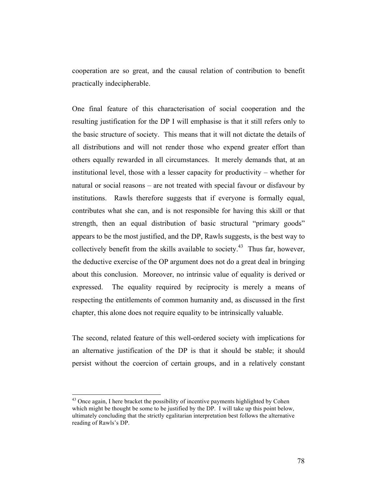cooperation are so great, and the causal relation of contribution to benefit practically indecipherable.

One final feature of this characterisation of social cooperation and the resulting justification for the DP I will emphasise is that it still refers only to the basic structure of society. This means that it will not dictate the details of all distributions and will not render those who expend greater effort than others equally rewarded in all circumstances. It merely demands that, at an institutional level, those with a lesser capacity for productivity – whether for natural or social reasons – are not treated with special favour or disfavour by institutions. Rawls therefore suggests that if everyone is formally equal, contributes what she can, and is not responsible for having this skill or that strength, then an equal distribution of basic structural "primary goods" appears to be the most justified, and the DP, Rawls suggests, is the best way to collectively benefit from the skills available to society.<sup>43</sup> Thus far, however, the deductive exercise of the OP argument does not do a great deal in bringing about this conclusion. Moreover, no intrinsic value of equality is derived or expressed. The equality required by reciprocity is merely a means of respecting the entitlements of common humanity and, as discussed in the first chapter, this alone does not require equality to be intrinsically valuable.

The second, related feature of this well-ordered society with implications for an alternative justification of the DP is that it should be stable; it should persist without the coercion of certain groups, and in a relatively constant

 $43$  Once again, I here bracket the possibility of incentive payments highlighted by Cohen which might be thought be some to be justified by the DP. I will take up this point below, ultimately concluding that the strictly egalitarian interpretation best follows the alternative reading of Rawls's DP.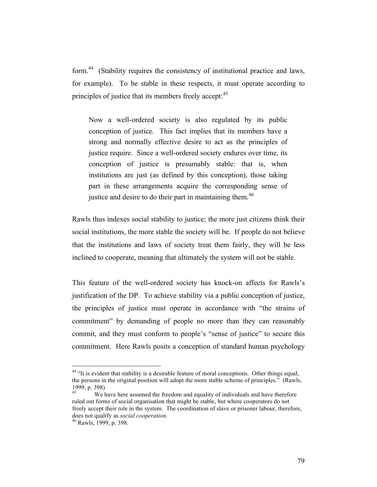form.44 (Stability requires the consistency of institutional practice and laws, for example). To be stable in these respects, it must operate according to principles of justice that its members freely accept:<sup>45</sup>

Now a well-ordered society is also regulated by its public conception of justice. This fact implies that its members have a strong and normally effective desire to act as the principles of justice require. Since a well-ordered society endures over time, its conception of justice is presumably stable: that is, when institutions are just (as defined by this conception), those taking part in these arrangements acquire the corresponding sense of justice and desire to do their part in maintaining them.<sup>46</sup>

Rawls thus indexes social stability to justice; the more just citizens think their social institutions, the more stable the society will be. If people do not believe that the institutions and laws of society treat them fairly, they will be less inclined to cooperate, meaning that ultimately the system will not be stable.

This feature of the well-ordered society has knock-on affects for Rawls's justification of the DP. To achieve stability via a public conception of justice, the principles of justice must operate in accordance with "the strains of commitment" by demanding of people no more than they can reasonably commit, and they must conform to people's "sense of justice" to secure this commitment. Here Rawls posits a conception of standard human psychology

<sup>&</sup>lt;sup>44</sup> "It is evident that stability is a desirable feature of moral conceptions. Other things equal, the persons in the original position will adopt the more stable scheme of principles." (Rawls, 1999, p. 398)

We have here assumed the freedom and equality of individuals and have therefore ruled out forms of social organisation that might be stable, but where cooperators do not freely accept their role in the system. The coordination of slave or prisoner labour, therefore, does not qualify as *social cooperation*. 46 Rawls, 1999, p. 398.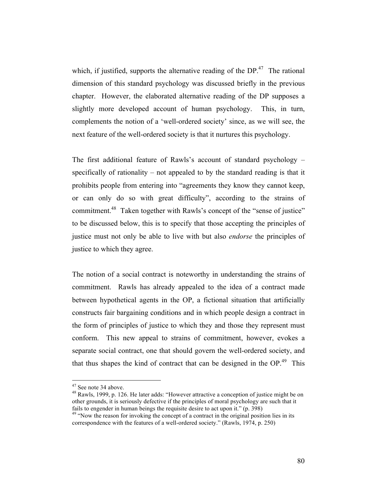which, if justified, supports the alternative reading of the  $DP<sup>47</sup>$ . The rational dimension of this standard psychology was discussed briefly in the previous chapter. However, the elaborated alternative reading of the DP supposes a slightly more developed account of human psychology. This, in turn, complements the notion of a 'well-ordered society' since, as we will see, the next feature of the well-ordered society is that it nurtures this psychology.

The first additional feature of Rawls's account of standard psychology – specifically of rationality – not appealed to by the standard reading is that it prohibits people from entering into "agreements they know they cannot keep, or can only do so with great difficulty", according to the strains of commitment.<sup>48</sup> Taken together with Rawls's concept of the "sense of justice" to be discussed below, this is to specify that those accepting the principles of justice must not only be able to live with but also *endorse* the principles of justice to which they agree.

The notion of a social contract is noteworthy in understanding the strains of commitment. Rawls has already appealed to the idea of a contract made between hypothetical agents in the OP, a fictional situation that artificially constructs fair bargaining conditions and in which people design a contract in the form of principles of justice to which they and those they represent must conform. This new appeal to strains of commitment, however, evokes a separate social contract, one that should govern the well-ordered society, and that thus shapes the kind of contract that can be designed in the  $OP<sup>49</sup>$ . This

<sup>&</sup>lt;sup>47</sup> See note 34 above.<br><sup>48</sup> Rawls, 1999, p. 126. He later adds: "However attractive a conception of justice might be on other grounds, it is seriously defective if the principles of moral psychology are such that it fails to engender in human beings the requisite desire to act upon it." (p. 398)  $49$  "Now the reason for invoking the concept of a contract in the original position lies in its

correspondence with the features of a well-ordered society." (Rawls, 1974, p. 250)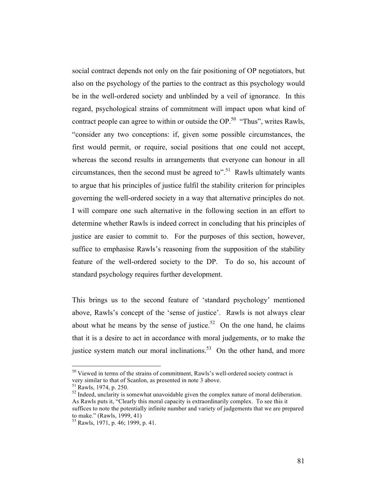social contract depends not only on the fair positioning of OP negotiators, but also on the psychology of the parties to the contract as this psychology would be in the well-ordered society and unblinded by a veil of ignorance. In this regard, psychological strains of commitment will impact upon what kind of contract people can agree to within or outside the OP.<sup>50</sup> "Thus", writes Rawls, "consider any two conceptions: if, given some possible circumstances, the first would permit, or require, social positions that one could not accept, whereas the second results in arrangements that everyone can honour in all circumstances, then the second must be agreed to".<sup>51</sup> Rawls ultimately wants to argue that his principles of justice fulfil the stability criterion for principles governing the well-ordered society in a way that alternative principles do not. I will compare one such alternative in the following section in an effort to determine whether Rawls is indeed correct in concluding that his principles of justice are easier to commit to. For the purposes of this section, however, suffice to emphasise Rawls's reasoning from the supposition of the stability feature of the well-ordered society to the DP. To do so, his account of standard psychology requires further development.

This brings us to the second feature of 'standard psychology' mentioned above, Rawls's concept of the 'sense of justice'. Rawls is not always clear about what he means by the sense of justice.<sup>52</sup> On the one hand, he claims that it is a desire to act in accordance with moral judgements, or to make the justice system match our moral inclinations.<sup>53</sup> On the other hand, and more

<sup>&</sup>lt;sup>50</sup> Viewed in terms of the strains of commitment, Rawls's well-ordered society contract is very similar to that of Scanlon, as presented in note 3 above.<br><sup>51</sup> Rawls, 1974, p. 250.

 $52$  Indeed, unclarity is somewhat unavoidable given the complex nature of moral deliberation. As Rawls puts it, "Clearly this moral capacity is extraordinarily complex. To see this it suffices to note the potentially infinite number and variety of judgements that we are prepared to make." (Rawls, 1999, 41)

<sup>53</sup> Rawls, 1971, p. 46; 1999, p. 41.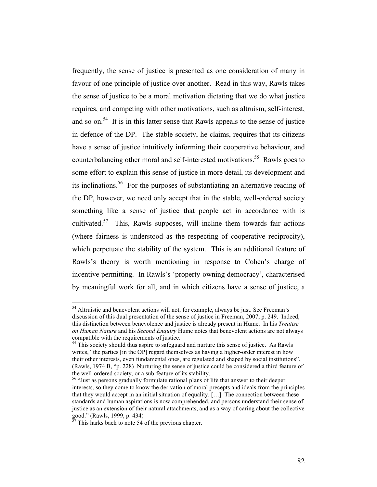frequently, the sense of justice is presented as one consideration of many in favour of one principle of justice over another. Read in this way, Rawls takes the sense of justice to be a moral motivation dictating that we do what justice requires, and competing with other motivations, such as altruism, self-interest, and so on.<sup>54</sup> It is in this latter sense that Rawls appeals to the sense of justice in defence of the DP. The stable society, he claims, requires that its citizens have a sense of justice intuitively informing their cooperative behaviour, and counterbalancing other moral and self-interested motivations.<sup>55</sup> Rawls goes to some effort to explain this sense of justice in more detail, its development and its inclinations.56 For the purposes of substantiating an alternative reading of the DP, however, we need only accept that in the stable, well-ordered society something like a sense of justice that people act in accordance with is cultivated.<sup>57</sup> This, Rawls supposes, will incline them towards fair actions (where fairness is understood as the respecting of cooperative reciprocity), which perpetuate the stability of the system. This is an additional feature of Rawls's theory is worth mentioning in response to Cohen's charge of incentive permitting. In Rawls's 'property-owning democracy', characterised by meaningful work for all, and in which citizens have a sense of justice, a

<sup>&</sup>lt;sup>54</sup> Altruistic and benevolent actions will not, for example, always be just. See Freeman's discussion of this dual presentation of the sense of justice in Freeman, 2007, p. 249. Indeed, this distinction between benevolence and justice is already present in Hume. In his *Treatise on Human Nature* and his *Second Enquiry* Hume notes that benevolent actions are not always compatible with the requirements of justice. 55 This society should thus aspire to safeguard and nurture this sense of justice. As Rawls

writes, "the parties [in the OP] regard themselves as having a higher-order interest in how their other interests, even fundamental ones, are regulated and shaped by social institutions". (Rawls, 1974 B, "p. 228) Nurturing the sense of justice could be considered a third feature of

the well-ordered society, or a sub-feature of its stability.<br><sup>56</sup> "Just as persons gradually formulate rational plans of life that answer to their deeper interests, so they come to know the derivation of moral precepts and ideals from the principles that they would accept in an initial situation of equality. […] The connection between these standards and human aspirations is now comprehended, and persons understand their sense of justice as an extension of their natural attachments, and as a way of caring about the collective good." (Rawls, 1999, p. 434)

This harks back to note 54 of the previous chapter.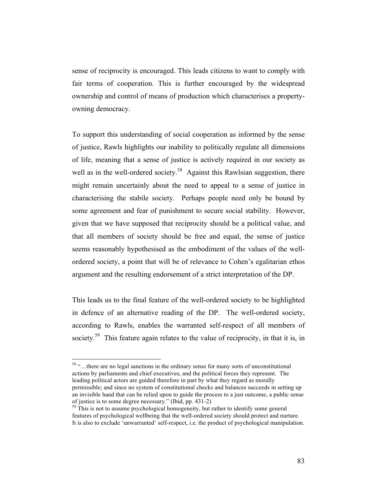sense of reciprocity is encouraged. This leads citizens to want to comply with fair terms of cooperation. This is further encouraged by the widespread ownership and control of means of production which characterises a propertyowning democracy.

To support this understanding of social cooperation as informed by the sense of justice, Rawls highlights our inability to politically regulate all dimensions of life, meaning that a sense of justice is actively required in our society as well as in the well-ordered society.<sup>58</sup> Against this Rawlsian suggestion, there might remain uncertainly about the need to appeal to a sense of justice in characterising the stabile society. Perhaps people need only be bound by some agreement and fear of punishment to secure social stability. However, given that we have supposed that reciprocity should be a political value, and that all members of society should be free and equal, the sense of justice seems reasonably hypothesised as the embodiment of the values of the wellordered society, a point that will be of relevance to Cohen's egalitarian ethos argument and the resulting endorsement of a strict interpretation of the DP.

This leads us to the final feature of the well-ordered society to be highlighted in defence of an alternative reading of the DP. The well-ordered society, according to Rawls, enables the warranted self-respect of all members of society.<sup>59</sup> This feature again relates to the value of reciprocity, in that it is, in

 <sup>58 &</sup>quot;…there are no legal sanctions in the ordinary sense for many sorts of unconstitutional actions by parliaments and chief executives, and the political forces they represent. The leading political actors are guided therefore in part by what they regard as morally permissible; and since no system of constitutional checks and balances succeeds in setting up an invisible hand that can be relied upon to guide the process to a just outcome, a public sense of justice is to some degree necessary." (Ibid, pp. 431-2)<br><sup>59</sup> This is not to assume psychological homogeneity, but rather to identify some general

features of psychological wellbeing that the well-ordered society should protect and nurture. It is also to exclude 'unwarranted' self-respect, i.e. the product of psychological manipulation.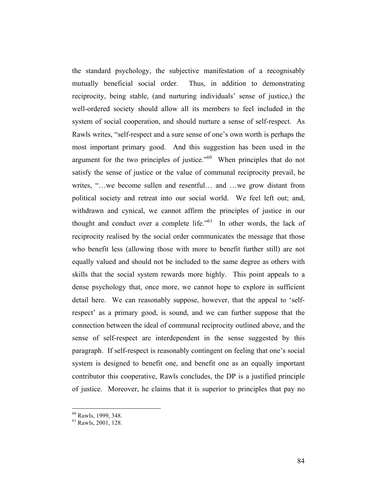the standard psychology, the subjective manifestation of a recognisably mutually beneficial social order. Thus, in addition to demonstrating reciprocity, being stable, (and nurturing individuals' sense of justice,) the well-ordered society should allow all its members to feel included in the system of social cooperation, and should nurture a sense of self-respect. As Rawls writes, "self-respect and a sure sense of one's own worth is perhaps the most important primary good. And this suggestion has been used in the argument for the two principles of justice. $10^{60}$  When principles that do not satisfy the sense of justice or the value of communal reciprocity prevail, he writes, "…we become sullen and resentful… and …we grow distant from political society and retreat into our social world. We feel left out; and, withdrawn and cynical, we cannot affirm the principles of justice in our thought and conduct over a complete life."<sup>61</sup> In other words, the lack of reciprocity realised by the social order communicates the message that those who benefit less (allowing those with more to benefit further still) are not equally valued and should not be included to the same degree as others with skills that the social system rewards more highly. This point appeals to a dense psychology that, once more, we cannot hope to explore in sufficient detail here. We can reasonably suppose, however, that the appeal to 'selfrespect' as a primary good, is sound, and we can further suppose that the connection between the ideal of communal reciprocity outlined above, and the sense of self-respect are interdependent in the sense suggested by this paragraph. If self-respect is reasonably contingent on feeling that one's social system is designed to benefit one, and benefit one as an equally important contributor this cooperative, Rawls concludes, the DP is a justified principle of justice. Moreover, he claims that it is superior to principles that pay no

 $<sup>60</sup>$  Rawls, 1999, 348.<br><sup>61</sup> Rawls, 2001, 128.</sup>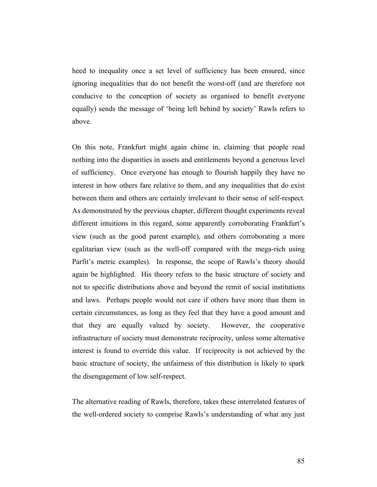heed to inequality once a set level of sufficiency has been ensured, since ignoring inequalities that do not benefit the worst-off (and are therefore not conducive to the conception of society as organised to benefit everyone equally) sends the message of 'being left behind by society' Rawls refers to above.

On this note, Frankfurt might again chime in, claiming that people read nothing into the disparities in assets and entitlements beyond a generous level of sufficiency. Once everyone has enough to flourish happily they have no interest in how others fare relative to them, and any inequalities that do exist between them and others are certainly irrelevant to their sense of self-respect. As demonstrated by the previous chapter, different thought experiments reveal different intuitions in this regard, some apparently corroborating Frankfurt's view (such as the good parent example), and others corroborating a more egalitarian view (such as the well-off compared with the mega-rich using Parfit's metric examples). In response, the scope of Rawls's theory should again be highlighted. His theory refers to the basic structure of society and not to specific distributions above and beyond the remit of social institutions and laws. Perhaps people would not care if others have more than them in certain circumstances, as long as they feel that they have a good amount and that they are equally valued by society. However, the cooperative infrastructure of society must demonstrate reciprocity, unless some alternative interest is found to override this value. If reciprocity is not achieved by the basic structure of society, the unfairness of this distribution is likely to spark the disengagement of low self-respect.

The alternative reading of Rawls, therefore, takes these interrelated features of the well-ordered society to comprise Rawls's understanding of what any just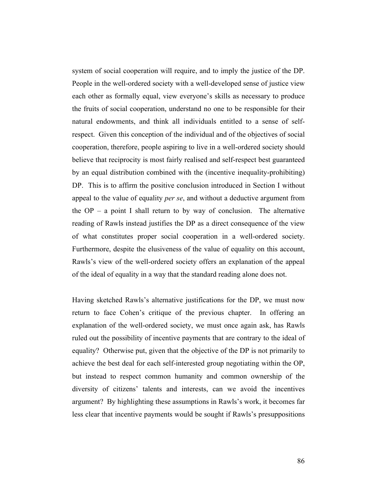system of social cooperation will require, and to imply the justice of the DP. People in the well-ordered society with a well-developed sense of justice view each other as formally equal, view everyone's skills as necessary to produce the fruits of social cooperation, understand no one to be responsible for their natural endowments, and think all individuals entitled to a sense of selfrespect. Given this conception of the individual and of the objectives of social cooperation, therefore, people aspiring to live in a well-ordered society should believe that reciprocity is most fairly realised and self-respect best guaranteed by an equal distribution combined with the (incentive inequality-prohibiting) DP. This is to affirm the positive conclusion introduced in Section I without appeal to the value of equality *per se*, and without a deductive argument from the  $OP - a$  point I shall return to by way of conclusion. The alternative reading of Rawls instead justifies the DP as a direct consequence of the view of what constitutes proper social cooperation in a well-ordered society. Furthermore, despite the elusiveness of the value of equality on this account, Rawls's view of the well-ordered society offers an explanation of the appeal of the ideal of equality in a way that the standard reading alone does not.

Having sketched Rawls's alternative justifications for the DP, we must now return to face Cohen's critique of the previous chapter. In offering an explanation of the well-ordered society, we must once again ask, has Rawls ruled out the possibility of incentive payments that are contrary to the ideal of equality? Otherwise put, given that the objective of the DP is not primarily to achieve the best deal for each self-interested group negotiating within the OP, but instead to respect common humanity and common ownership of the diversity of citizens' talents and interests, can we avoid the incentives argument? By highlighting these assumptions in Rawls's work, it becomes far less clear that incentive payments would be sought if Rawls's presuppositions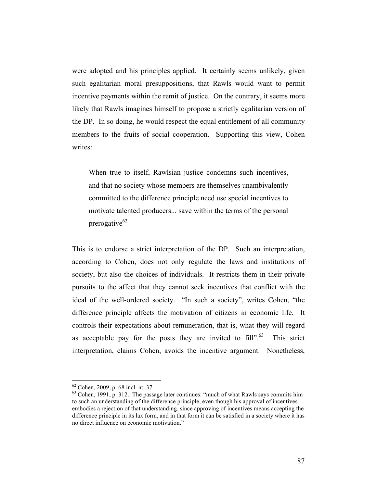were adopted and his principles applied. It certainly seems unlikely, given such egalitarian moral presuppositions, that Rawls would want to permit incentive payments within the remit of justice. On the contrary, it seems more likely that Rawls imagines himself to propose a strictly egalitarian version of the DP. In so doing, he would respect the equal entitlement of all community members to the fruits of social cooperation. Supporting this view, Cohen writes:

When true to itself, Rawlsian justice condemns such incentives, and that no society whose members are themselves unambivalently committed to the difference principle need use special incentives to motivate talented producers... save within the terms of the personal prerogative $62$ 

This is to endorse a strict interpretation of the DP. Such an interpretation, according to Cohen, does not only regulate the laws and institutions of society, but also the choices of individuals. It restricts them in their private pursuits to the affect that they cannot seek incentives that conflict with the ideal of the well-ordered society. "In such a society", writes Cohen, "the difference principle affects the motivation of citizens in economic life. It controls their expectations about remuneration, that is, what they will regard as acceptable pay for the posts they are invited to  $fill" {\cdot}^{63}$  This strict interpretation, claims Cohen, avoids the incentive argument. Nonetheless,

 $62$  Cohen, 2009, p. 68 incl. nt. 37.<br> $63$  Cohen, 1991, p. 312. The passage later continues: "much of what Rawls says commits him to such an understanding of the difference principle, even though his approval of incentives embodies a rejection of that understanding, since approving of incentives means accepting the difference principle in its lax form, and in that form it can be satisfied in a society where it has no direct influence on economic motivation."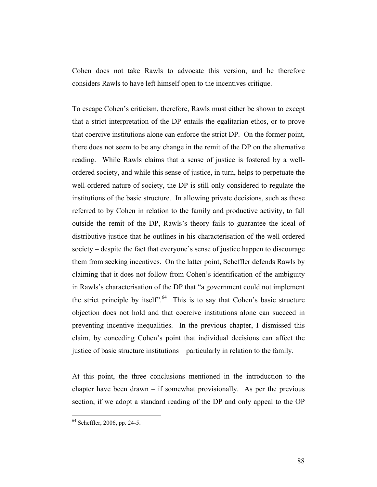Cohen does not take Rawls to advocate this version, and he therefore considers Rawls to have left himself open to the incentives critique.

To escape Cohen's criticism, therefore, Rawls must either be shown to except that a strict interpretation of the DP entails the egalitarian ethos, or to prove that coercive institutions alone can enforce the strict DP. On the former point, there does not seem to be any change in the remit of the DP on the alternative reading. While Rawls claims that a sense of justice is fostered by a wellordered society, and while this sense of justice, in turn, helps to perpetuate the well-ordered nature of society, the DP is still only considered to regulate the institutions of the basic structure. In allowing private decisions, such as those referred to by Cohen in relation to the family and productive activity, to fall outside the remit of the DP, Rawls's theory fails to guarantee the ideal of distributive justice that he outlines in his characterisation of the well-ordered society – despite the fact that everyone's sense of justice happen to discourage them from seeking incentives. On the latter point, Scheffler defends Rawls by claiming that it does not follow from Cohen's identification of the ambiguity in Rawls's characterisation of the DP that "a government could not implement the strict principle by itself". This is to say that Cohen's basic structure objection does not hold and that coercive institutions alone can succeed in preventing incentive inequalities. In the previous chapter, I dismissed this claim, by conceding Cohen's point that individual decisions can affect the justice of basic structure institutions – particularly in relation to the family.

At this point, the three conclusions mentioned in the introduction to the chapter have been drawn – if somewhat provisionally. As per the previous section, if we adopt a standard reading of the DP and only appeal to the OP

 <sup>64</sup> Scheffler, 2006, pp. 24-5.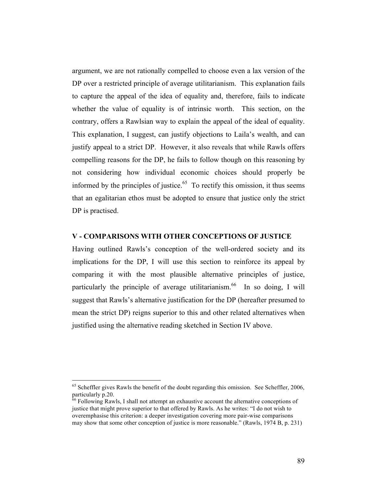argument, we are not rationally compelled to choose even a lax version of the DP over a restricted principle of average utilitarianism. This explanation fails to capture the appeal of the idea of equality and, therefore, fails to indicate whether the value of equality is of intrinsic worth. This section, on the contrary, offers a Rawlsian way to explain the appeal of the ideal of equality. This explanation, I suggest, can justify objections to Laila's wealth, and can justify appeal to a strict DP. However, it also reveals that while Rawls offers compelling reasons for the DP, he fails to follow though on this reasoning by not considering how individual economic choices should properly be informed by the principles of justice.<sup> $65$ </sup> To rectify this omission, it thus seems that an egalitarian ethos must be adopted to ensure that justice only the strict DP is practised.

## **V - COMPARISONS WITH OTHER CONCEPTIONS OF JUSTICE**

Having outlined Rawls's conception of the well-ordered society and its implications for the DP, I will use this section to reinforce its appeal by comparing it with the most plausible alternative principles of justice, particularly the principle of average utilitarianism.<sup>66</sup> In so doing, I will suggest that Rawls's alternative justification for the DP (hereafter presumed to mean the strict DP) reigns superior to this and other related alternatives when justified using the alternative reading sketched in Section IV above.

<sup>&</sup>lt;sup>65</sup> Scheffler gives Rawls the benefit of the doubt regarding this omission. See Scheffler, 2006, particularly p.20.

 $66$  Following Rawls, I shall not attempt an exhaustive account the alternative conceptions of justice that might prove superior to that offered by Rawls. As he writes: "I do not wish to overemphasise this criterion: a deeper investigation covering more pair-wise comparisons may show that some other conception of justice is more reasonable." (Rawls, 1974 B, p. 231)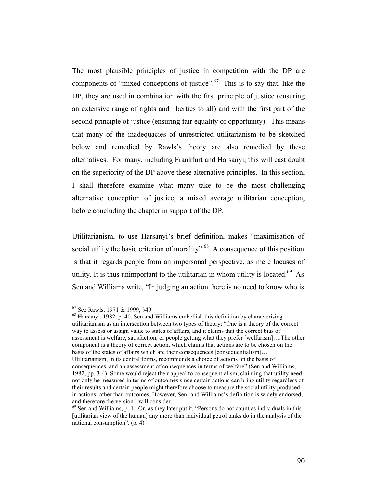The most plausible principles of justice in competition with the DP are components of "mixed conceptions of justice".<sup>67</sup> This is to say that, like the DP, they are used in combination with the first principle of justice (ensuring an extensive range of rights and liberties to all) and with the first part of the second principle of justice (ensuring fair equality of opportunity). This means that many of the inadequacies of unrestricted utilitarianism to be sketched below and remedied by Rawls's theory are also remedied by these alternatives. For many, including Frankfurt and Harsanyi, this will cast doubt on the superiority of the DP above these alternative principles. In this section, I shall therefore examine what many take to be the most challenging alternative conception of justice, a mixed average utilitarian conception, before concluding the chapter in support of the DP.

Utilitarianism, to use Harsanyi's brief definition, makes "maximisation of social utility the basic criterion of morality".<sup>68</sup> A consequence of this position is that it regards people from an impersonal perspective, as mere locuses of utility. It is thus unimportant to the utilitarian in whom utility is located.<sup>69</sup> As Sen and Williams write, "In judging an action there is no need to know who is

<sup>67</sup> See Rawls, 1971 & 1999, §49.<br><sup>68</sup> Harsanyi, 1982, p. 40. Sen and Williams embellish this definition by characterising utilitarianism as an intersection between two types of theory: "One is a theory of the correct way to assess or assign value to states of affairs, and it claims that the correct bias of assessment is welfare, satisfaction, or people getting what they prefer [welfarism]….The other component is a theory of correct action, which claims that actions are to be chosen on the basis of the states of affairs which are their consequences [consequentialism]… Utilitarianism, in its central forms, recommends a choice of actions on the basis of consequences, and an assessment of consequences in terms of welfare" (Sen and Williams, 1982, pp. 3-4). Some would reject their appeal to consequentialism, claiming that utility need not only be measured in terms of outcomes since certain actions can bring utility regardless of their results and certain people might therefore choose to measure the social utility produced in actions rather than outcomes. However, Sen' and Williams's definition is widely endorsed, and therefore the version I will consider.

 $69$  Sen and Williams, p. 1. Or, as they later put it, "Persons do not count as individuals in this [utilitarian view of the human] any more than individual petrol tanks do in the analysis of the national consumption". (p. 4)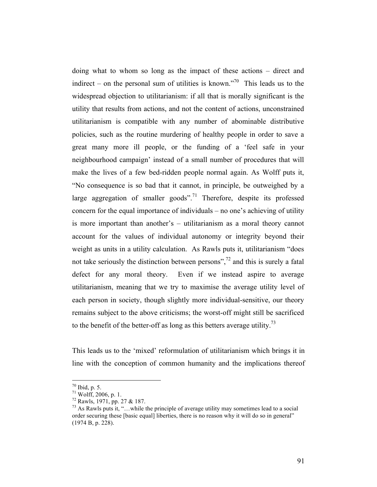doing what to whom so long as the impact of these actions – direct and indirect – on the personal sum of utilities is known."<sup>70</sup> This leads us to the widespread objection to utilitarianism: if all that is morally significant is the utility that results from actions, and not the content of actions, unconstrained utilitarianism is compatible with any number of abominable distributive policies, such as the routine murdering of healthy people in order to save a great many more ill people, or the funding of a 'feel safe in your neighbourhood campaign' instead of a small number of procedures that will make the lives of a few bed-ridden people normal again. As Wolff puts it, "No consequence is so bad that it cannot, in principle, be outweighed by a large aggregation of smaller goods".<sup>71</sup> Therefore, despite its professed concern for the equal importance of individuals – no one's achieving of utility is more important than another's – utilitarianism as a moral theory cannot account for the values of individual autonomy or integrity beyond their weight as units in a utility calculation. As Rawls puts it, utilitarianism "does not take seriously the distinction between persons", $^{72}$  and this is surely a fatal defect for any moral theory. Even if we instead aspire to average utilitarianism, meaning that we try to maximise the average utility level of each person in society, though slightly more individual-sensitive, our theory remains subject to the above criticisms; the worst-off might still be sacrificed to the benefit of the better-off as long as this betters average utility.<sup>73</sup>

This leads us to the 'mixed' reformulation of utilitarianism which brings it in line with the conception of common humanity and the implications thereof

 <sup>70</sup> Ibid, p. 5.

 $71$  Wolff, 2006, p. 1.

<sup>72</sup> Rawls, 1971, pp. 27 & 187.

 $^{73}$  As Rawls puts it, "... while the principle of average utility may sometimes lead to a social order securing these [basic equal] liberties, there is no reason why it will do so in general" (1974 B, p. 228).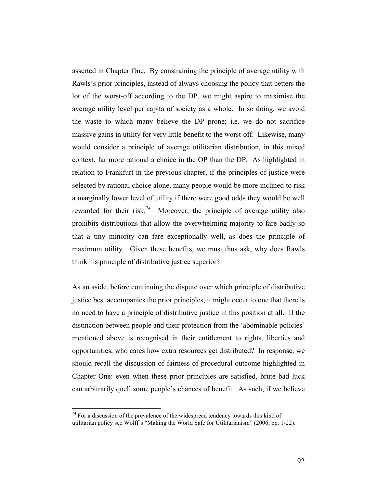asserted in Chapter One. By constraining the principle of average utility with Rawls's prior principles, instead of always choosing the policy that betters the lot of the worst-off according to the DP, we might aspire to maximise the average utility level per capita of society as a whole. In so doing, we avoid the waste to which many believe the DP prone; i.e. we do not sacrifice massive gains in utility for very little benefit to the worst-off. Likewise, many would consider a principle of average utilitarian distribution, in this mixed context, far more rational a choice in the OP than the DP. As highlighted in relation to Frankfurt in the previous chapter, if the principles of justice were selected by rational choice alone, many people would be more inclined to risk a marginally lower level of utility if there were good odds they would be well rewarded for their risk.<sup>74</sup> Moreover, the principle of average utility also prohibits distributions that allow the overwhelming majority to fare badly so that a tiny minority can fare exceptionally well, as does the principle of maximum utility. Given these benefits, we must thus ask, why does Rawls think his principle of distributive justice superior?

As an aside, before continuing the dispute over which principle of distributive justice best accompanies the prior principles, it might occur to one that there is no need to have a principle of distributive justice in this position at all. If the distinction between people and their protection from the 'abominable policies' mentioned above is recognised in their entitlement to rights, liberties and opportunities, who cares how extra resources get distributed? In response, we should recall the discussion of fairness of procedural outcome highlighted in Chapter One: even when these prior principles are satisfied, brute bad luck can arbitrarily quell some people's chances of benefit. As such, if we believe

 $74$  For a discussion of the prevalence of the widespread tendency towards this kind of utilitarian policy see Wolff's "Making the World Safe for Utilitarianism" (2006, pp. 1-22).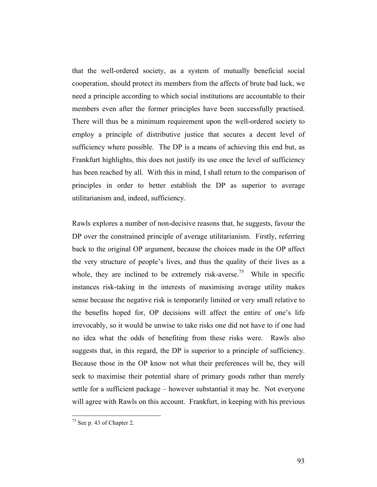that the well-ordered society, as a system of mutually beneficial social cooperation, should protect its members from the affects of brute bad luck, we need a principle according to which social institutions are accountable to their members even after the former principles have been successfully practised. There will thus be a minimum requirement upon the well-ordered society to employ a principle of distributive justice that secures a decent level of sufficiency where possible. The DP is a means of achieving this end but, as Frankfurt highlights, this does not justify its use once the level of sufficiency has been reached by all. With this in mind, I shall return to the comparison of principles in order to better establish the DP as superior to average utilitarianism and, indeed, sufficiency.

Rawls explores a number of non-decisive reasons that, he suggests, favour the DP over the constrained principle of average utilitarianism. Firstly, referring back to the original OP argument, because the choices made in the OP affect the very structure of people's lives, and thus the quality of their lives as a whole, they are inclined to be extremely risk-averse.<sup>75</sup> While in specific instances risk-taking in the interests of maximising average utility makes sense because the negative risk is temporarily limited or very small relative to the benefits hoped for, OP decisions will affect the entire of one's life irrevocably, so it would be unwise to take risks one did not have to if one had no idea what the odds of benefiting from these risks were. Rawls also suggests that, in this regard, the DP is superior to a principle of sufficiency. Because those in the OP know not what their preferences will be, they will seek to maximise their potential share of primary goods rather than merely settle for a sufficient package – however substantial it may be. Not everyone will agree with Rawls on this account. Frankfurt, in keeping with his previous

 <sup>75</sup> See p. 43 of Chapter 2.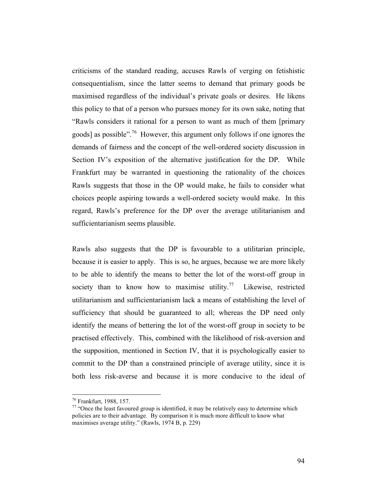criticisms of the standard reading, accuses Rawls of verging on fetishistic consequentialism, since the latter seems to demand that primary goods be maximised regardless of the individual's private goals or desires. He likens this policy to that of a person who pursues money for its own sake, noting that "Rawls considers it rational for a person to want as much of them [primary goods] as possible".76 However, this argument only follows if one ignores the demands of fairness and the concept of the well-ordered society discussion in Section IV's exposition of the alternative justification for the DP. While Frankfurt may be warranted in questioning the rationality of the choices Rawls suggests that those in the OP would make, he fails to consider what choices people aspiring towards a well-ordered society would make. In this regard, Rawls's preference for the DP over the average utilitarianism and sufficientarianism seems plausible.

Rawls also suggests that the DP is favourable to a utilitarian principle, because it is easier to apply. This is so, he argues, because we are more likely to be able to identify the means to better the lot of the worst-off group in society than to know how to maximise utility.<sup>77</sup> Likewise, restricted utilitarianism and sufficientarianism lack a means of establishing the level of sufficiency that should be guaranteed to all; whereas the DP need only identify the means of bettering the lot of the worst-off group in society to be practised effectively. This, combined with the likelihood of risk-aversion and the supposition, mentioned in Section IV, that it is psychologically easier to commit to the DP than a constrained principle of average utility, since it is both less risk-averse and because it is more conducive to the ideal of

 <sup>76</sup> Frankfurt, 1988, 157.

 $77$  "Once the least favoured group is identified, it may be relatively easy to determine which policies are to their advantage. By comparison it is much more difficult to know what maximises average utility." (Rawls, 1974 B, p. 229)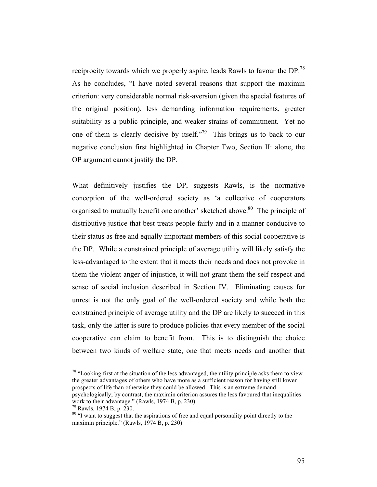reciprocity towards which we properly aspire, leads Rawls to favour the DP.<sup>78</sup> As he concludes, "I have noted several reasons that support the maximin criterion: very considerable normal risk-aversion (given the special features of the original position), less demanding information requirements, greater suitability as a public principle, and weaker strains of commitment. Yet no one of them is clearly decisive by itself."<sup>79</sup> This brings us to back to our negative conclusion first highlighted in Chapter Two, Section II: alone, the OP argument cannot justify the DP.

What definitively justifies the DP, suggests Rawls, is the normative conception of the well-ordered society as 'a collective of cooperators organised to mutually benefit one another' sketched above.<sup>80</sup> The principle of distributive justice that best treats people fairly and in a manner conducive to their status as free and equally important members of this social cooperative is the DP. While a constrained principle of average utility will likely satisfy the less-advantaged to the extent that it meets their needs and does not provoke in them the violent anger of injustice, it will not grant them the self-respect and sense of social inclusion described in Section IV. Eliminating causes for unrest is not the only goal of the well-ordered society and while both the constrained principle of average utility and the DP are likely to succeed in this task, only the latter is sure to produce policies that every member of the social cooperative can claim to benefit from. This is to distinguish the choice between two kinds of welfare state, one that meets needs and another that

<sup>78</sup> "Looking first at the situation of the less advantaged, the utility principle asks them to view the greater advantages of others who have more as a sufficient reason for having still lower prospects of life than otherwise they could be allowed. This is an extreme demand psychologically; by contrast, the maximin criterion assures the less favoured that inequalities work to their advantage." (Rawls, 1974 B, p. 230)

 $79$  Rawls, 1974 B, p. 230.

<sup>&</sup>lt;sup>80</sup> "I want to suggest that the aspirations of free and equal personality point directly to the maximin principle." (Rawls, 1974 B, p. 230)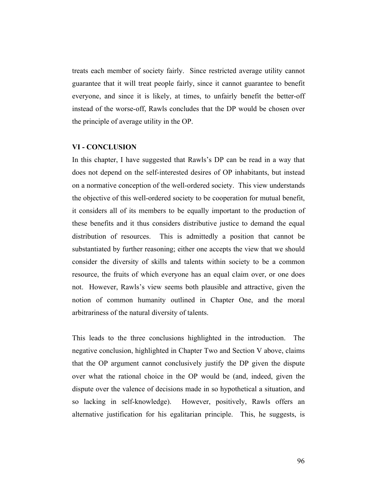treats each member of society fairly. Since restricted average utility cannot guarantee that it will treat people fairly, since it cannot guarantee to benefit everyone, and since it is likely, at times, to unfairly benefit the better-off instead of the worse-off, Rawls concludes that the DP would be chosen over the principle of average utility in the OP.

## **VI - CONCLUSION**

In this chapter, I have suggested that Rawls's DP can be read in a way that does not depend on the self-interested desires of OP inhabitants, but instead on a normative conception of the well-ordered society. This view understands the objective of this well-ordered society to be cooperation for mutual benefit, it considers all of its members to be equally important to the production of these benefits and it thus considers distributive justice to demand the equal distribution of resources. This is admittedly a position that cannot be substantiated by further reasoning; either one accepts the view that we should consider the diversity of skills and talents within society to be a common resource, the fruits of which everyone has an equal claim over, or one does not. However, Rawls's view seems both plausible and attractive, given the notion of common humanity outlined in Chapter One, and the moral arbitrariness of the natural diversity of talents.

This leads to the three conclusions highlighted in the introduction. The negative conclusion, highlighted in Chapter Two and Section V above, claims that the OP argument cannot conclusively justify the DP given the dispute over what the rational choice in the OP would be (and, indeed, given the dispute over the valence of decisions made in so hypothetical a situation, and so lacking in self-knowledge). However, positively, Rawls offers an alternative justification for his egalitarian principle. This, he suggests, is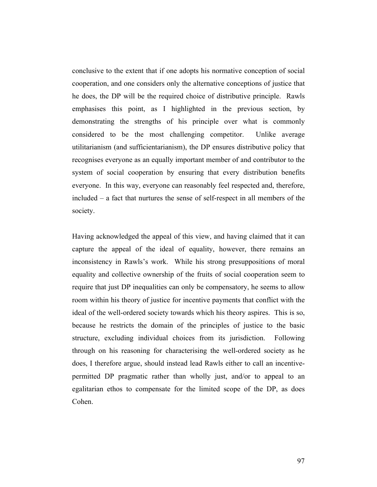conclusive to the extent that if one adopts his normative conception of social cooperation, and one considers only the alternative conceptions of justice that he does, the DP will be the required choice of distributive principle. Rawls emphasises this point, as I highlighted in the previous section, by demonstrating the strengths of his principle over what is commonly considered to be the most challenging competitor. Unlike average utilitarianism (and sufficientarianism), the DP ensures distributive policy that recognises everyone as an equally important member of and contributor to the system of social cooperation by ensuring that every distribution benefits everyone. In this way, everyone can reasonably feel respected and, therefore, included – a fact that nurtures the sense of self-respect in all members of the society.

Having acknowledged the appeal of this view, and having claimed that it can capture the appeal of the ideal of equality, however, there remains an inconsistency in Rawls's work. While his strong presuppositions of moral equality and collective ownership of the fruits of social cooperation seem to require that just DP inequalities can only be compensatory, he seems to allow room within his theory of justice for incentive payments that conflict with the ideal of the well-ordered society towards which his theory aspires. This is so, because he restricts the domain of the principles of justice to the basic structure, excluding individual choices from its jurisdiction. Following through on his reasoning for characterising the well-ordered society as he does, I therefore argue, should instead lead Rawls either to call an incentivepermitted DP pragmatic rather than wholly just, and/or to appeal to an egalitarian ethos to compensate for the limited scope of the DP, as does Cohen.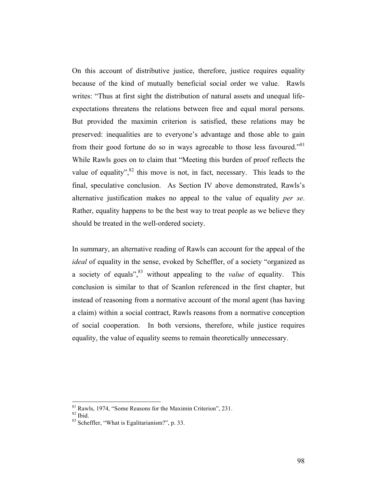On this account of distributive justice, therefore, justice requires equality because of the kind of mutually beneficial social order we value. Rawls writes: "Thus at first sight the distribution of natural assets and unequal lifeexpectations threatens the relations between free and equal moral persons. But provided the maximin criterion is satisfied, these relations may be preserved: inequalities are to everyone's advantage and those able to gain from their good fortune do so in ways agreeable to those less favoured."<sup>81</sup> While Rawls goes on to claim that "Meeting this burden of proof reflects the value of equality", $82$  this move is not, in fact, necessary. This leads to the final, speculative conclusion. As Section IV above demonstrated, Rawls's alternative justification makes no appeal to the value of equality *per se*. Rather, equality happens to be the best way to treat people as we believe they should be treated in the well-ordered society.

In summary, an alternative reading of Rawls can account for the appeal of the *ideal* of equality in the sense, evoked by Scheffler, of a society "organized as a society of equals",83 without appealing to the *value* of equality. This conclusion is similar to that of Scanlon referenced in the first chapter, but instead of reasoning from a normative account of the moral agent (has having a claim) within a social contract, Rawls reasons from a normative conception of social cooperation. In both versions, therefore, while justice requires equality, the value of equality seems to remain theoretically unnecessary.

 $81 \text{ Rawls}$ , 1974, "Some Reasons for the Maximin Criterion", 231.  $82 \text{ Ibid.}$ 

<sup>&</sup>lt;sup>83</sup> Scheffler, "What is Egalitarianism?", p. 33.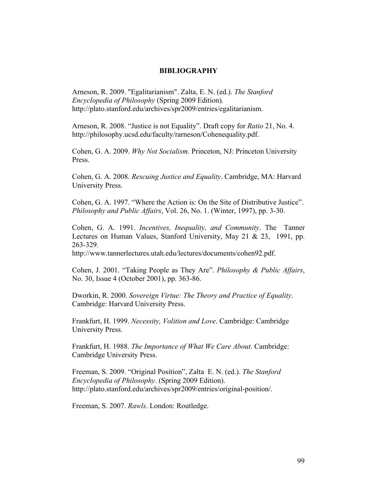## **BIBLIOGRAPHY**

Arneson, R. 2009. "Egalitarianism". Zalta, E. N. (ed.). *The Stanford Encyclopedia of Philosophy* (Spring 2009 Edition)*.*  http://plato.stanford.edu/archives/spr2009/entries/egalitarianism.

Arneson, R. 2008. "Justice is not Equality". Draft copy for *Ratio* 21, No. 4. http://philosophy.ucsd.edu/faculty/rarneson/Cohenequality.pdf.

Cohen, G. A. 2009. *Why Not Socialism*. Princeton, NJ: Princeton University Press.

Cohen, G. A. 2008. *Rescuing Justice and Equality*. Cambridge, MA: Harvard University Press.

Cohen, G. A. 1997. "Where the Action is: On the Site of Distributive Justice". *Philosophy and Public Affairs*, Vol. 26, No. 1. (Winter, 1997), pp. 3-30.

Cohen, G. A. 1991. *Incentives, Inequality, and Community*. The Tanner Lectures on Human Values, Stanford University, May 21 & 23, 1991, pp. 263-329.

http://www.tannerlectures.utah.edu/lectures/documents/cohen92.pdf.

Cohen, J. 2001. "Taking People as They Are". *Philosophy & Public Affairs*, No. 30, Issue 4 (October 2001), pp. 363-86.

Dworkin, R. 2000. *Sovereign Virtue: The Theory and Practice of Equality*. Cambridge: Harvard University Press.

Frankfurt, H. 1999. *Necessity, Volition and Love*. Cambridge: Cambridge University Press.

Frankfurt, H. 1988. *The Importance of What We Care About*. Cambridge: Cambridge University Press.

Freeman, S. 2009. "Original Position", Zalta E. N. (ed.). *The Stanford Encyclopedia of Philosophy*. (Spring 2009 Edition). http://plato.stanford.edu/archives/spr2009/entries/original-position/.

Freeman, S. 2007. *Rawls*. London: Routledge.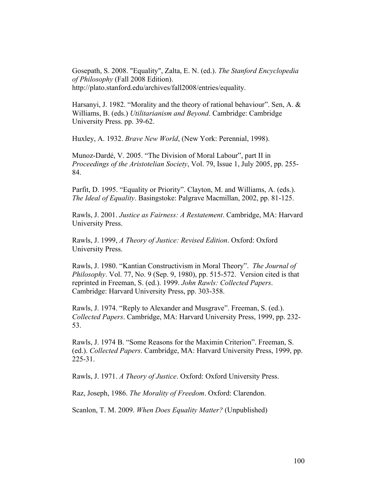Gosepath, S. 2008. "Equality", Zalta, E. N. (ed.). *The Stanford Encyclopedia of Philosophy* (Fall 2008 Edition). http://plato.stanford.edu/archives/fall2008/entries/equality.

Harsanyi, J. 1982. "Morality and the theory of rational behaviour". Sen, A. & Williams, B. (eds.) *Utilitarianism and Beyond*. Cambridge: Cambridge University Press. pp. 39-62.

Huxley, A. 1932. *Brave New World*, (New York: Perennial, 1998).

Munoz-Dardé, V. 2005. "The Division of Moral Labour", part II in *Proceedings of the Aristotelian Society*, Vol. 79, Issue 1, July 2005, pp. 255- 84.

Parfit, D. 1995. "Equality or Priority". Clayton, M. and Williams, A. (eds.). *The Ideal of Equality*. Basingstoke: Palgrave Macmillan, 2002, pp. 81-125.

Rawls, J. 2001. *Justice as Fairness: A Restatement*. Cambridge, MA: Harvard University Press.

Rawls, J. 1999, *A Theory of Justice: Revised Edition*. Oxford: Oxford University Press.

Rawls, J. 1980. "Kantian Constructivism in Moral Theory". *The Journal of Philosophy*. Vol. 77, No. 9 (Sep. 9, 1980), pp. 515-572. Version cited is that reprinted in Freeman, S. (ed.). 1999. *John Rawls: Collected Papers*. Cambridge: Harvard University Press, pp. 303-358.

Rawls, J. 1974. "Reply to Alexander and Musgrave". Freeman, S. (ed.). *Collected Papers*. Cambridge, MA: Harvard University Press, 1999, pp. 232- 53.

Rawls, J. 1974 B. "Some Reasons for the Maximin Criterion". Freeman, S. (ed.). *Collected Papers*. Cambridge, MA: Harvard University Press, 1999, pp. 225-31.

Rawls, J. 1971. *A Theory of Justice*. Oxford: Oxford University Press.

Raz, Joseph, 1986. *The Morality of Freedom*. Oxford: Clarendon.

Scanlon, T. M. 2009. *When Does Equality Matter?* (Unpublished)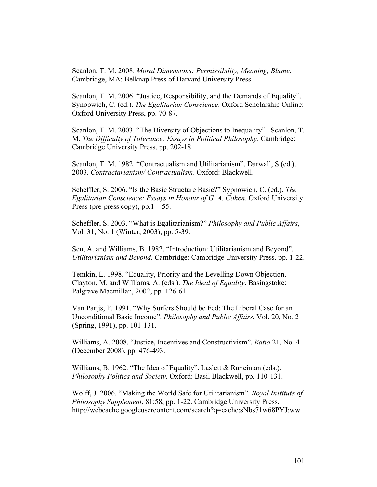Scanlon, T. M. 2008. *Moral Dimensions: Permissibility, Meaning, Blame*. Cambridge, MA: Belknap Press of Harvard University Press.

Scanlon, T. M. 2006. "Justice, Responsibility, and the Demands of Equality". Synopwich, C. (ed.). *The Egalitarian Conscience*. Oxford Scholarship Online: Oxford University Press, pp. 70-87.

Scanlon, T. M. 2003. "The Diversity of Objections to Inequality". Scanlon, T. M. *The Difficulty of Tolerance: Essays in Political Philosophy*. Cambridge: Cambridge University Press, pp. 202-18.

Scanlon, T. M. 1982. "Contractualism and Utilitarianism". Darwall, S (ed.). 2003. *Contractarianism/ Contractualism*. Oxford: Blackwell.

Scheffler, S. 2006. "Is the Basic Structure Basic?" Sypnowich, C. (ed.). *The Egalitarian Conscience: Essays in Honour of G. A. Cohen*. Oxford University Press (pre-press copy),  $pp.1 - 55$ .

Scheffler, S. 2003. "What is Egalitarianism?" *Philosophy and Public Affairs*, Vol. 31, No. 1 (Winter, 2003), pp. 5-39.

Sen, A. and Williams, B. 1982. "Introduction: Utilitarianism and Beyond". *Utilitarianism and Beyond*. Cambridge: Cambridge University Press. pp. 1-22.

Temkin, L. 1998. "Equality, Priority and the Levelling Down Objection. Clayton, M. and Williams, A. (eds.). *The Ideal of Equality*. Basingstoke: Palgrave Macmillan, 2002, pp. 126-61.

Van Parijs, P. 1991. "Why Surfers Should be Fed: The Liberal Case for an Unconditional Basic Income". *Philosophy and Public Affairs*, Vol. 20, No. 2 (Spring, 1991), pp. 101-131.

Williams, A. 2008. "Justice, Incentives and Constructivism". *Ratio* 21, No. 4 (December 2008), pp. 476-493.

Williams, B. 1962. "The Idea of Equality". Laslett & Runciman (eds.). *Philosophy Politics and Society*. Oxford: Basil Blackwell, pp. 110-131.

Wolff, J. 2006. "Making the World Safe for Utilitarianism". *Royal Institute of Philosophy Supplement*, 81:58, pp. 1-22. Cambridge University Press. http://webcache.googleusercontent.com/search?q=cache:sNbs71w68PYJ:ww